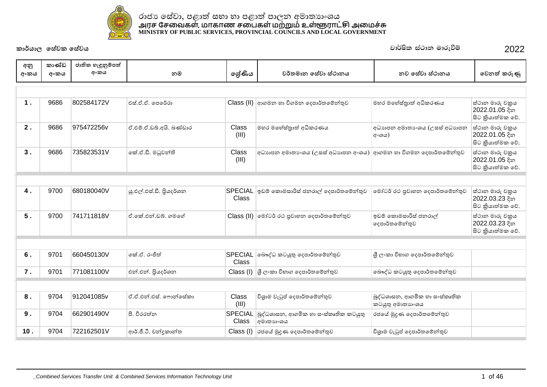

| අනු<br>අංකය | කාණ්ඩ<br>අංකය | ජාතික හැඳුනුම්පත්<br>අංකය | නම                      | ලශ්ණිය                         | වර්තමාන සේවා ස්ථානය                                                                                  | නව සේවා ස්ථානය                                    | වෙනත් කරුණු                                           |
|-------------|---------------|---------------------------|-------------------------|--------------------------------|------------------------------------------------------------------------------------------------------|---------------------------------------------------|-------------------------------------------------------|
|             |               |                           |                         |                                |                                                                                                      |                                                   |                                                       |
| 1.          | 9686          | 802584172V                | එස්.ඒ.ඒ. පෙරේරා         |                                | $\text{Class (II)}$ ආගමන හා විගමන දෙපාර්තමේන්තුව                                                     | මහර මහේස්තුාත් අධිකරණය                            | ස්ථාන මාරු චකුය<br>2022.01.05 දින<br>සිට කියාත්මක වේ. |
| 2.          | 9686          | 975472256v                | ඒ.එම්.ඒ.ඩබ්.අයි. බණ්ඩාර | Class<br>(III)                 | මහර මහේස්තුාත් අධිකරණය                                                                               | අධාහපන අමාතාංශය (උසස් අධාහපන<br><b>අ∘ශය)</b>      | ස්ථාන මාරු චකුය<br>2022.01.05 දින<br>සිට කියාත්මක වේ. |
| 3.          | 9686          | 735823531V                | කේ.ඒ.ඩී. මධුවන්ති       | Class<br>(III)                 | අධාහපන අමාතා ශය (උසස් අධාහපන අංශය)                                                                   | ආගමන හා විගමන දෙපාර්තමේන්තුව                      | ස්ථාන මාරු චකුය<br>2022.01.05 දින<br>සිට කියාත්මක වේ. |
|             |               |                           |                         |                                |                                                                                                      |                                                   |                                                       |
| 4.          | 9700          | 680180040V                | ශු.එල්.එස්.ඩී. පියදර්ශන | <b>Class</b>                   | SPECIAL ඉඩම් කොමසාරිස් ජනරාල් දෙපාර්තමේන්තුව                                                         | මෝටර් රථ පුවාහන දෙපාර්තමේන්තුව                    | ස්ථාන මාරු චකුය<br>2022.03.23 දින<br>සිට කියාත්මක වේ. |
| 5.          | 9700          | 741711818V                | ඒ කේ.එන්.ඩබ්. ගමගේ      |                                | Class (II) මෝටර් රථ පුවාහන දෙපාර්තමේන්තුව                                                            | ඉඩම් කොමසාරිස් ජනරාල්<br>දෙපාර්තමේන්තුව           | ස්ථාන මාරු චකුය<br>2022.03.23 දින<br>සිට කියාත්මක වේ. |
|             |               |                           |                         |                                |                                                                                                      |                                                   |                                                       |
| 6.          | 9701          | 660450130V                | කේ.ඒ. රංජිත්            | SPECIAL<br><b>Class</b>        | බෞද්ධ කටයුතු දෙපාර්තමේන්තුව                                                                          | ශී ලංකා විහාග දෙපාර්තමේන්තුව                      |                                                       |
| 7.          | 9701          | 771081100V                | එන්.එන්. පියදර්ශන       |                                | $\textsf{Class} \left( \mathsf{I} \right) \left  \mathsf{G} \right\rangle$ ලංකා විහාග දෙපාර්තමේන්තුව | බෞද්ධ කටයුතු දෙපාර්තමේන්තුව                       |                                                       |
|             |               |                           |                         |                                |                                                                                                      |                                                   |                                                       |
| 8.          | 9704          | 912041085v                | ඒ.ඒ.එන්.එස්. ෆොන්සේකා   | Class<br>(III)                 | විශුාම වැටුප් දෙපාර්තමේන්තුව                                                                         | බුද්ධශාසන, ආගමික හා සංස්කෘතික<br>කටයුතු අමාතාහංශය |                                                       |
| $9$ .       | 9704          | 662901490V                | පී. වීරරත්න             | <b>SPECIAL</b><br><b>Class</b> | බුද්ධශාසන, ආගමික හා සංස්කෘතික කටයුතු<br>අමාතාහංශය                                                    | රජයේ මුදණ දෙපාර්තමේන්තුව                          |                                                       |
| 10.         | 9704          | 722162501V                | ආර්.ජී.ටී. චන්දකාන්ත    | Class (I)                      | රජයේ මුදණ දෙපාර්තමේන්තුව                                                                             | විශාම වැටුප් දෙපාර්තමේන්තුව                       |                                                       |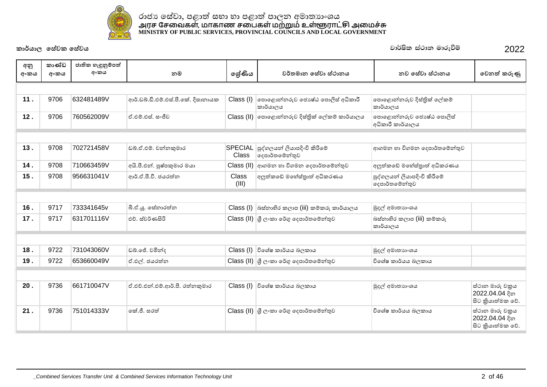

| අනු  | කාණ්ඩ | ජාතික හැඳුනුම්පත් |                                    |                |                                                                                                        |                                               |                                                       |
|------|-------|-------------------|------------------------------------|----------------|--------------------------------------------------------------------------------------------------------|-----------------------------------------------|-------------------------------------------------------|
| අංකය | අංකය  | අංකය              | නම                                 | ලශ්ණිය         | වර්තමාන සේවා ස්ථානය                                                                                    | නුව සේවා ස්ථානය                               | වෙනත් කරුණු                                           |
|      |       |                   |                                    |                |                                                                                                        |                                               |                                                       |
| 11.  | 9706  | 632481489V        | ආර්.ඩබ්.ඩී.එම්.එස්.පී.කේ. දිසානායක | Class (I)      | පොළොන්නරුව ජොෂ්ඨ පොලිස් අධිකාරී<br>කාර්යාලය                                                            | පොළොන්නරුව දිස්තික් ලේකම්<br>කාර්යාලය         |                                                       |
| 12.  | 9706  | 760562009V        | ඒ.එම්.එස්. සංජීව                   |                | Class (II)   පොළොන්නරුව දිස්තික් ලේකම් කාර්යාලය                                                        | පොළොන්නරුව ජොෂ්ඨ පොලිස්<br>අධිකාරී කාර්යාලය   |                                                       |
|      |       |                   |                                    |                |                                                                                                        |                                               |                                                       |
| 13.  | 9708  | 702721458V        | ඩබ්.ඒ.එම්. චන්නකුමාර               | <b>Class</b>   | SPECIAL පුද්ගලයන් ලියාපදිංචි කිරීමේ<br> දෙපාර්තමේන්තුව                                                 | ආගමන හා විගමන දෙපාර්තමේන්තුව                  |                                                       |
| 14.  | 9708  | 710663459V        | අයි.පී.එන්. පුෂ්පකුමාර මයා         | Class (II)     | ආගමන හා විගමන දෙපාර්තමේන්තුව                                                                           | අලුත්කඩේ මහේස්තුාත් අධිකරණය                   |                                                       |
| 15.  | 9708  | 956631041V        | ආර්.ඒ.පී.වී. ජයරත්න                | Class<br>(III) | අලුත්කඩේ මහේස්තුාත් අධිකරණය                                                                            | පුද්ගලයන් ලියාපදිංචි කිරීමේ<br>දෙපාර්තමේන්තුව |                                                       |
|      |       |                   |                                    |                |                                                                                                        |                                               |                                                       |
| 16.  | 9717  | 733341645v        | බී.ඒ.ශු. සේනාරත්න                  |                | $\textsf{Class} \left( \mathsf{I} \right)$ බස්නාහිර කලාප $\left( \textsf{iii} \right)$ කම්කරු කාර්යාලය | මුදල් අමාතාහංශය                               |                                                       |
| 17.  | 9717  | 631701116V        | එච්. ස්වර්ණසිරි                    |                | $\text{Class (II)}$ ගී ලංකා රේගු දෙපාර්තමේන්තුව                                                        | බස්තාහිර කලාප (iii) කම්කරු<br>කාර්යාලය        |                                                       |
|      |       |                   |                                    |                |                                                                                                        |                                               |                                                       |
| 18.  | 9722  | 731043060V        | ඩබ්.ජේ. චමින්ද                     |                | $Class (I)$ විශේෂ කාර්යය බලකාය                                                                         | මුදල් අමාතාහංශය                               |                                                       |
| 19.  | 9722  | 653660049V        | ඒ.එල්. ජයරත්ත                      |                | Class (II) ශූී ලංකා රේගු දෙපාර්තමේන්තුව                                                                | විශේෂ කාර්යය බලකාය                            |                                                       |
|      |       |                   |                                    |                |                                                                                                        |                                               |                                                       |
| 20.  | 9736  | 661710047V        | ඒ.එච්.එන්.එම්.ආර්.පී. රත්නකුමාර    |                | $Class (I)$ විශේෂ කාර්යය බලකාය                                                                         | මුදල් අමාතාහංශය                               | ස්ථාන මාරු චකුය<br>2022.04.04 දින<br>සිට කියාත්මක වේ. |
| 21.  | 9736  | 751014333V        | කේ.ජී. සරත්                        |                | $\textsf{Class}\left(\textsf{II}\right)$ ශූී ලංකා රේගු දෙපාර්තමේන්තුව                                  | විශේෂ කාර්යය බලකාය                            | ස්ථාන මාරු චකුය<br>2022.04.04 දින<br>සිට කියාත්මක වේ. |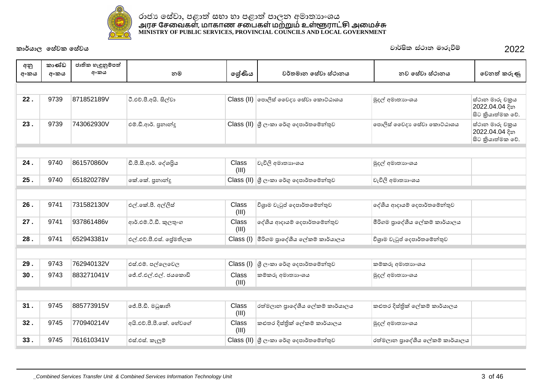

| අනු  | කාණ්ඩ | ජාතික හැඳුනුම්පත් |                         |                |                                                                                                |                                 |                                                        |
|------|-------|-------------------|-------------------------|----------------|------------------------------------------------------------------------------------------------|---------------------------------|--------------------------------------------------------|
| අංකය | අංකය  | අංකය              | නම                      | ලශ්ණිය         | වර්තමාන සේවා ස්ථානය                                                                            | නුව සේවා ස්ථානය                 | වෙනත් කරුණු                                            |
|      |       |                   |                         |                |                                                                                                |                                 |                                                        |
| 22.  | 9739  | 871852189V        | ටී.එච්.පී.අයි. සිල්වා   |                | Class (II)   පොලිස් වෛදා ෙස්වා කොට්ඨාශය                                                        | මුදල් අමාතාහංශය                 | ස්ථාන මාරු චකුය<br>2022.04.04 දින<br>සිට කියාත්මක වේ.  |
| 23.  | 9739  | 743062930V        | එම්.ඩී.ආර්. පුනාන්දු    |                | $\textsf{Class}\left(\textsf{II}\right)$ ශූී ලංකා රේගු දෙපාර්තමේන්තුව                          | පොලිස් වෛදා පෙස්වා කොට්ඨාශය     | ස්ථාන මාරු චකුය<br>2022.04.04 දින<br>සිට කුියාත්මක වේ. |
|      |       |                   |                         |                |                                                                                                |                                 |                                                        |
| 24.  | 9740  | 861570860v        | ඩී.පී.සී.ආර්. දේශපිය    | Class<br>(III) | වැවිලි අමාතාගංශය                                                                               | මුදල් අමාතාහංශය                 |                                                        |
| 25.  | 9740  | 651820278V        | නේ.කේ. පුනාන්දු         |                | $\textsf{Class}\left(\textsf{II}\right)$ $\textsf{G}\otimes\textsf{G}$ ංකා රේගු දෙපාර්තමේන්තුව | වැවිලි අමාතාගංශය                |                                                        |
|      |       |                   |                         |                |                                                                                                |                                 |                                                        |
| 26.  | 9741  | 731582130V        | එල්.කේ.පී. අල්ලිස්      | Class<br>(III) | විශුාම වැටුප් දෙපාර්තමේන්තුව                                                                   | දේශීය ආදායම් දෙපාර්තමේන්තුව     |                                                        |
| 27.  | 9741  | 937861486v        | ආර්.එම්.ටී.ඩී. කුලතුංග  | Class<br>(III) | දේශීය ආදායම් දෙපාර්තමේන්තුව                                                                    | මීරිගම පුාදේශීය ලේකම් කාර්යාලය  |                                                        |
| 28.  | 9741  | 652943381v        | එල්.එච්.පී.එස්. ජේමතිලක | Class (I)      | මීරිගම පුාදේශීය ලේකම් කාර්යාලය                                                                 | විශුාම වැටුප් දෙපාර්තමේන්තුව    |                                                        |
|      |       |                   |                         |                |                                                                                                |                                 |                                                        |
| 29.  | 9743  | 762940132V        | එස්.එම්. පල්ලෙවෙල       | Class (I)      | ශී ලංකා රේගු දෙපාර්තමේන්තුව                                                                    | කම්කරු අමාතහංශය                 |                                                        |
| 30.  | 9743  | 883271041V        | ්රේ.ඒ.එල්.එල්. ජයකොඩි   | Class<br>(III) | කම්කරු අමාතාහංශය                                                                               | මුදල් අමාතාගංශය                 |                                                        |
|      |       |                   |                         |                |                                                                                                |                                 |                                                        |
| 31.  | 9745  | 885773915V        | ලජ්.පී.ඩී. මධුෂානි      | Class<br>(III) | රත්මලාන පුාදේශීය ලේකම් කාර්යාලය                                                                | කළුතර දිස්තික් ලේකම් කාර්යාලය   |                                                        |
| 32.  | 9745  | 770940214V        | අයි.එච්.පී.පී.කේ. හේවගේ | Class<br>(III) | කළුතර දිස්තික් ලේකම් කාර්යාලය                                                                  | මුදල් අමාතාහංශය                 |                                                        |
| 33.  | 9745  | 761610341V        | එස්.එස්. කැලුම්         |                | Class (II) යු ලංකා රේගු දෙපාර්තමේන්තුව                                                         | රත්මලාන පුාදේශීය ලේකම් කාර්යාලය |                                                        |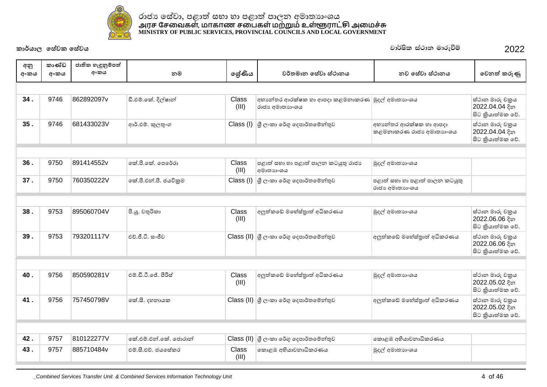

| අනු  | කාණ්ඩ | ජාතික හැඳුනුම්පත් |                       |                |                                                                   |                                                   |                                                       |
|------|-------|-------------------|-----------------------|----------------|-------------------------------------------------------------------|---------------------------------------------------|-------------------------------------------------------|
| අංකය | අංකය  | අංකය              | නම                    | ලශ්ණිය         | වර්තමාන සේවා ස්ථානය                                               | නව සේවා ස්ථානය                                    | වෙනත් කරුණු                                           |
|      |       |                   |                       |                |                                                                   |                                                   |                                                       |
| 34.  | 9746  | 862892097v        | ඩී.එම්.කේ. දිල්ෂාන්   | Class<br>(III) | අභාන්තර ආරක්ෂක හා ආපදා කළමනාකරණ මුදල් අමාතාහංශය<br>රාජා අමාතාහංශය |                                                   | ස්ථාන මාරු චකුය<br>2022.04.04 දින<br>සිට කියාත්මක වේ. |
| 35.  | 9746  | 681433023V        | ආර්.එම්. කුලතුංග      |                | Class (I) ශූ ලංකා රේගු දෙපාර්තමේන්තුව                             | අභාන්තර ආරක්ෂක හා ආපදා<br>කළමනාකරණ රාජා අමාතාහංශය | ස්ථාන මාරු චකුය<br>2022.04.04 දින<br>සිට කියාත්මක වේ. |
|      |       |                   |                       |                |                                                                   |                                                   |                                                       |
| 36.  | 9750  | 891414552v        | කේ.පී.කේ. පෙරේරා      | Class<br>(III) | පළාත් සහා හා පළාත් පාලන කටයුතු රාජා<br>අමාතාහංශය                  | මුදල් අමාතාහංශය                                   |                                                       |
| 37.  | 9750  | 760350222V        | කේ.පී.එන්.පී. ජයවිකුම | Class (I)      | ු ලි∘කා රේගු දෙපාර්තමේන්තුව                                       | පළාත් සභා හා පළාත් පාලන කටයුතු<br>රාජා අමාතාගංශය  |                                                       |
|      |       |                   |                       |                |                                                                   |                                                   |                                                       |
| 38.  | 9753  | 895060704V        | පී.ශූ. චතුරිකා        | Class<br>(III) | අලුත්කඩේ මහේස්තුාත් අධිකරණය                                       | මුදල් අමාතාගංශය                                   | ස්ථාන මාරු චකුය<br>2022.06.06 දින<br>සිට කියාත්මක වේ. |
| 39.  | 9753  | 793201117V        | එච්.ජී.ටී. සංජීව      |                | Class (II) යු ලංකා රේගු දෙපාර්තමේන්තුව                            | අලුත්කඩේ මහේස්තුාත් අධිකරණය                       | ස්ථාන මාරු චකුය<br>2022.06.06 දින<br>සිට කියාත්මක වේ. |
|      |       |                   |                       |                |                                                                   |                                                   |                                                       |
| 40.  | 9756  | 850590281V        | එම්.ඩී.ටී.ජේ. පිරිස්  | Class<br>(III) | අලුත්කඩේ මහේස්තුාත් අධිකරණය                                       | මුදල් අමාතාහංශය                                   | ස්ථාන මාරු චකුය<br>2022.05.02 දින<br>සිට කියාත්මක වේ. |
| 41.  | 9756  | 757450798V        | කේ.සී. දහනායක         |                | Class (II) ශූී ලංකා රේගු දෙපාර්තමේන්තුව                           | අලුත්කඩේ මහේස්තුාත් අධිකරණය                       | ස්ථාන මාරු චකුය<br>2022.05.02 දින<br>සිට කියාත්මක වේ. |
|      |       |                   |                       |                |                                                                   |                                                   |                                                       |
| 42.  | 9757  | 810122277V        | කේ.එම්.එන්.කේ. ජොරාන් |                | Class (II) ශූී ලංකා රේගු දෙපාර්තමේන්තුව                           | කොළඹ අභියාවනාධිකරණය                               |                                                       |
| 43.  | 9757  | 885710484v        | එම්.සී.එච්. ජයසේකර    | Class<br>(III) | කොළඹ අභියාවනාධිකරණය                                               | මුදල් අමාතාහංශය                                   |                                                       |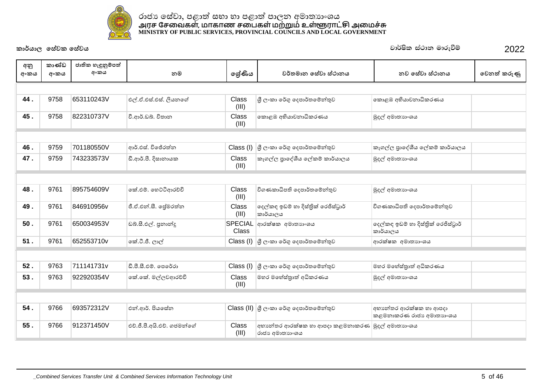

| අනු<br>අංකය | කාණ්ඩ<br>අංකය | ජාතික හැඳුනුම්පත්<br>අංකය | නම                         | ලේණිය                   | වර්තමාන සේවා ස්ථානය                                                                                 | නව සේවා ස්ථානය                                    | වෙනත් කරුණු |
|-------------|---------------|---------------------------|----------------------------|-------------------------|-----------------------------------------------------------------------------------------------------|---------------------------------------------------|-------------|
|             |               |                           |                            |                         |                                                                                                     |                                                   |             |
| 44.         | 9758          | 653110243V                | එල්.ඒ.එස්.එස්. ලියනගේ      | Class<br>(III)          | ශී ලංකා රේගු දෙපාර්තමේන්තුව                                                                         | කොළඹ අභියාවනාධිකරණය                               |             |
| 45.         | 9758          | 822310737V                | වී.ආර්.ඩබ්. විතාන          | Class<br>(III)          | කොළඹ අභියාචනාධිකරණය                                                                                 | මුදල් අමාතාගංශය                                   |             |
|             |               |                           |                            |                         |                                                                                                     |                                                   |             |
| 46.         | 9759          | 701180550V                | ආර්.එස්. විජේරත්ත          | Class (I)               | ු ලි∙කා රේගු දෙපාර්තමේන්තුව                                                                         | කෑගල්ල පුාදේශීය ලේකම් කාර්යාලය                    |             |
| 47.         | 9759          | 743233573V                | ඩී.ආර්.පී. දිසානායක        | Class<br>(III)          | කෑගල්ල පුාදේශීය ලේකම් කාර්යාලය                                                                      | මුදල් අමාතාහංශය                                   |             |
|             |               |                           |                            |                         |                                                                                                     |                                                   |             |
| 48.         | 9761          | 895754609V                | කේ.එම්. හෙට්ටිආරච්චි       | Class<br>(III)          | විගණකාධිපති දෙපාර්තමේන්තුව                                                                          | මුදල් අමාතාගංශය                                   |             |
| 49.         | 9761          | 846910956v                | ජී.ඒ.එන්.සී. ජේමරත්න       | Class<br>(III)          | දෙල්කඳ ඉඩම් හා දිස්තික් රෙජිස්ටුාර්<br>කාර්යාලය                                                     | විගණකාධිපති දෙපාර්තමේන්තුව                        |             |
| 50.         | 9761          | 650034953V                | ඩබ්.සී.එල්. පුනාන්දු       | SPECIAL<br><b>Class</b> | ආරක්ෂක අමාතාහංශය                                                                                    | දෙල්කඳු ඉඩම් හා දිස්තික් රෙජිස්ටුාර්<br>කාර්යාලය  |             |
| 51.         | 9761          | 652553710v                | කේ.ටී.ජී. ලාල්             |                         | $\textsf{Class} \left( \mathsf{I} \right) \left  \mathsf{G} \right\rangle$ ලංකා රේගු දෙපාර්තමේන්තුව | ආරක්ෂක අමාතාහංශය                                  |             |
|             |               |                           |                            |                         |                                                                                                     |                                                   |             |
| 52.         | 9763          | 711141731v                | ඩී.පී.සී.එම්. පෙරේරා       | Class (I)               | ු ලි∙කා රේගු දෙපාර්තමේන්තුව                                                                         | මහර මහේස්තුාත් අධිකරණය                            |             |
| 53.         | 9763          | 922920354V                | කේ.කේ. මල්ලවආරච්චි         | Class<br>(III)          | මහර මහේස්තුාත් අධිකරණය                                                                              | මුදල් අමාතාහංශය                                   |             |
|             |               |                           |                            |                         |                                                                                                     |                                                   |             |
| 54.         | 9766          | 693572312V                | එන්.ආර්. පියසේන            |                         | Class (II) ශූ ලංකා රේගු දෙපාර්තමේන්තුව                                                              | අභානේතර ආරක්ෂක හා ආපදා<br>කළමනාකරණ රාජා අමාතාාංශය |             |
| 55.         | 9766          | 912371450V                | එච්.ජී.පී.අයි.එච්. ගජමන්ගේ | Class<br>(III)          | අභානේතර ආරක්ෂක හා ආපදා කළමනාකරණ  <br>රාජා අමාතාගංශය                                                 | මුදල් අමාතාහංශය                                   |             |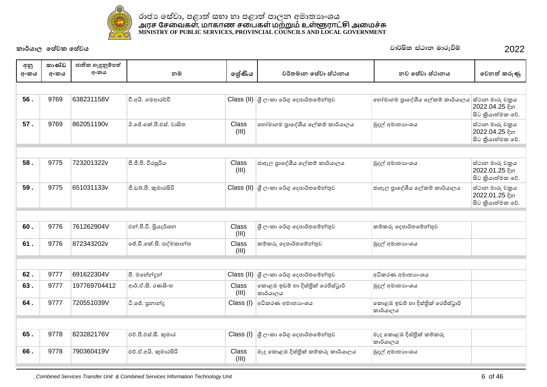

|             | කාණ්ඩ | ජාතික හැඳුනුම්පත් |                        |                |                                               |                                               |                                                        |
|-------------|-------|-------------------|------------------------|----------------|-----------------------------------------------|-----------------------------------------------|--------------------------------------------------------|
| අනු<br>අංකය | අංකය  | අංකය              | නම                     | ලේණිය          | වර්තමාන සේවා ස්ථානය                           | නව සේවා ස්ථානය                                | වෙනත් කරුණු                                            |
|             |       |                   |                        |                |                                               |                                               |                                                        |
| 56.         | 9769  | 638231158V        | වී.අයි. ගමආරච්චි       |                | Class (II) ශූී ලංකා රේගු දෙපාර්තමේන්තුව       | හෝමාගම පුාදේශීය ලේකම් කාර්යාලය                | ස්ථාන මාරු චකුය<br>2022.04.25 දින<br>සිට කුියාත්මක වේ. |
| 57.         | 9769  | 862051190v        | ඊ.ජේ.කේ.පී.එස්. වාසිත  | Class<br>(III) | හෝමාගම පාදේශීය ලේකම් කාර්යාලය                 | මුදල් අමාතාගංශය                               | ස්ථාන මාරු චකුය<br>2022.04.25 දින<br>සිට කියාත්මක වේ.  |
|             |       |                   |                        |                |                                               |                                               |                                                        |
| 58.         | 9775  | 723201322v        | පී.ජී.පී. වීරසූරිය     | Class<br>(III) | ජාඇල පුාදේශීය ලේකම් කාර්යාලය                  | මුදල් අමාතාගංශය                               | ස්ථාන මාරු චකුය<br>2022.01.25 දින<br>සිට කියාත්මක වේ.  |
| 59.         | 9775  | 651031133v        | ජී.ඩබ්.පී. කුමාරසිරි   |                | Class (II) ශූී ලංකා රේගු දෙපාර්තමේන්තුව       | ජාඇල පුාදේශීය ලේකම් කාර්යාලය                  | ස්ථාන මාරු චකුය<br>2022.01.25 දින<br>සිට කියාත්මක වේ.  |
|             |       |                   |                        |                |                                               |                                               |                                                        |
| 60.         | 9776  | 761262904V        | එන්.පී.වී. පියදර්ශන    | Class<br>(III) | ශී ලංකා රේගු දෙපාර්තමේන්තුව                   | කම්කරු දෙපාර්තමේන්තුව                         |                                                        |
| 61.         | 9776  | 872343202v        | ජේ.ඩී.කේ.සී. පද්මකාන්ත | Class<br>(III) | කම්කරු දෙපාර්තමේන්තුව                         | මුදල් අමාතාගංශය                               |                                                        |
|             |       |                   |                        |                |                                               |                                               |                                                        |
| 62.         | 9777  | 691622304V        | පී. මහේන්දන්           | Class (II)     | ු ලි∘කා රේගු දෙපාර්තමේන්තුව                   | අධිකරණ අමාතාහංශය                              |                                                        |
| 63.         | 9777  | 197769704412      | ආර්.ඒ.සී. රණසිංහ       | Class<br>(III) | කොළඹ ඉඩම් හා දිස්තික් රෙජිස්ටුාර්<br>කාර්යාලය | මුදල් අමාතාගංශය                               |                                                        |
| 64.         | 9777  | 720551039V        | ටී.ජේ. පුනාන්දු        | Class (I)      | අධිකරණ අමාතහාංශය                              | කොළඹ ඉඩම් හා දිස්තික් රෙජිස්ටුාර්<br>කාර්යාලය |                                                        |
|             |       |                   |                        |                |                                               |                                               |                                                        |
| 65.         | 9778  | 823282176V        | එච්.පී.එස්.සී. කුමාර   |                | Class (I) යු ලංකා රේගු දෙපාර්තමේන්තුව         | මැද කොළඹ දිස්තිුක් කම්කරු<br>කාර්යාලය         |                                                        |
| 66.         | 9778  | 790360419V        | එච්.ඒ.අයි. කුමාරසිරි   | Class<br>(III) | මැද කොළඹ දිස්තිුක් කම්කරු කාර්යාලය            | මුදල් අමාතාහංශය                               |                                                        |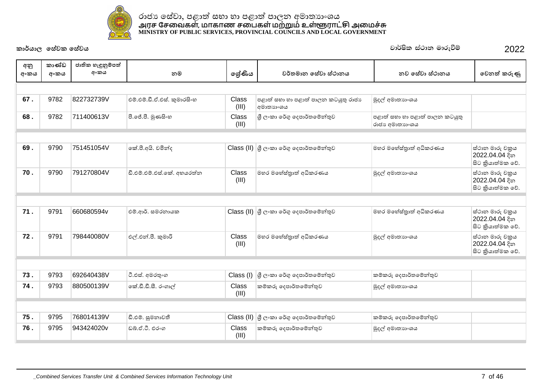

| අනු  | කාණ්ඩ | ජාතික හැඳුනුම්පත් |                             |                |                                                                                                                                                                                                                                                                                                                                                                                                                                                                                                        |                                                  |                                                        |
|------|-------|-------------------|-----------------------------|----------------|--------------------------------------------------------------------------------------------------------------------------------------------------------------------------------------------------------------------------------------------------------------------------------------------------------------------------------------------------------------------------------------------------------------------------------------------------------------------------------------------------------|--------------------------------------------------|--------------------------------------------------------|
| අංකය | අංකය  | අංකය              | නම                          | ලේණිය          | වර්තමාන සේවා ස්ථානය                                                                                                                                                                                                                                                                                                                                                                                                                                                                                    | නව සේවා ස්ථානය                                   | වෙනත් කරුණු                                            |
|      |       |                   |                             |                |                                                                                                                                                                                                                                                                                                                                                                                                                                                                                                        |                                                  |                                                        |
| 67.  | 9782  | 822732739V        | එම්.එම්.ඩී.ඒ.එස්. කුමාරසිංහ | Class<br>(III) | පළාත් සභා හා පළාත් පාලන කටයුතු රාජා<br>අමාතනංශය                                                                                                                                                                                                                                                                                                                                                                                                                                                        | මුදල් අමාතාහංශය                                  |                                                        |
| 68.  | 9782  | 711400613V        | පී.ජේ.පී. මුණසිංහ           | Class<br>(III) | ශී ලංකා රේගු දෙපාර්තමේන්තුව                                                                                                                                                                                                                                                                                                                                                                                                                                                                            | පළාත් සභා හා පළාත් පාලන කටයුතු<br>රාජා අමාතාගංශය |                                                        |
|      |       |                   |                             |                |                                                                                                                                                                                                                                                                                                                                                                                                                                                                                                        |                                                  |                                                        |
| 69.  | 9790  | 751451054V        | කේ.පී.අයි. චමින්ද           |                | $\textsf{Class}\left(\textsf{II}\right)\left \begin{smallmatrix} \textsf{G} & \textsf{C}\circ\textsf{C}\textsf{D}\circ\textsf{C}\circ\textsf{C}\circ\textsf{C}\circ\textsf{C}\circ\textsf{C}\circ\textsf{C}\circ\textsf{C}\circ\textsf{C}\circ\textsf{C}\circ\textsf{C}\circ\textsf{C}\circ\textsf{C}\circ\textsf{C}\circ\textsf{C}\circ\textsf{C}\circ\textsf{C}\circ\textsf{C}\circ\textsf{C}\circ\textsf{C}\circ\textsf{C}\circ\textsf{C}\circ\textsf{C}\circ\textsf{C}\circ\textsf{C}\circ\textsf$ | මහර මහේස්තුාත් අධිකරණය                           | ස්ථාන මාරු චකුය<br>2022.04.04 දින<br>සිට කියාත්මක වේ.  |
| 70.  | 9790  | 791270804V        | ඩී.එම්.එම්.එස්.කේ. අහයරත්න  | Class<br>(III) | මහර මහේස්තුාත් අධිකරණය                                                                                                                                                                                                                                                                                                                                                                                                                                                                                 | මුදල් අමාතාගංශය                                  | ස්ථාන මාරු චකුය<br>2022.04.04 දින<br>සිට කියාත්මක වේ.  |
|      |       |                   |                             |                |                                                                                                                                                                                                                                                                                                                                                                                                                                                                                                        |                                                  |                                                        |
| 71.  | 9791  | 660680594v        | එම්.ආර්. සමරතායක            |                | Class (II) ශූී ලංකා රේගු දෙපාර්තමේන්තුව                                                                                                                                                                                                                                                                                                                                                                                                                                                                | මහර මහේස්තුාත් අධිකරණය                           | ස්ථාන මාරු චකුය<br>2022.04.04 දින<br>සිට කුියාත්මක වේ. |
| 72.  | 9791  | 798440080V        | එල්.එන්.පී. කුමාරි          | Class<br>(III) | මහර මහේස්තුාත් අධිකරණය                                                                                                                                                                                                                                                                                                                                                                                                                                                                                 | මුදල් අමාතාහංශය                                  | ස්ථාන මාරු චකුය<br>2022.04.04 දින<br>සිට කියාත්මක වේ.  |
|      |       |                   |                             |                |                                                                                                                                                                                                                                                                                                                                                                                                                                                                                                        |                                                  |                                                        |
| 73.  | 9793  | 692640438V        | ටී.එස්. අමරතුංග             | Class (I)      | ශී ලංකා රේගු දෙපාර්තමේන්තුව                                                                                                                                                                                                                                                                                                                                                                                                                                                                            | කම්කරු දෙපාර්තමේන්තුව                            |                                                        |
| 74.  | 9793  | 880500139V        | කේ.ඩී.ඩී.සී. රංගාල්         | Class<br>(III) | කම්කරු දෙපාර්තමේන්තුව                                                                                                                                                                                                                                                                                                                                                                                                                                                                                  | මුදල් අමාතාහංශය                                  |                                                        |
|      |       |                   |                             |                |                                                                                                                                                                                                                                                                                                                                                                                                                                                                                                        |                                                  |                                                        |
| 75.  | 9795  | 768014139V        | ඩී.එම්. සුමනාවතී            |                | Class (II) ශූ ලංකා රේගු දෙපාර්තමේන්තුව                                                                                                                                                                                                                                                                                                                                                                                                                                                                 | කම්කරු දෙපාර්තමේන්තුව                            |                                                        |
| 76.  | 9795  | 943424020v        | ඩුබ්.ඒ.ටී. එරංග             | Class<br>(III) | කම්කරු දෙපාර්තමේන්තුව                                                                                                                                                                                                                                                                                                                                                                                                                                                                                  | මුදල් අමාතාහංශය                                  |                                                        |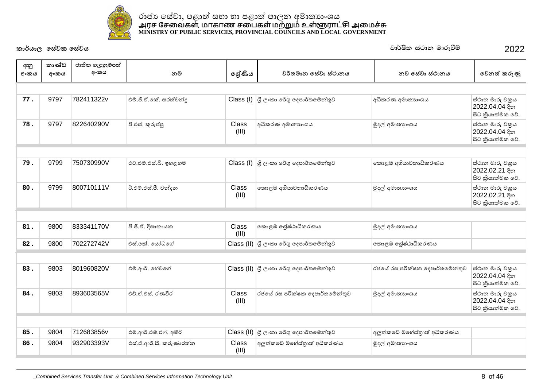

| අනු<br>අංකය | කාණ්ඩ<br>අංකය | ජාතික හැඳුනුම්පත්<br>අංකය | නම                      | ලශ්ණිය         | වර්තමාන සේවා ස්ථානය                     | නව සේවා ස්ථානය                 | වෙනත් කරුණු                                           |
|-------------|---------------|---------------------------|-------------------------|----------------|-----------------------------------------|--------------------------------|-------------------------------------------------------|
|             |               |                           |                         |                |                                         |                                |                                                       |
| 77.         | 9797          | 782411322v                | එම්.ජී.ඒ.කේ. සරත්වන්ද   |                | Class (I) ශූී ලංකා රේගු දෙපාර්තමේන්තුව  | අධිකරණ අමාතාහංශය               | ස්ථාන මාරු චකුය<br>2022.04.04 දින<br>සිට කියාත්මක වේ. |
| 78.         | 9797          | 822640290V                | පී.එස්. කුරුප්පු        | Class<br>(III) | අධිකරණ අමාතාහංශය                        | මුදල් අමාතාගංශය                | ස්ථාන මාරු චකුය<br>2022.04.04 දින<br>සිට කියාත්මක වේ. |
|             |               |                           |                         |                |                                         |                                |                                                       |
| 79.         | 9799          | 750730990V                | එච්.එම්.එස්.බී. ඉහළගම   |                | Class (I) යු ලංකා රේගු දෙපාර්තමේන්තුව   | කොළඹ අභියාවනාධිකරණය            | ස්ථාන මාරු චකුය<br>2022.02.21 දින<br>සිට කියාත්මක වේ. |
| 80.         | 9799          | 800710111V                | ඊ.එම්.එස්.පී. චන්දන     | Class<br>(III) | කොළඹ අභියාචනාධිකරණය                     | මුදල් අමාතාගංශය                | ස්ථාන මාරු චකුය<br>2022.02.21 දින<br>සිට කියාත්මක වේ. |
|             |               |                           |                         |                |                                         |                                |                                                       |
| 81.         | 9800          | 833341170V                | පී.ජී.ඒ. දිසානායක       | Class<br>(III) | කොළඹ ශේෂ්ඨාධිකරණය                       | මුදල් අමාතාහංශය                |                                                       |
| 82.         | 9800          | 702272742V                | එස්.කේ. යෝධගේ           |                | Class (II) ශූී ලංකා රේගු දෙපාර්තමේන්තුව | කොළඹ ශේෂ්ඨාධිකරණය              |                                                       |
|             |               |                           |                         |                |                                         |                                |                                                       |
| 83.         | 9803          | 801960820V                | එම්.ආර්. හේවගේ          |                | Class (II) යු ලංකා රේගු දෙපාර්තමේන්තුව  | රජයේ රස පරීක්ෂක දෙපාර්තමේන්තුව | ස්ථාන මාරු චකුය<br>2022.04.04 දින<br>සිට කියාත්මක වේ. |
| 84.         | 9803          | 893603565V                | එච්.ඒ.එස්. රණවීර        | Class<br>(III) | රජයේ රස පරීක්ෂක දෙපාර්තමේන්තුව          | මුදල් අමාතාගංශය                | ස්ථාන මාරු චකුය<br>2022.04.04 දින<br>සිට කියාත්මක වේ. |
|             |               |                           |                         |                |                                         |                                |                                                       |
| 85.         | 9804          | 712683856v                | එම්.ආර්.එම්.එෆ්. අමීර්  | Class (II)     | ු ලි∘කා රේගු දෙපාර්තමේන්තුව             | අලුත්කඩේ මහේස්තුාත් අධිකරණය    |                                                       |
| 86.         | 9804          | 932903393V                | එස්.ඒ.ආර්.සී. කරුණාරත්ත | Class<br>(III) | අලුත්කඩේ මහේස්තුාත් අධිකරණය             | මුදල් අමාතාගංශය                |                                                       |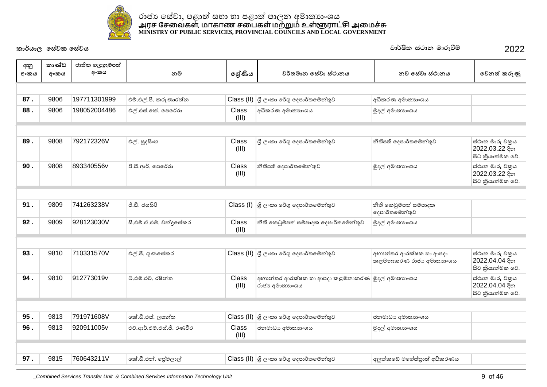

| අනු<br>අංකය | කාණ්ඩ<br>අංකය | ජාතික හැඳුනුම්පත්<br>අංකය | නම                        | ලශ්ණිය                | වර්තමාන සේවා ස්ථානය                                                                             | නව සේවා ස්ථානය                                    | වෙනත් කරුණු                                           |
|-------------|---------------|---------------------------|---------------------------|-----------------------|-------------------------------------------------------------------------------------------------|---------------------------------------------------|-------------------------------------------------------|
|             |               |                           |                           |                       |                                                                                                 |                                                   |                                                       |
| 87.         | 9806          | 197711301999              | එම්.එල්.පී. කරුණාරත්න     |                       | $\textsf{Class}\left(\textsf{II}\right)$ $\beta$ ලංකා රේගු දෙපාර්තමේන්තුව                       | අධිකරණ අමාතාහංශය                                  |                                                       |
| 88.         | 9806          | 198052004486              | එල්.එස්.කේ. පෙරේරා        | <b>Class</b><br>(III) | අධිකරණ අමාතාහංශය                                                                                | මුදල් අමාතාගංශය                                   |                                                       |
|             |               |                           |                           |                       |                                                                                                 |                                                   |                                                       |
| 89.         | 9808          | 792172326V                | එල්. සුදසිංහ              | Class<br>(III)        | ශී ලංකා රේගු දෙපාර්තමේන්තුව                                                                     | නීතිපති දෙපාර්තමේන්තුව                            | ස්ථාන මාරු චකුය<br>2022.03.22 දින<br>සිට කියාත්මක වේ. |
| 90.         | 9808          | 893340556v                | පී.සී.ආර්. පෙරේරා         | Class<br>(III)        | නීතිපති දෙපාර්තමේන්තුව                                                                          | මුදල් අමාතාහංශය                                   | ස්ථාන මාරු චකුය<br>2022.03.22 දින<br>සිට කියාත්මක වේ. |
|             |               |                           |                           |                       |                                                                                                 |                                                   |                                                       |
| 91.         | 9809          | 741263238V                | ජී.ඩී. ජයසිරි             |                       | $\textsf{Class} \left( \mathsf{I} \right) \left  \mathfrak{F} \right.$ ලංකා රේගු දෙපාර්තමේන්තුව | නීති කෙටුම්පත් සම්පාදක<br>දෙපාර්තමේන්තුව          |                                                       |
| 92.         | 9809          | 928123030V                | සී.එම්.ඒ.එම්. චන්දුසේකර   | Class<br>(III)        | නීති කෙටුම්පත් සම්පාදක දෙපාර්තමේන්තුව                                                           | මුදල් අමාතාහංශය                                   |                                                       |
|             |               |                           |                           |                       |                                                                                                 |                                                   |                                                       |
| 93.         | 9810          | 710331570V                | එල්.පී. ගුණසේකර           |                       | $\text{Class (II)}$ ගුී ලංකා රේගු දෙපාර්තමේන්තුව                                                | අභාන්තර ආරක්ෂක හා ආපදා<br>කළමනාකරණ රාජා අමාතාාංශය | ස්ථාන මාරු චකුය<br>2022.04.04 දින<br>සිට කියාත්මක වේ. |
| 94.         | 9810          | 912773019v                | බී.එම්.එච්. රෂින්ත        | Class<br>(III)        | අභාන්තර ආරක්ෂක හා ආපදා කළමනාකරණ මුදල් අමාතාාංශය<br>රාජා අමාතාා∘ශය                               |                                                   | ස්ථාන මාරු චකුය<br>2022.04.04 දින<br>සිට කියාත්මක වේ. |
|             |               |                           |                           |                       |                                                                                                 |                                                   |                                                       |
| 95.         | 9813          | 791971608V                | කේ.ඩී.එස්. ලසන්ත          | Class (II)            | ශූී ලංකා රේගු දෙපාර්තමේන්තුව                                                                    | ජනමාධා අමාතාහංශය                                  |                                                       |
| 96.         | 9813          | 920911005v                | එච්.ආර්.එම්.එස්.ජී. රණවීර | <b>Class</b><br>(III) | ජනමාධා අමාතාහංශය                                                                                | මුදල් අමාතාගංශය                                   |                                                       |
|             |               |                           |                           |                       |                                                                                                 |                                                   |                                                       |
| 97.         | 9815          | 760643211V                | කේ.ඩී.එන්. ජේමලාල්        |                       | $\textsf{Class}\left(\textsf{II}\right)$ යු ලංකා රේගු දෙපාර්තමේන්තුව                            | අලුත්කඩේ මහේස්තුාත් අධිකරණය                       |                                                       |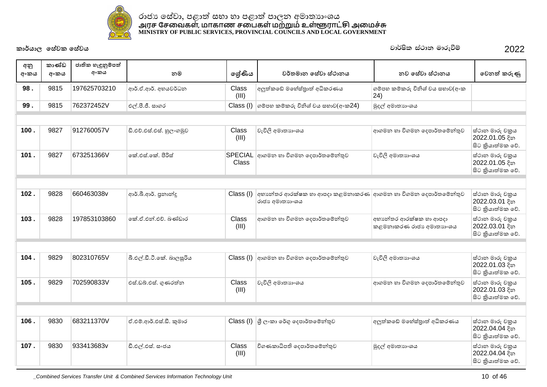

| අනු<br>අංකය | කාණ්ඩ<br>අංකය | ජාතික හැඳුනුම්පත්<br>අංකය | නම                        | ලශ්ණිය         | වර්තමාන සේවා ස්ථානය                                                                             | නව සේවා ස්ථානය                                    | වෙනත් කරුණු                                           |
|-------------|---------------|---------------------------|---------------------------|----------------|-------------------------------------------------------------------------------------------------|---------------------------------------------------|-------------------------------------------------------|
| 98.         | 9815          | 197625703210              | ආර්.ඒ.ආර්. අභයවර්ධන       | Class<br>(III) | අලුත්කඩේ මහේස්තුාත් අධිකරණය                                                                     | ගම්පහ කම්කරු විනිශ් වය සභාව(අංක<br>(24)           |                                                       |
| 99.         | 9815          | 762372452V                | එල්.පී.ජී. සාගර           |                | $Class$ (I) ගම්පහ කම්කරු විනිශ් වය සභාව $($ අංක $24)$                                           | මුදල් අමාතාහංශය                                   |                                                       |
|             |               |                           |                           |                |                                                                                                 |                                                   |                                                       |
| 100.        | 9827          | 912760057V                | ඩි.එච්.එස්.එස්. හූලංගමුව  | Class<br>(III) | වැවිලි අමාතාගංශය                                                                                | ආගමන හා විගමන දෙපාර්තමේන්තුව                      | ස්ථාන මාරු චකුය<br>2022.01.05 දින<br>සිට කියාත්මක වේ. |
| 101.        | 9827          | 673251366V                | ් කේ.එස්.කේ. පීරිස්       | <b>Class</b>   | SPECIAL ආගමන හා විගමන දෙපාර්තමේන්තුව                                                            | වැවිලි අමාතාගංශය                                  | ස්ථාන මාරු චකුය<br>2022.01.05 දින<br>සිට කියාත්මක වේ. |
|             |               |                           |                           |                |                                                                                                 |                                                   |                                                       |
| 102.        | 9828          | 660463038v                | ආර්.බී.ආර්. පුනාන්දු      | Class (I)      | අභාන්තර ආරක්ෂක හා ආපදා කළමනාකරණ ආගමන හා විගමන දෙපාර්තමේන්තුව<br>රාජා අමාතාහංශය                  |                                                   | ස්ථාන මාරු චකුය<br>2022.03.01 දින<br>සිට කියාත්මක වේ. |
| 103.        | 9828          | 197853103860              | කේ.ඒ.එන්.එච්. බණ්ඩාර      | Class<br>(III) | ආගමන හා විගමන දෙපාර්තමේන්තුව                                                                    | අභානේතර ආරක්ෂක හා ආපදා<br>කළමනාකරණ රාජා අමාතාහංශය | ස්ථාන මාරු චකුය<br>2022.03.01 දින<br>සිට කියාත්මක වේ. |
|             |               |                           |                           |                |                                                                                                 |                                                   |                                                       |
| 104.        | 9829          | 802310765V                | බී.එල්.ඩී.ටී.කේ. බාලසූරිය | Class (I)      | ආගමන හා විගමන දෙපාර්තමේන්තුව                                                                    | වැවිලි අමාතාහංශය                                  | ස්ථාන මාරු චකුය<br>2022.01.03 දින<br>සිට කියාත්මක වේ. |
| 105.        | 9829          | 702590833V                | එස්.ඩබ්.එස්. ගුණරත්න      | Class<br>(III) | වැවිලි අමාතාහංශය                                                                                | ආගමන හා විගමන දෙපාර්තමේන්තුව                      | ස්ථාන මාරු චකුය<br>2022.01.03 දින<br>සිට කියාත්මක වේ. |
|             |               |                           |                           |                |                                                                                                 |                                                   |                                                       |
| 106.        | 9830          | 683211370V                | ඒ.එම්.ආර්.එස්.ඩී. කුමාර   |                | $\textsf{Class} \left( \mathsf{I} \right) \left  \mathfrak{F} \right.$ ලංකා රේගු දෙපාර්තමේන්තුව | අලුත්කඩේ මහේස්තුාත් අධිකරණය                       | ස්ථාන මාරු චකුය<br>2022.04.04 දින<br>සිට කියාත්මක වේ. |
| 107.        | 9830          | 933413683v                | ඩී.එල්.එස්. සංජය          | Class<br>(III) | විගණකාධිපති දෙපාර්තමේන්තුව                                                                      | මුදල් අමාතාහංශය                                   | ස්ථාන මාරු චකුය<br>2022.04.04 දින<br>සිට කියාත්මක වේ. |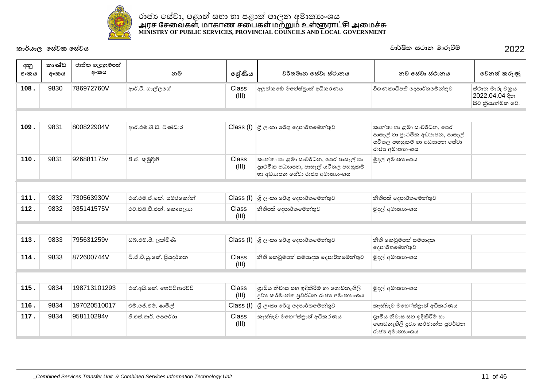

| අනු<br>අංකය | කාණ්ඩ<br>අංකය | ජාතික හැඳුනුම්පත්<br>අංකය | නම                       | ලශ්ණිය         | වර්තමාන සේවා ස්ථානය                                                                                                          | නව සේවා ස්ථානය                                                                                                  | වෙනත් කරුණු                                           |
|-------------|---------------|---------------------------|--------------------------|----------------|------------------------------------------------------------------------------------------------------------------------------|-----------------------------------------------------------------------------------------------------------------|-------------------------------------------------------|
| 108.        | 9830          | 786972760V                | ආර්.ටී. ගාල්ලගේ          | Class<br>(III) | අලුත්කඩේ මහේස්තුාත් අධිකරණය                                                                                                  | විගණකාධිපති දෙපාර්තමේන්තුව                                                                                      | ස්ථාන මාරු චකුය<br>2022.04.04 දින<br>සිට කියාත්මක වේ. |
|             |               |                           |                          |                |                                                                                                                              |                                                                                                                 |                                                       |
| 109.        | 9831          | 800822904V                | ආර්.එම්.බී.ඩී. බණ්ඩාර    |                | Class (I) යු ලංකා රේගු දෙපාර්තමේන්තුව                                                                                        | කාන්තා හා ළමා සංවර්ධන, පෙර<br>පාසැල් හා පාථමික අධාහපන, පාසැල්<br>යටිතල පහසුකම් හා අධාහපන සේවා<br>රාජා අමාතාගංශය |                                                       |
| 110.        | 9831          | 926881175v                | පී.ඒ. කුමුදිනි           | Class<br>(III) | කාන්තා හා ළමා සංවර්ධන, පෙර පාසැල් හා<br>පාථමික අධාහපන, පාසැල් යටිතල පහසුකම්<br>හා අධාහපන සේවා රාජා අමාතාහංශය                 | මුදල් අමාතාහංශය                                                                                                 |                                                       |
|             |               |                           |                          |                |                                                                                                                              |                                                                                                                 |                                                       |
| 111.        | 9832          | 730563930V                | එස්.එම්.ඒ.කේ. සමරකෝන්    |                | $\textsf{Class} \left( \mathsf{I} \right) \left  \mathfrak{F} \right.$ ලංකා රේගු දෙපාර්තමේන්තුව                              | නීතිපති දෙපාර්තමේන්තුව                                                                                          |                                                       |
| 112.        | 9832          | 935141575V                | එච්.ඩබ්.ඩී.එන්. කෞෂලාා   | Class<br>(III) | නීතිපති දෙපාර්තමේන්තුව                                                                                                       | මුදල් අමාතාහංශය                                                                                                 |                                                       |
|             |               |                           |                          |                |                                                                                                                              |                                                                                                                 |                                                       |
| 113.        | 9833          | 795631259v                | ඩබ්.එම්.පී. ලක්මිණි      |                | $\textsf{Class} \left( \mathsf{I} \right) \left  \mathcal{G} \right _{\mathcal{C}^{\circ} \mathfrak{W}}$ ගේගු දෙපාර්තමේන්තුව | නීති කෙටුම්පත් සම්පාදක<br>දෙපාර්තමේන්තුව                                                                        |                                                       |
| 114.        | 9833          | 872600744V                | බී.ඒ.වී.ශූ.කේ. පියදර්ශන  | Class<br>(III) | නීති කෙටුම්පත් සම්පාදක දෙපාර්තමේන්තුව                                                                                        | මුදල් අමාතාහංශය                                                                                                 |                                                       |
|             |               |                           |                          |                |                                                                                                                              |                                                                                                                 |                                                       |
| 115.        | 9834          | 198713101293              | එස්.අයි.කේ. හෙට්ටිආරච්චි | Class<br>(III) | ගුාමීය නිවාස සහ ඉදිකිරීම් හා ගොඩනැගිලි<br>දුවා කර්මාන්ත පුවර්ධන රාජා අමාතාහංශය                                               | මුදල් අමාතාගංශය                                                                                                 |                                                       |
| 116.        | 9834          | 197020510017              | එම්.ජේ.එම්. ෂාමිල්       | Class (I)      | ශී ලංකා රේගු දෙපාර්තමේන්තුව                                                                                                  | කැස්බෑව මහේස්තුාත් අධිකරණය                                                                                      |                                                       |
| 117.        | 9834          | 958110294v                | ජී.එස්.ආර්. පෙරේරා       | Class<br>(III) | කැස්බෑව මහේස්තුාත් අධිකරණය                                                                                                   | ගුාමීය නිවාස සහ ඉදිකිරීම් හා<br>ගොඩනැගිලි දුවා කර්මාන්ත පුවර්ධන<br>රාජා අමාතාගංශය                               |                                                       |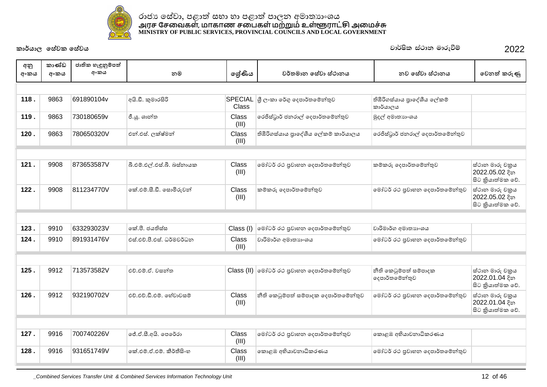

| අනු<br>අංකය | කාණ්ඩ<br>අංකය | ජාතික හැඳුනුම්පත්<br>අංකය | නම                         | ලේණිය          | වර්තමාන සේවා ස්ථානය                       | නව සේවා ස්ථානය                           | වෙනත් කරුණු                                           |
|-------------|---------------|---------------------------|----------------------------|----------------|-------------------------------------------|------------------------------------------|-------------------------------------------------------|
|             |               |                           |                            |                |                                           |                                          |                                                       |
| 118.        | 9863          | 691890104v                | අයි.ඩී. කුමාරසිරි          | Class          | SPECIAL $\beta$ ලංකා රේගු දෙපාර්තමේන්තුව  | තිඹිරිගස්යාය පුාදේශීය ලේකම්<br>කාර්යාලය  |                                                       |
| 119.        | 9863          | 730180659v                | ජී.ශූ. ශාන්ත               | Class<br>(III) | රෙජිස්ටුාර් ජනරාල් දෙපාර්තමේන්තුව         | මුදල් අමාතාහංශය                          |                                                       |
| 120.        | 9863          | 780650320V                | එන්.එස්. ලක්ෂ්මන්          | Class<br>(III) | තිඹිරිගස්යාය පුාදේශීය ලේකම් කාර්යාලය      | රෙජිස්ටුාර් ජනරාල් දෙපාර්තමේන්තුව        |                                                       |
|             |               |                           |                            |                |                                           |                                          |                                                       |
| 121.        | 9908          | 873653587V                | බී.එම්.එල්.එස්.බී. බස්නායක | Class<br>(III) | මෝටර් රථ පුවාහන දෙපාර්තමේන්තුව            | කම්කරු දෙපාර්තමේන්තුව                    | ස්ථාන මාරු චකුය<br>2022.05.02 දින<br>සිට කියාත්මක වේ. |
| 122.        | 9908          | 811234770V                | කේ.එම්.සී.ඩී. සොමිරුවන්    | Class<br>(III) | කම්කරු දෙපාර්තමේන්තුව                     | මෝටර් රථ පුවාහන දෙපාර්තමේන්තුව           | ස්ථාන මාරු චකුය<br>2022.05.02 දින<br>සිට කියාත්මක වේ. |
|             |               |                           |                            |                |                                           |                                          |                                                       |
| 123.        | 9910          | 633293023V                | කේ.පී. ජයතිස්ස             | Class (I)      | මෝටර් රථ පුවාහන දෙපාර්තමේන්තුව            | වාරිමාර්ග අමාතාහංශය                      |                                                       |
| 124.        | 9910          | 891931476V                | එස්.එච්.පී.එස්. ධර්මවර්ධන  | Class<br>(III) | වාරිමාර්ග අමාතාහංශය                       | මෝටර් රථ පුවාහන දෙපාර්තමේන්තුව           |                                                       |
|             |               |                           |                            |                |                                           |                                          |                                                       |
| 125.        | 9912          | 713573582V                | එච්.එම්.ඒ. වසන්ත           |                | Class (II) මෝටර් රථ පුවාහන දෙපාර්තමේන්තුව | නීති කෙටුම්පත් සම්පාදක<br>දෙපාර්තමේන්තුව | ස්ථාන මාරු චකුය<br>2022.01.04 දින<br>සිට කියාත්මක වේ. |
| 126.        | 9912          | 932190702V                | එච්.එච්.ඩී.එම්. හේවාවසම්   | Class<br>(III) | නීති කෙටුම්පත් සම්පාදක දෙපාර්තමේන්තුව     | මෝටර් රථ පුවාහන දෙපාර්තමේන්තුව           | ස්ථාන මාරු චකුය<br>2022.01.04 දින<br>සිට කියාත්මක වේ. |
|             |               |                           |                            |                |                                           |                                          |                                                       |
| 127.        | 9916          | 700740226V                | ජේ.ඒ.සී.අයි. පෙරේරා        | Class<br>(III) | මෝටර් රථ පුවාහන දෙපාර්තමේන්තුව            | කොළඹ අභියාචනාධිකරණය                      |                                                       |
| 128.        | 9916          | 931651749V                | කේ.එම්.ඒ.එම්. කීර්තීසිංහ   | Class<br>(III) | කොළඹ අභියාවනාධිකරණය                       | මෝටර් රථ පුවාහන දෙපාර්තමේන්තුව           |                                                       |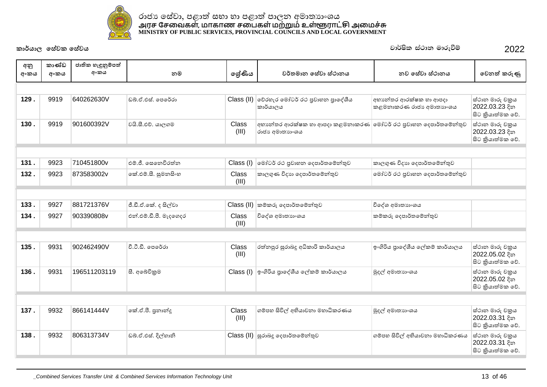

| අනු<br>අංකය | කාණ්ඩ<br>අංකය | ජාතික හැඳුනුම්පත්<br>අංකය | නම                     | ලේණිය                 | වර්තමාන සේවා ස්ථානය                                                               | නව සේවා ස්ථානය                                    | වෙනත් කරුණු                                            |  |  |  |  |
|-------------|---------------|---------------------------|------------------------|-----------------------|-----------------------------------------------------------------------------------|---------------------------------------------------|--------------------------------------------------------|--|--|--|--|
|             |               |                           |                        |                       |                                                                                   |                                                   |                                                        |  |  |  |  |
| 129.        | 9919          | 640262630V                | ඩුබ්.ඒ.එස්. පෙරේරා     |                       | Class (II) වේරහැර මෝටර් රථ පුවාහන පුාදේශීය<br>කාර්යාලය                            | අභානේතර ආරක්ෂක හා ආපදා<br>කළමනාකරණ රාජා අමාතාාංශය | ස්ථාන මාරු චකුය<br>2022.03.23 දින<br>සිට කියාත්මක වේ.  |  |  |  |  |
| 130.        | 9919          | 901600392V                | වයි.සී.එච්. යාලගම      | Class<br>(III)        | අභාන්තර ආරක්ෂක හා ආපදා කළමනාකරණ  මෝටර් රථ පුවාහන දෙපාර්තමේන්තුව<br>රාජා අමාතාගංශය |                                                   | ස්ථාන මාරු චකුය<br>2022.03.23 දින<br>සිට කුියාත්මක වේ. |  |  |  |  |
|             |               |                           |                        |                       |                                                                                   |                                                   |                                                        |  |  |  |  |
| 131.        | 9923          | 710451800v                | එම්.ජී. සෙතෙවිරත්න     | Class (I)             | මෝටර් රථ පුවාහන දෙපාර්තමේන්තුව                                                    | කාලගුණ විදාහ දෙපාර්තමේන්තුව                       |                                                        |  |  |  |  |
| 132.        | 9923          | 873583002v                | කේ.එම්.සී. සුමනසිංහ    | Class<br>(III)        | කාලගුණ විදාහ දෙපාර්තමේන්තුව                                                       | මෝටර් රථ පුවාහන දෙපාර්තමේන්තුව                    |                                                        |  |  |  |  |
|             |               |                           |                        |                       |                                                                                   |                                                   |                                                        |  |  |  |  |
| 133.        | 9927          | 881721376V                | ජී.ඩී.ඒ.කේ. ද සිල්වා   | Class (II)            | කම්කරු දෙපාර්තමේන්තුව                                                             | විදේශ අමාතාහංශය                                   |                                                        |  |  |  |  |
| 134.        | 9927          | 903390808v                | එන්.එම්.ඩී.පී. මැදගෙදර | Class<br>(III)        | විදේශ අමාතාහංශය                                                                   | කම්කරු දෙපාර්තමේන්තුව                             |                                                        |  |  |  |  |
|             |               |                           |                        |                       |                                                                                   |                                                   |                                                        |  |  |  |  |
| 135.        | 9931          | 902462490V                | වී.ටී.ඩී. පෙරේරා       | Class<br>(III)        | රත්තපුර සුරාබදු අධිකාරි කාර්යාලය                                                  | ඉංගිරිය පුාදේශීය ලේකම් කාර්යාලය                   | ස්ථාන මාරු චකුය<br>2022.05.02 දින<br>සිට කිුයාත්මක වේ. |  |  |  |  |
| 136.        | 9931          | 196511203119              | සී. අබේවිකුම           | Class (I)             | ඉංගිරිය පුාදේශීය ලේකම් කාර්යාලය                                                   | මුදල් අමාතාහංශය                                   | ස්ථාන මාරු චකුය<br>2022.05.02 දින<br>සිට කියාත්මක වේ.  |  |  |  |  |
|             |               |                           |                        |                       |                                                                                   |                                                   |                                                        |  |  |  |  |
| 137.        | 9932          | 866141444V                | කේ.ඒ.පී. පුනාන්දු      | <b>Class</b><br>(III) | ගම්පහ සිවිල් අභියාචනා මහාධිකරණය                                                   | මුදල් අමාතාහංශය                                   | ස්ථාන මාරු චකුය<br>2022.03.31 දින<br>සිට කියාත්මක වේ.  |  |  |  |  |
| 138.        | 9932          | 806313734V                | ඩබ්.ඒ.එස්. දිල්හානි    |                       | $\text{Class (II)}$ සුරාබදූ දෙපාර්තමේන්තුව                                        | ගම්පහ සිවිල් අභියාචනා මහාධිකරණය                   | ස්ථාන මාරු චකුය<br>2022.03.31 දින<br>සිට කියාත්මක වේ.  |  |  |  |  |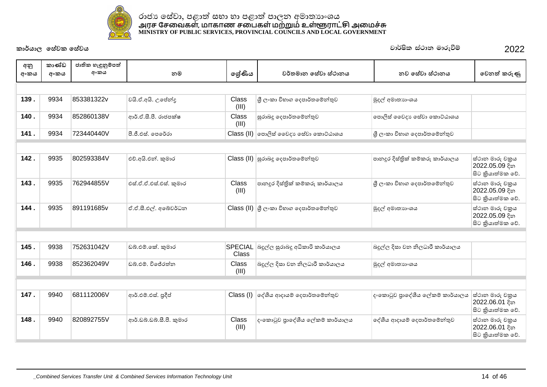

| අනු<br>අංකය | කාණ්ඩ<br>අංකය | ජාතික හැඳුනුම්පත්<br>අංකය | නම                     | ලශ්ණිය         | වර්තමාන සේවා ස්ථානය                     | නව සේවා ස්ථානය                  | වෙනත් කරුණු                                           |
|-------------|---------------|---------------------------|------------------------|----------------|-----------------------------------------|---------------------------------|-------------------------------------------------------|
|             |               |                           |                        |                |                                         |                                 |                                                       |
| 139.        | 9934          | 853381322v                | වයි.ඒ.අයි. උපේන්දු     | Class<br>(III) | ශී ලංකා විහාග දෙපාර්තමේන්තුව            | මුදල් අමාතාගංශය                 |                                                       |
| 140.        | 9934          | 852860138V                | ආර්.ඒ.සී.පී. රාජපක්ෂ   | Class<br>(III) | සුරාබදු දෙපාර්තමේන්තුව                  | පොලිස් වෛදා පෙස්වා කොට්ඨාශය     |                                                       |
| 141.        | 9934          | 723440440V                | පී.ජී.එස්, පෙරේරා      |                | Class (II)   පොලිස් වෛදා ෙස්වා කොට්ඨාශය | ශී ලංකා විහාග දෙපාර්තමේන්තුව    |                                                       |
|             |               |                           |                        |                |                                         |                                 |                                                       |
| 142.        | 9935          | 802593384V                | එච්.අයි.එන්. කුමාර     |                | Class (II) සුරාබදු දෙපාර්තමේන්තුව       | පානදුර දිස්තික් කම්කරු කාර්යාලය | ස්ථාන මාරු චකුය<br>2022.05.09 දින<br>සිට කියාත්මක වේ. |
| 143.        | 9935          | 762944855V                | එස්.ඒ.ඒ.එස්.එස්. කුමාර | Class<br>(III) | පානදුර දිස්තිුක් කම්කරු කාර්යාලය        | ශී ලංකා විහාග දෙපාර්තමේන්තුව    | ස්ථාන මාරු චකුය<br>2022.05.09 දින<br>සිට කියාත්මක වේ. |
| 144.        | 9935          | 891191685v                | ඒ.ඒ.සී.එල්. අබේවර්ධන   |                | Class (II) යු ලංකා විහාග දෙපාර්තමේන්තුව | මුදල් අමාතාගංශය                 | ස්ථාන මාරු චකුය<br>2022.05.09 දින<br>සිට කියාත්මක වේ. |
|             |               |                           |                        |                |                                         |                                 |                                                       |
| 145.        | 9938          | 752631042V                | ඩබ්.එම්.කේ. කුමාර      | Class          | SPECIAL බදුල්ල සුරාබදු අධිකාරි කාර්යාලය | බදුල්ල දිසා වන නිලධාරී කාර්යාලය |                                                       |
| 146.        | 9938          | 852362049V                | ඩුබු එම්, විජේරත්ත     | Class<br>(III) | බදුල්ල දිසා වන නිලධාරී කාර්යාලය         | මුදල් අමාතාහංශය                 |                                                       |

| 147. | 9940 | 681112006V | ආර්.එම්.එස්. පුදීප්      |                | Class (I)  ලද්ශීය ආදායම් ලදපාර්තමේන්තුව | දංකොටුව පුාදේශීය ලේකම් කාර්යාලය  ස්ථාන මාරු චකුය | 2022.06.01 දින<br>සිට කියාත්මක වේ.                      |
|------|------|------------|--------------------------|----------------|-----------------------------------------|--------------------------------------------------|---------------------------------------------------------|
| 148. | 9940 | 820892755V | ආර්.ඩබ්.ඩබ්.සී.පී. කුමාර | Class<br>(III) | දංකොටුව පාදේශීය ලේකම් කාර්යාලය          | ලද්ශීය ආදායම් දෙපාර්තමේන්තුව                     | ස්ථාන මාරු චකුය<br> 2022.06.01 දින<br> සිට කියාත්මක වේ. |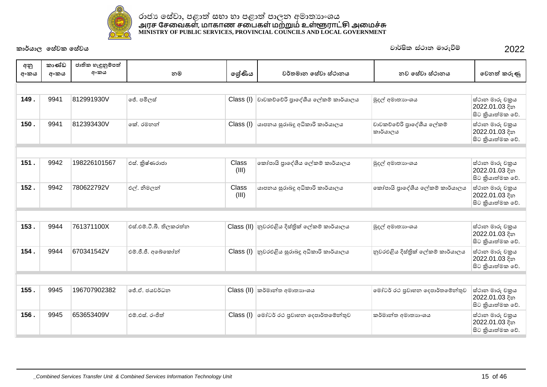

| අනු<br>අංකය | කාණ්ඩ<br>අංකය | ජාතික හැඳුනුම්පත්<br>අංකය | නම                      | ලේණිය          | වර්තමාන සේවා ස්ථානය                         | නව සේවා ස්ථානය                       | වෙනත් කරුණු                                            |
|-------------|---------------|---------------------------|-------------------------|----------------|---------------------------------------------|--------------------------------------|--------------------------------------------------------|
|             |               |                           |                         |                |                                             |                                      |                                                        |
| 149.        | 9941          | 812991930V                | ජේ. පමිලස්              | Class (I)      | වාවකච්චේරි පාදේශීය ලේකම් කාර්යාලය           | මුදල් අමාතාගංශය                      | ස්ථාන මාරු චකුය<br>2022.01.03 දින<br>සිට කියාත්මක වේ.  |
| 150.        | 9941          | 812393430V                | කේ. රමනන්               | Class (I)      | යාපනය සුරාබදු අධිකාරි කාර්යාලය              | වාවකව්වේරි පාලේශීය ලේකම්<br>කාර්යාලය | ස්ථාන මාරු චකුය<br>2022.01.03 දින<br>සිට කියාත්මක වේ.  |
|             |               |                           |                         |                |                                             |                                      |                                                        |
| 151.        | 9942          | 198226101567              | එස්. කිුෂ්ණරාජා         | Class<br>(III) | කෝපායි පාදේශීය ලේකම් කාර්යාලය               | මුදල් අමාතාගංශය                      | ස්ථාන මාරු චකුය<br>2022.01.03 දින<br>සිට කියාත්මක වේ.  |
| 152.        | 9942          | 780622792V                | එල්. නිමලන්             | Class<br>(III) | යාපනය සුරාබදු අධිකාරි කාර්යාලය              | කෝපායි පාදේශීය ලේකම් කාර්යාලය        | ස්ථාන මාරු චකුය<br>2022.01.03 දින<br>සිට කියාත්මක වේ.  |
|             |               |                           |                         |                |                                             |                                      |                                                        |
| 153.        | 9944          | 761371100X                | එස්.එම්.ටී.බී. තිලකරත්න |                | Class (II) නුවරඑළිය දිස්තික් ලේකම් කාර්යාලය | මුදල් අමාතාගංශය                      | ස්ථාන මාරු චකුය<br>2022.01.03 දින<br>සිට කුියාත්මක වේ. |
| 154.        | 9944          | 670341542V                | එම්.ජී.ජී. අබේකෝන්      | Class (I)      | නුවරඑළිය සුරාබදු අධිකාරි කාර්යාලය           | නුවරඑළිය දිස්තික් ලේකම් කාර්යාලය     | ස්ථාන මාරු චකුය<br>2022.01.03 දින<br>සිට කියාත්මක වේ.  |
|             |               |                           |                         |                |                                             |                                      |                                                        |
| 155.        | 9945          | 196707902382              | ජේ.ඒ. ජයවර්ධන           | Class (II)     | කර්මාන්ත අමාතාහංශය                          | මෝටර් රථ පුවාහන දෙපාර්තමේන්තුව       | ස්ථාන මාරු චකුය<br> 2022.01.03 දින<br>සිට කියාත්මක වේ. |
| 156.        | 9945          | 653653409V                | එම්.එස්. රංජිත්         | Class (I)      | මෝටර් රථ පුවාහන දෙපාර්තමේන්තුව              | කර්මාන්ත අමාතාහංශය                   | ස්ථාන මාරු චකුය<br>2022.01.03 දින<br>සිට කියාත්මක වේ.  |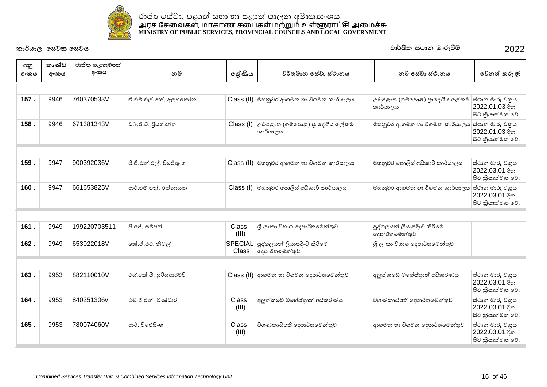

| අනු<br>අංකය | කාණ්ඩ<br>අංකය | ජාතික හැඳුනුම්පත්<br>අංකය | නම                      | ලශ්ණිය                  | වර්තමාන සේවා ස්ථානය                           | නව සේවා ස්ථානය                                | වෙනත් කරුණු                                           |
|-------------|---------------|---------------------------|-------------------------|-------------------------|-----------------------------------------------|-----------------------------------------------|-------------------------------------------------------|
|             |               |                           |                         |                         |                                               |                                               |                                                       |
| 157.        | 9946          | 760370533V                | ඒ.එම්.එල්.කේ. අලහකෝන්   |                         | Class (II) මහනුවර ආගමන හා විගමන කාර්යාලය      | උඩපළාත (ගම්පොළ) පුාදේශීය ලේකම්<br>කාර්යාලය    | ස්ථාන මාරු චකුය<br>2022.01.03 දින<br>සිට කියාත්මක වේ. |
| 158.        | 9946          | 671381343V                | ඩබ්.ජී.ටී. පියශාන්ත     | Class (I)               | උඩපළාත (ගම්පොළ) පාදේශීය ලේකම්<br>කාර්යාලය     | මහනුවර ආගමන හා විගමන කාර්යාලය                 | ස්ථාන මාරු චකුය<br>2022.01.03 දින<br>සිට කියාත්මක වේ. |
|             |               |                           |                         |                         |                                               |                                               |                                                       |
| 159.        | 9947          | 900392036V                | ජී.ජී.එන්.එල්. විජේතුංග |                         | Class (II) මහනුවර ආගමන හා විගමන කාර්යාලය      | මහනුවර පොලිස් අධිකාරී කාර්යාලය                | ස්ථාන මාරු චකුය<br>2022.03.01 දින<br>සිට කියාත්මක වේ. |
| 160.        | 9947          | 661653825V                | ආර්.එම්.එන්. රත්නායක    | Class (I)               | මහනුවර පොලිස් අධිකාරී කාර්යාලය                | මහනුවර ආගමන හා විගමන කාර්යාලය                 | ස්ථාන මාරු චකුය<br>2022.03.01 දින<br>සිට කියාත්මක වේ. |
|             |               |                           |                         |                         |                                               |                                               |                                                       |
| 161.        | 9949          | 199220703511              | පී.ජේ. සම්පත්           | Class<br>(III)          | ශුී ලංකා විහාග දෙපාර්තමේන්තුව                 | පුද්ගලයන් ලියාපදිංචි කිරීමේ<br>දෙපාර්තමේන්තුව |                                                       |
| 162.        | 9949          | 653022018V                | කේ.ඒ.එච්. නිමල්         | <b>SPECIAL</b><br>Class | පුද්ගලයන් ලියාපදිංචි කිරීමේ<br>දෙපාර්තමේන්තුව | ශී ලංකා විහාග දෙපාර්තමේන්තුව                  |                                                       |
|             |               |                           |                         |                         |                                               |                                               |                                                       |
| 163.        | 9953          | 882110010V                | එස්.කේ.සී. සුරියආරච්චි  |                         | Class (II) ආගමන හා විගමන දෙපාර්තමේන්තුව       | අලුත්කඩේ මහේස්තුාත් අධිකරණය                   | ස්ථාන මාරු චකුය<br>2022.03.01 දින<br>සිට කියාත්මක වේ. |
| 164.        | 9953          | 840251306v                | එම්.ජී.එන්. බණ්ඩාර      | Class<br>(III)          | අලුත්කඩේ මහේස්තුාත් අධිකරණය                   | විගණකාධිපති දෙපාර්තමේන්තුව                    | ස්ථාන මාරු චකුය<br>2022.03.01 දින<br>සිට කියාත්මක වේ. |
| 165.        | 9953          | 780074060V                | ආර්. විජේසිංහ           | Class<br>(III)          | විගණකාධිපති දෙපාර්තමේන්තුව                    | ආගමන හා විගමන දෙපාර්තමේන්තුව                  | ස්ථාන මාරු චකුය<br>2022.03.01 දින<br>සිට කියාත්මක වේ. |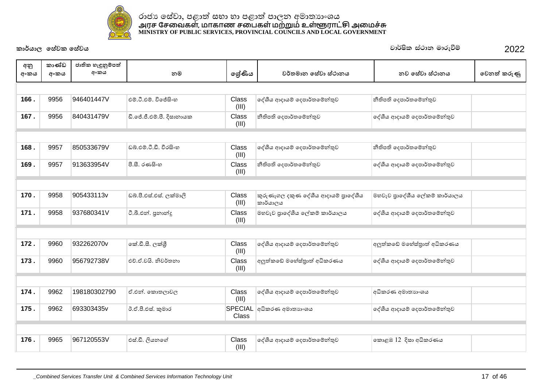

| අනු<br>අංකය | කාණ්ඩ<br>අංකය | ජාතික හැඳුනුම්පත්<br>අංකය | නම                        | ලේණිය          | වර්තමාන සේවා ස්ථානය                             | නව සේවා ස්ථානය                | වෙනත් කරුණු |
|-------------|---------------|---------------------------|---------------------------|----------------|-------------------------------------------------|-------------------------------|-------------|
|             |               |                           |                           |                |                                                 |                               |             |
| 166.        | 9956          | 946401447V                | එම්.ටී.එම්. විජේසිංහ      | Class<br>(III) | දේශීය ආදායම් දෙපාර්තමේන්තුව                     | නීතිපති දෙපාර්තමේන්තුව        |             |
| 167.        | 9956          | 840431479V                | ඩී.ජේ.ජී.එම්.පී. දිසානායක | Class<br>(III) | නීතිපති දෙපාර්තමේන්තුව                          | දේශීය ආදායම් දෙපාර්තමේන්තුව   |             |
|             |               |                           |                           |                |                                                 |                               |             |
| 168.        | 9957          | 850533679V                | ඩබු,එම්,ටී.ඩී, වීරසිංහ    | Class<br>(III) | දේශීය ආදායම් දෙපාර්තමේන්තුව                     | නීතිපති දෙපාර්තමේන්තුව        |             |
| 169.        | 9957          | 913633954V                | පී.සී. රණසිංහ             | Class<br>(III) | නීතිපති දෙපාර්තමේන්තුව                          | දේශීය ආදායම් දෙපාර්තමේන්තුව   |             |
|             |               |                           |                           |                |                                                 |                               |             |
| 170.        | 9958          | 905433113v                | ඩබ්.පී.එස්.එස්. ලක්මාලි   | Class<br>(III) | කුරුණෑගල දකුණ දේශීය ආදායම් පුාදේශීය<br>කාර්යාලය | මහවැව පුාදේශීය ලේකම් කාර්යාලය |             |
| 171.        | 9958          | 937680341V                | ටී.බී.එන්. පුනාන්දු       | Class<br>(III) | මහවැව පාදේශීය ලේකම් කාර්යාලය                    | දේශීය ආදායම් දෙපාර්තමේන්තුව   |             |
|             |               |                           |                           |                |                                                 |                               |             |
| 172.        | 9960          | 932262070v                | ංක්.ඩී.සී. ලක්ශී          | Class<br>(III) | දේශීය ආදායම් දෙපාර්තමේන්තුව                     | අලුත්කඩේ මහේස්තුාත් අධිකරණය   |             |
| 173.        | 9960          | 956792738V                | එච්.ඒ.වයි. නිවර්තනා       | Class<br>(III) | අලුත්කඩේ මහේස්තුාත් අධිකරණය                     | දේශීය ආදායම් දෙපාර්තමේන්තුව   |             |
|             |               |                           |                           |                |                                                 |                               |             |
| 174.        | 9962          | 198180302790              | ඒ.එන්. කොතලාවල            | Class<br>(III) | දේශීය ආදායම් දෙපාර්තමේන්තුව                     | අධිකරණ අමාතාහංශය              |             |
| 175.        | 9962          | 693303435v                | ඊ.ඒ.පී.එස්. කුමාර         | <b>Class</b>   | SPECIAL අධිකරණ අමාතාහංශය                        | දේශීය ආදායම් දෙපාර්තමේන්තුව   |             |
|             |               |                           |                           |                |                                                 |                               |             |
| 176.        | 9965          | 967120553V                | එස්.ඩී. ලියනගේ            | Class<br>(III) | දේශීය ආදායම් දෙපාර්තමේන්තුව                     | කොළඹ 12 දිසා අධිකරණය          |             |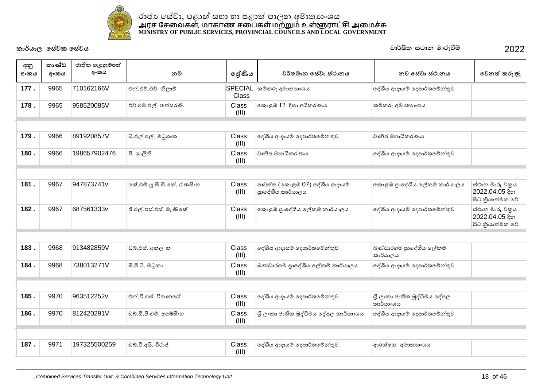

| අනු<br>අංකය | කාණ්ඩ<br>අංකය | ජාතික හැඳුනුම්පත්<br>අංකය | නම                         | ලශ්ණිය                | වර්තමාන සේවා ස්ථානය                               | නව සේවා ස්ථානය                           | වෙනත් කරුණු                                           |
|-------------|---------------|---------------------------|----------------------------|-----------------------|---------------------------------------------------|------------------------------------------|-------------------------------------------------------|
| 177.        | 9965          | 710162166V                | එන්.එම්.එච්. නිලාම්        | Class                 | SPECIAL කම්කරු අමාතාහංශය                          | දේශීය ආදායම් දෙපාර්තමේන්තුව              |                                                       |
| 178.        | 9965          | 958520085V                | එච්.එම්.එල්. තත්සරණි       | <b>Class</b><br>(III) | කොළඹ 12 දිසා අධිකරණය                              | කම්කරු අමාතාහංශය                         |                                                       |
|             |               |                           |                            |                       |                                                   |                                          |                                                       |
| 179.        | 9966          | 891920857V                | බී.එල්.එල්. මධුශංක         | Class<br>(III)        | දේශීය ආදායම් දෙපාර්තමේන්තුව                       | වානිජ මහාධිකරණය                          |                                                       |
| 180.        | 9966          | 198657902476              | පී. ශාලීනි                 | Class<br>(III)        | වානිජ මහාධිකරණය                                   | දේශීය ආදායම් දෙපාර්තමේන්තුව              |                                                       |
|             |               |                           |                            |                       |                                                   |                                          |                                                       |
| 181.        | 9967          | 947873741v                | කේ.එම්.යූ.සී.ඩී.කේ. රණසිංහ | Class<br>(III)        | ජාවත්ත (කොළඹ 07) දේශීය ආදායම්<br>පාදේශීය කාර්යාලය | කොළඹ පුාදේශීය ලේකම් කාර්යාලය             | ස්ථාන මාරු චකුය<br>2022.04.05 දින<br>සිට කියාත්මක වේ. |
| 182.        | 9967          | 687561333v                | ජී.එල්.එස්.එස්. මැණිකේ     | Class<br>(III)        | කොළඹ පුාදේශීය ලේකම් කාර්යාලය                      | දේශීය ආදායම් දෙපාර්තමේන්තුව              | ස්ථාන මාරු චකුය<br>2022.04.05 දින<br>සිට කියාත්මක වේ. |
|             |               |                           |                            |                       |                                                   |                                          |                                                       |
| 183.        | 9968          | 913482859V                | ඩබ්.එස්. අකලංක             | Class<br>(III)        | දේශීය ආදායම් දෙපාර්තමේන්තුව                       | බණ්ඩාරගම පාදේශීය ලේකම්<br>කාර්යාලය       |                                                       |
| 184.        | 9968          | 738013271V                | බී.පී.ටී. මධුකා            | Class<br>(III)        | බණ්ඩාරගම පුාදේශීය ලේකම් කාර්යාලය                  | දේශීය ආදායම් දෙපාර්තමේන්තුව              |                                                       |
|             |               |                           |                            |                       |                                                   |                                          |                                                       |
| 185.        | 9970          | 963512252v                | එන්.වී.එස්, විතානගේ        | Class<br>(III)        | දේශීය ආදායම් දෙපාර්තමේන්තුව                       | ශී ලංකා ජාතික බුද්ධිමය දේපල<br>කාර්යාංශය |                                                       |
| 186.        | 9970          | 812420291V                | ඩබ්.ඩී.පී.එම්. අබේසිංහ     | Class<br>(III)        | ශී ලංකා ජාතික බුද්ධිමය දේපල කාර්යාංශය             | දේශීය ආදායම් දෙපාර්තමේන්තුව              |                                                       |
|             |               |                           |                            |                       |                                                   |                                          |                                                       |
| 187.        | 9971          | 197325500259              | ඩබ්.වී.අයි. විරාජ්         | Class<br>(III)        | දේශීය ආදායම් දෙපාර්තමේන්තුව                       | ආරක්ෂක අමාතාහංශය                         |                                                       |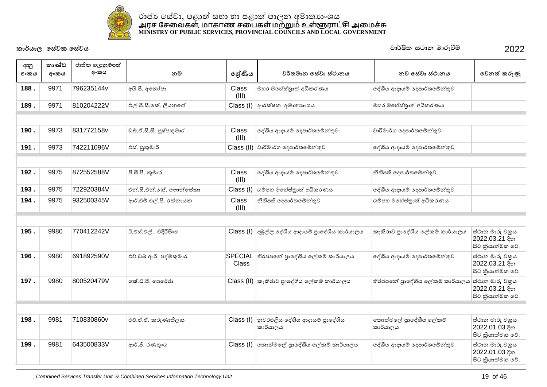

| අනු<br>අංකය | කාණ්ඩ<br>අංකය | ජාතික හැඳුනුම්පත්<br>අංකය | නම                      | ලශ්ණිය         | වර්තමාන සේවා ස්ථානය                                                              | නව සේවා ස්ථානය                    | වෙනත් කරුණු                                           |
|-------------|---------------|---------------------------|-------------------------|----------------|----------------------------------------------------------------------------------|-----------------------------------|-------------------------------------------------------|
| 188.        | 9971          | 796235144v                | අයි.පී. අනෝජා           | Class<br>(III) | මහර මහේස්තුාත් අධිකරණය                                                           | දේශීය ආදායම් දෙපාර්තමේන්තුව       |                                                       |
| 189.        | 9971          | 810204222V                | එල්.පී.සී.කේ. ලියනගේ    |                | $Class (I)$ අාරක්ෂක අමාතාහංශය                                                    | මහර මහේස්තුාත් අධිකරණය            |                                                       |
|             |               |                           |                         |                |                                                                                  |                                   |                                                       |
| 190.        | 9973          | 831772158v                | ඩබ්.ඒ.සී.සී. පුෂ්පකුමාර | Class<br>(III) | දේශීය ආදායම් දෙපාර්තමේන්තුව                                                      | වාරිමාර්ග දෙපාර්තමේන්තුව          |                                                       |
| 191.        | 9973          | 742211096V                | එස්. සුකුමාර්           |                | $Class (II)$ වාරිමාර්ග දෙපාර්තමේන්තුව                                            | දේශීය ආදායම් දෙපාර්තමේන්තුව       |                                                       |
|             |               |                           |                         |                |                                                                                  |                                   |                                                       |
| 192.        | 9975          | 872552588V                | පී.සී.පී. කුමාර         | Class<br>(III) | දේශීය ආදායම් දෙපාර්තමේන්තුව                                                      | නීතිපති දෙපාර්තමේන්තුව            |                                                       |
| 193.        | 9975          | 722920384V                | එන්.සී.එන්.කේ. ෆොන්සේකා | Class (I)      | ගම්පහ මහේස්තුාත් අධිකරණය                                                         | දේශීය ආදායම් දෙපාර්තමේන්තුව       |                                                       |
| 194.        | 9975          | 932500345V                | ආර්.එම්.එල්.පී. රත්නායක | Class<br>(III) | නීතිපති දෙපාර්තමේන්තුව                                                           | ගම්පහ මහේස්තුාත් අධිකරණය          |                                                       |
|             |               |                           |                         |                |                                                                                  |                                   |                                                       |
| 195.        | 9980          | 770412242V                | ඊ.එස්.එල්. එදිරිසිංහ    |                | $\textsf{Class} \left( \mathsf{I} \right)$ දඹුල්ල දේශීය ආදායම් පුාදේශීය කාර්යාලය | කැකිරාව පාදේශීය ලේකම් කාර්යාලය    | ස්ථාන මාරු චකුය<br>2022.03.21 දින<br>සිට කියාත්මක වේ. |
| 196.        | 9980          | 691892590V                | එච්.ඩබ්.ආර්. පද්මකුමාර  | Class          | SPECIAL තිරප්පතේ පුාදේශීය ලේකම් කාර්යාලය                                         | දේශීය ආදායම් දෙපාර්තමේන්තුව       | ස්ථාන මාරු චකුය<br>2022.03.21 දින<br>සිට කියාත්මක වේ. |
| 197.        | 9980          | 800520479V                | කේ.ඩී.පී. පෙරේරා        |                | $Class$ (II) $ $ කැකිරාව පුාදේශීය ලේකම් කාර්යාලය                                 | තිරප්පතේ පුාදේශීය ලේකම් කාර්යාලය  | ස්ථාන මාරු චකුය<br>2022.03.21 දින<br>සිට කියාත්මක වේ. |
|             |               |                           |                         |                |                                                                                  |                                   |                                                       |
| 198.        | 9981          | 710830860v                | එච්.ඒ.ඒ. කරුණාතිලක      | Class (I)      | නුවරඑළිය දේශීය ආදායම් පාදේශීය<br>කාර්යාලය                                        | කොත්මලේ පාදේශීය ලේකම්<br>කාර්යාලය | ස්ථාන මාරු චකුය<br>2022.01.03 දින<br>සිට කියාත්මක වේ. |
| 199.        | 9981          | 643500833V                | ආර්.ජී. රණතුංග          | Class (I)      | කොත්මලේ පුාදේශීය ලේකම් කාර්යාලය                                                  | දේශීය ආදායම් දෙපාර්තමේන්තුව       | ස්ථාන මාරු චකුය<br>2022.01.03 දින<br>සිට කියාත්මක වේ. |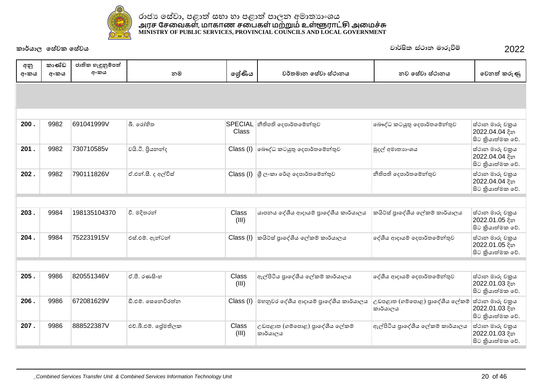

|             | කාර්යාල සේවක සේවය |                           |                     |                         |                                                                                                   | වාර්ෂික ස්ථාන මාරුවීම්                     | 2022                                                   |
|-------------|-------------------|---------------------------|---------------------|-------------------------|---------------------------------------------------------------------------------------------------|--------------------------------------------|--------------------------------------------------------|
| අනු<br>අංකය | කාණ්ඩ<br>අංකය     | ජාතික හැඳුනුම්පත්<br>අංකය | නම                  | ලේණිය                   | වර්තමාන සේවා ස්ථානය                                                                               | නව සේවා ස්ථානය                             | වෙනත් කරුණු                                            |
|             |                   |                           |                     |                         |                                                                                                   |                                            |                                                        |
|             |                   |                           |                     |                         |                                                                                                   |                                            |                                                        |
| 200.        | 9982              | 691041999V                | බී. රෝහිත           | <b>SPECIAL</b><br>Class | නීතිපති දෙපාර්තමේන්තුව                                                                            | බෞද්ධ කටයුතු දෙපාර්තමේන්තුව                | ස්ථාන මාරු චකුය<br>2022.04.04 දින<br>සිට කුියාත්මක වේ. |
| 201.        | 9982              | 730710585v                | වයි.ටී. පියනන්ද     | Class (I)               | බෞද්ධ කටයුතු දෙපාර්තමේන්තුව                                                                       | මුදල් අමාතාහංශය                            | ස්ථාන මාරු චකුය<br>2022.04.04 දින<br>සිට කියාත්මක වේ.  |
| 202.        | 9982              | 790111826V                | ඒ.එන්.සී. ද අල්විස් |                         | $\textsf{Class} \left( \mathsf{I} \right) \left  \text{G} \right\rangle$ ලංකා රේගු දෙපාර්තමේන්තුව | නීතිපති දෙපාර්තමේන්තුව                     | ස්ථාන මාරු චකුය<br>2022.04.04 දින<br>සිට කියාත්මක වේ.  |
|             |                   |                           |                     |                         |                                                                                                   |                                            |                                                        |
| 203.        | 9984              | 198135104370              | වී. මදිතරන්         | Class<br>(III)          | යාපනය දේශීය ආදායම් පුාදේශීය කාර්යාලය                                                              | කයිට්ස් පාදේශීය ලේකම් කාර්යාලය             | ස්ථාන මාරු චකුය<br>2022.01.05 දින<br>සිට කියාත්මක වේ.  |
| 204.        | 9984              | 752231915V                | එස්.එම්. ඇන්ටන්     | Class (I)               | කයිට්ස් පුාදේශීය ලේකම් කාර්යාලය                                                                   | දේශීය ආදායම් දෙපාර්තමේන්තුව                | ස්ථාන මාරු චකුය<br>2022.01.05 දින<br>සිට කියාත්මක වේ.  |
|             |                   |                           |                     |                         |                                                                                                   |                                            |                                                        |
| 205.        | 9986              | 820551346V                | ඒ.පී. රණසිංහ        | Class<br>(III)          | ඇල්පිටිය පාදේශීය ලේකම් කාර්යාලය                                                                   | දේශීය ආදායම් දෙපාර්තමේන්තුව                | ස්ථාන මාරු චකුය<br>2022.01.03 දින<br>සිට කියාත්මක වේ.  |
| 206.        | 9986              | 672081629V                | ඩී.එම්. සෙනෙවිරත්න  | Class (I)               | මහනුවර දේශීය ආදායම් පාදේශීය කාර්යාලය                                                              | උඩපළාත (ගම්පොළ) පුාදේශීය ලේකම්<br>කාර්යාලය | ස්ථාන මාරු චකුය<br>2022.01.03 දින<br>සිට කියාත්මක වේ.  |
| 207.        | 9986              | 888522387V                | එච්.බී.එම්. ලේමතිලක | Class<br>(III)          | උඩපළාත (ගම්පොළ) පුාදේශීය ලේකම්<br>කාර්යාලය                                                        | ඇල්පිටිය පුාදේශීය ලේකම් කාර්යාලය           | ස්ථාන මාරු චකුය<br>2022.01.03 දින                      |

සිට කුියාත්මක වේ.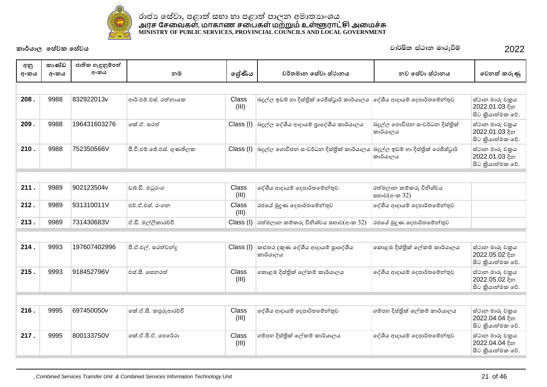

| අනු<br>අංකය | කාණ්ඩ<br>අංකය | ජාතික හැඳුනුම්පත්<br>අංකය | නම                        | ලේණිය          | වර්තමාන සේවා ස්ථානය                                                          | නව සේවා ස්ථානය                             | වෙනත් කරුණු                                            |  |  |  |  |
|-------------|---------------|---------------------------|---------------------------|----------------|------------------------------------------------------------------------------|--------------------------------------------|--------------------------------------------------------|--|--|--|--|
|             |               |                           |                           |                |                                                                              |                                            |                                                        |  |  |  |  |
| 208.        | 9988          | 832922013v                | ආර්.එම්.එස්. රත්නායක      | Class<br>(III) | බදුල්ල ඉඩම් හා දිස්තික් රෙජිස්ටුාර් කාර්යාලය                                 | ලද්ශීය ආදායම් දෙපාර්තමේන්තුව               | ස්ථාන මාරු චකුය<br>2022.01.03 දින<br>සිට කියාත්මක වේ.  |  |  |  |  |
| 209.        | 9988          | 196431603276              | කේ.ඒ. සරත්                | Class (I)      | බදුල්ල දේශීය ආදායම් පුාදේශීය කාර්යාලය                                        | බදුල්ල ගොවිජන සංවර්ධන දිස්තික්<br>කාර්යාලය | ස්ථාන මාරු චකුය<br>2022.01.03 දින<br>සිට කුියාත්මක වේ. |  |  |  |  |
| 210.        | 9988          | 752350566V                | පී.වී.එම්.ජේ.එස්. ගුණතිලක | Class (I)      | බදුල්ල ගොවිජන සංවර්ධන දිස්තික් කාර්යාලය බදුල්ල ඉඩම් හා දිස්තිුක් රෙජිස්ටුාර් | කාර්යාලය                                   | ස්ථාන මාරු චකුය<br>2022.01.03 දින<br>සිට කියාත්මක වේ.  |  |  |  |  |
|             |               |                           |                           |                |                                                                              |                                            |                                                        |  |  |  |  |
| 211.        | 9989          | 902123504v                | ඩබ්.ඩී. මධුරංග            | Class<br>(III) | දේශීය ආදායම් දෙපාර්තමේන්තුව                                                  | රත්මලාන කම්කරු විනිශ්චය<br>සභාව(අ∘ක 32)    |                                                        |  |  |  |  |
| 212.        | 9989          | 931310011V                | එච්.ඒ.එස්. රංගන           | Class<br>(III) | රජයේ මුදුණ දෙපාර්තමේන්තුව                                                    | දේශීය ආදායම් දෙපාර්තමේන්තුව                |                                                        |  |  |  |  |
| 213.        | 9989          | 731430683V                | ඒ.ඩී. මල්ලිකාරච්චි        | Class (I)      | රත්මලාන කම්කරු විනිශ්චය සභාව(අංක 32)                                         | රජයේ මුදුණ දෙපාර්තමේන්තුව                  |                                                        |  |  |  |  |
|             |               |                           |                           |                |                                                                              |                                            |                                                        |  |  |  |  |
| 214.        | 9993          | 197607402996              | පී.ඒ.එල්. සරත්වන්ද        | Class (I)      | කළුතර දකුණ දේශීය ආදායම් පාදේශීය<br>කාර්යාලය                                  | කොළඹ දිස්තික් ලේකම් කාර්යාලය               | ස්ථාන මාරු චකුය<br>2022.05.02 දින<br>සිට කියාත්මක වේ.  |  |  |  |  |
| 215.        | 9993          | 918452796V                | එස්.සී. සෙනරත්            | Class<br>(III) | කොළඹ දිස්තික් ලේකම් කාර්යාලය                                                 | දේශීය ආදායම් දෙපාර්තමේන්තුව                | ස්ථාන මාරු චකුය<br>2022.05.02 දින<br>සිට කියාත්මක වේ.  |  |  |  |  |
|             |               |                           |                           |                |                                                                              |                                            |                                                        |  |  |  |  |
| 216.        | 9995          | 697450050v                | කේ.ඒ.සී. කපුරුආරච්චි      | Class<br>(III) | දේශීය ආදායම් දෙපාර්තමේන්තුව                                                  | ගම්පහ දිස්තික් ලේකම් කාර්යාලය              | ස්ථාන මාරු චකුය<br>2022.04.04 දින<br>සිට කියාත්මක වේ.  |  |  |  |  |
| 217.        | 9995          | 800133750V                | කේ.ඒ.පී.ඒ. පෙරේරා         | Class<br>(III) | ගම්පහ දිස්තික් ලේකම් කාර්යාලය                                                | දේශීය ආදායම් දෙපාර්තමේන්තුව                | ස්ථාන මාරු චකුය<br>2022.04.04 දින<br>සිට කියාත්මක වේ.  |  |  |  |  |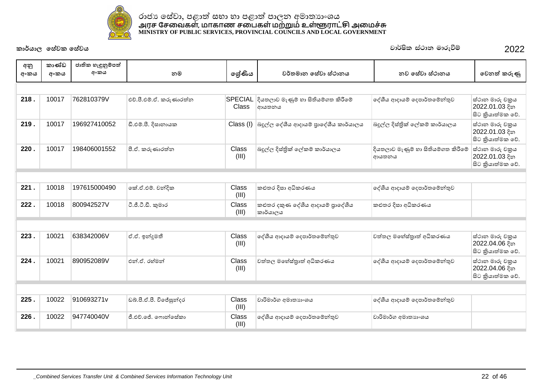

| අනු<br>අංකය | කාණ්ඩ<br>අංකය | ජාතික හැඳුනුම්පත්<br>අංකය | නම                      | ලේණිය                          | වර්තමාන සේවා ස්ථානය                          | නව සේවා ස්ථානය                              | වෙනත් කරුණු                                           |
|-------------|---------------|---------------------------|-------------------------|--------------------------------|----------------------------------------------|---------------------------------------------|-------------------------------------------------------|
|             |               |                           |                         |                                |                                              |                                             |                                                       |
| 218.        | 10017         | 762810379V                | එච්.පී.එම්.ඒ. කරුණාරත්ත | <b>SPECIAL</b><br><b>Class</b> | දියතලාව මැණුම් හා සිතියම්ගත කිරීමේ<br>ආයතනය  | දේශීය ආදායම් දෙපාර්තමේන්තුව                 | ස්ථාන මාරු චකුය<br>2022.01.03 දින<br>සිට කියාත්මක වේ. |
| 219.        | 10017         | 196927410052              | ඩී.එම්.පී. දිසානායක     | Class (I)                      | බදුල්ල දේශීය ආදායම් පුාදේශීය කාර්යාලය        | බදුල්ල දිස්තික් ලේකම් කාර්යාලය              | ස්ථාන මාරු චකුය<br>2022.01.03 දින<br>සිට කියාත්මක වේ. |
| 220.        | 10017         | 198406001552              | පී.ඒ. කරුණාරත්ත         | Class<br>(III)                 | බදුල්ල දිස්තික් ලේකම් කාර්යාලය               | දියතලාව මැණුම් හා සිතියම්ගත කිරීමේ<br>ආයතනය | ස්ථාන මාරු චකුය<br>2022.01.03 දින<br>සිට කියාත්මක වේ. |
|             |               |                           |                         |                                |                                              |                                             |                                                       |
| 221.        | 10018         | 197615000490              | කේ.ඒ.එම්. චන්දික        | Class<br>(III)                 | කළුතර දිසා අධිකරණය                           | දේශීය ආදායම් දෙපාර්තමේන්තුව                 |                                                       |
| 222.        | 10018         | 800942527V                | ටී.ජී.ටී.ඩී. කුමාර      | Class<br>(III)                 | කළුතර දකුණ දේශීය ආදායම් පුාදේශීය<br>කාර්යාලය | කළුතර දිසා අධිකරණය                          |                                                       |
|             |               |                           |                         |                                |                                              |                                             |                                                       |
| 223.        | 10021         | 638342006V                | ඒ.ඒ. ඉන්දූමතී           | <b>Class</b><br>(III)          | දේශීය ආදායම් දෙපාර්තමේන්තුව                  | වත්තල මහේස්තුාත් අධිකරණය                    | ස්ථාන මාරු චකුය<br>2022.04.06 දින<br>සිට කියාත්මක වේ. |
| 224.        | 10021         | 890952089V                | එන්.ඒ. රහ්මන්           | Class<br>(III)                 | වත්තල මහේස්තුාත් අධිකරණය                     | දේශීය ආදායම් දෙපාර්තමේන්තුව                 | ස්ථාන මාරු චකුය<br>2022.04.06 දින<br>සිට කියාත්මක වේ. |
|             |               |                           |                         |                                |                                              |                                             |                                                       |
| 225.        | 10022         | 910693271v                | ඩබ්.පී.ඒ.පී. විජේසුන්දර | Class<br>(III)                 | වාරිමාර්ග අමාතාහංශය                          | දේශීය ආදායම් දෙපාර්තමේන්තුව                 |                                                       |
| 226.        | 10022         | 947740040V                | ජී.එච්.ජේ. ෆොන්සේකා     | Class<br>(III)                 | දේශීය ආදායම් දෙපාර්තමේන්තුව                  | වාරිමාර්ග අමාතාහංශය                         |                                                       |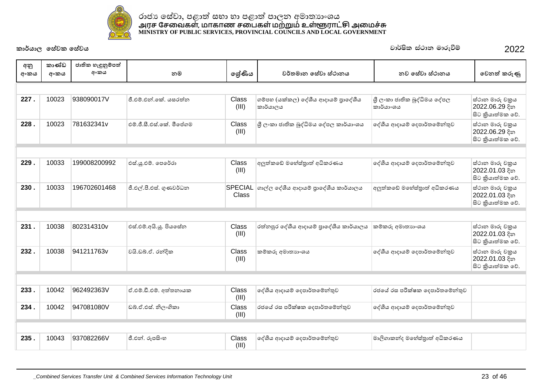

| අනු  | කාණ්ඩ | ජාතික හැඳුනුම්පත් |                          |                |                                                |                                          |                                                       |
|------|-------|-------------------|--------------------------|----------------|------------------------------------------------|------------------------------------------|-------------------------------------------------------|
| අංකය | අංකය  | අංකය              | නම                       | ලශ්ණිය         | වර්තමාන සේවා ස්ථානය                            | නව සේවා ස්ථානය                           | වෙනත් කරුණු                                           |
|      |       |                   |                          |                |                                                |                                          |                                                       |
| 227. | 10023 | 938090017V        | ජී.එම්.එන්.කේ. යසුරත්න   | Class<br>(III) | ගම්පහ (යක්කල) දේශීය ආදායම් පාදේශීය<br>කාර්යාලය | ශී ලංකා ජාතික බුද්ධිමය දේපල<br>කාර්යා∘ශය | ස්ථාන මාරු චකුය<br>2022.06.29 දින<br>සිට කියාත්මක වේ. |
| 228  | 10023 | 781632341v        | එම්.ජී.සී.එස්.කේ. මීපේගම | Class<br>(III) | ශුී ලංකා ජාතික බුද්ධිමය දේපල කාර්යාංශය         | දේශීය ආදායම් දෙපාර්තමේන්තුව              | ස්ථාන මාරු චකුය<br>2022.06.29 දින<br>සිට කියාත්මක වේ. |
|      |       |                   |                          |                |                                                |                                          |                                                       |
| 229. | 10033 | 199008200992      | එස්.ශූ.එම්. පෙරේරා       | Class<br>(III) | අලුත්කඩේ මහේස්තුාත් අධිකරණය                    | දේශීය ආදායම් දෙපාර්තමේන්තුව              | ස්ථාන මාරු චකුය<br>2022.01.03 දින<br>සිට කියාත්මක වේ. |
| 230. | 10033 | 196702601468      | ජී.එල්.පී.එස්. ගුණවර්ධන  | Class          | $SPECIAL$ ගාල්ල දේශීය ආදායම් පුාදේශීය කාර්යාලය | අලුත්කඩේ මහේස්තුාත් අධිකරණය              | ස්ථාන මාරු චකුය<br>2022.01.03 දින<br>සිට කියාත්මක වේ. |
|      |       |                   |                          |                |                                                |                                          |                                                       |
| 231. | 10038 | 802314310v        | එස්.එම්.අයි.යූ. පියසේත   | Class<br>(III) | රත්නපුර දේශීය ආදායම් පාදේශීය කාර්යාලය          | කම්කරු අමාතාහංශය                         | ස්ථාන මාරු චකුය<br>2022.01.03 දින<br>සිට කියාත්මක වේ. |
| 232. | 10038 | 941211763v        | වයි.ඩබ්.ඒ. රන්දික        | Class<br>(III) | කම්කරු අමාතාහංශය                               | ලද්ශීය ආදායම් දෙපාර්තමේන්තුව             | ස්ථාන මාරු චකුය<br>2022.01.03 දින<br>සිට කියාත්මක වේ. |
|      |       |                   |                          |                |                                                |                                          |                                                       |
| 233. | 10042 | 962492363V        | ඒ.එම්.ඩී.එම්. අත්තනායක   | Class<br>(III) | දේශීය ආදායම් දෙපාර්තමේන්තුව                    | රජයේ රස පරීක්ෂක දෙපාර්තමේන්තුව           |                                                       |
| 234. | 10042 | 947081080V        | ඩබ්.ඒ.එස්. නිලංගිකා      | Class<br>(III) | රජයේ රස පරීක්ෂක දෙපාර්තමේන්තුව                 | දේශීය ආදායම් දෙපාර්තමේන්තුව              |                                                       |
|      |       |                   |                          |                |                                                |                                          |                                                       |
| 235. | 10043 | 937082266V        | ජී.එන්. රූපසිංහ          | Class<br>(III) | දේශීය ආදායම් දෙපාර්තමේන්තුව                    | මාලිගාකන්ද මහේස්තුාත් අධිකරණය            |                                                       |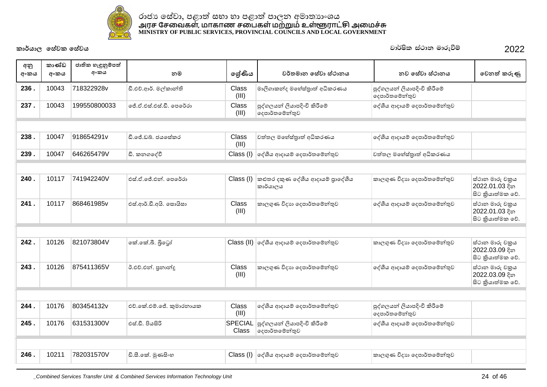

| අනු<br>අංකය | කාණ්ඩ<br>අංකය | ජාතික හැඳුනුම්පත්<br>අංකය | නම                       | ලශ්ණිය                  | වර්තමාන සේවා ස්ථානය                           | නව සේවා ස්ථානය                                | වෙනත් කරුණු                                            |
|-------------|---------------|---------------------------|--------------------------|-------------------------|-----------------------------------------------|-----------------------------------------------|--------------------------------------------------------|
| 236.        | 10043         | 718322928v                | ඩී.එච්.ආර්. මල්කාන්ති    | Class<br>(III)          | මාලිගාකන්ද මහේස්තුාත් අධිකරණය                 | පුද්ගලයන් ලියාපදිංචි කිරීමේ<br>දෙපාර්තමේන්තුව |                                                        |
| 237.        | 10043         | 199550800033              | ලේ.ඒ.එස්.එස්.ඩී. පෙරේරා  | Class<br>(III)          | පුද්ගලයන් ලියාපදිංචි කිරීමේ<br>දෙපාර්තමේන්තුව | දේශීය ආදායම් දෙපාර්තමේන්තුව                   |                                                        |
|             |               |                           |                          |                         |                                               |                                               |                                                        |
| 238.        | 10047         | 918654291v                | ඩී.ජේ.ඩබ්. ජයසේකර        | Class<br>(III)          | වත්තල මහේස්තාත් අධිකරණය                       | දේශීය ආදායම් දෙපාර්තමේන්තුව                   |                                                        |
| 239.        | 10047         | 646265479V                | ඩී. කනගදේවී              |                         | Class (I) ලද්ශීය ආදායම් දෙපාර්තමේන්තුව        | වත්තල මහේස්තුාත් අධිකරණය                      |                                                        |
|             |               |                           |                          |                         |                                               |                                               |                                                        |
|             |               |                           |                          |                         |                                               |                                               |                                                        |
| 240.        | 10117         | 741942240V                | එස්.ඒ.ජේ.එන්. පෙරේරා     | Class (I)               | කළුතර දකුණ දේශීය ආදායම් පාදේශීය<br>කාර්යාලය   | කාලගුණ විදාහ දෙපාර්තමේන්තුව                   | ස්ථාන මාරු චකුය<br>2022.01.03 දින<br>සිට කියාත්මක වේ.  |
| 241.        | 10117         | 868461985v                | එස්.ආර්.ඩී.අයි. සොයිසා   | Class<br>(III)          | කාලගුණ විදාහ දෙපාර්තමේන්තුව                   | දේශීය ආදායම් දෙපාර්තමේන්තුව                   | ස්ථාන මාරු චකුය<br>2022.01.03 දින<br>සිට කියාත්මක වේ.  |
|             |               |                           |                          |                         |                                               |                                               |                                                        |
| 242.        | 10126         | 821073804V                | කේ.කේ.බී. බිටෝ           |                         | Class (II) ලද්ශීය ආදායම් දෙපාර්තමේන්තුව       | කාලගුණ විදාහ දෙපාර්තමේන්තුව                   | ස්ථාන මාරු චකුය<br>2022.03.09 දින<br>සිට කුියාත්මක වේ. |
| 243.        | 10126         | 875411365V                | ඊ.එච්.එන්. පුනාන්දු      | Class<br>(III)          | කාලගුණ විදාහ දෙපාර්තමේන්තුව                   | දේශීය ආදායම් දෙපාර්තමේන්තුව                   | ස්ථාන මාරු චකුය<br>2022.03.09 දින<br>සිට කියාත්මක වේ.  |
|             |               |                           |                          |                         |                                               |                                               |                                                        |
| 244.        | 10176         | 803454132v                | එච්.කේ.එම්.ජේ. කුමාරතායක | Class<br>(III)          | දේශීය ආදායම් දෙපාර්තමේන්තුව                   | පුද්ගලයන් ලියාපදිංචි කිරීමේ<br>දෙපාර්තමේන්තුව |                                                        |
| 245.        | 10176         | 631531300V                | එස්.ඩී. පියසිරි          | <b>SPECIAL</b><br>Class | පුද්ගලයන් ලියාපදිංචි කිරීමේ<br>දෙපාර්තමේන්තුව | දේශීය ආදායම් දෙපාර්තමේන්තුව                   |                                                        |
|             |               |                           |                          |                         |                                               |                                               |                                                        |
| 246.        | 10211         | 782031570V                | ඩි.සී.කේ. මුණසිංහ        |                         | Class (I) ලද්ශීය ආදායම් දෙපාර්තමේන්තුව        | කාලගුණ විදාහ දෙපාර්තමේන්තුව                   |                                                        |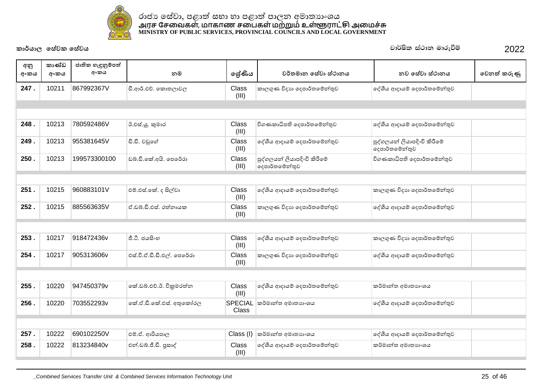

| අනු<br>අංකය | කාණ්ඩ<br>අංකය | ජාතික හැඳුනුම්පත්<br>අංකය | නම                         | ලශ්ණිය           | වර්තමාන සේවා ස්ථානය                           | නව සේවා ස්ථානය                                | වෙනත් කරුණු |
|-------------|---------------|---------------------------|----------------------------|------------------|-----------------------------------------------|-----------------------------------------------|-------------|
| 247.        | 10211         | 867992367V                | ඩී.ආර්.එච්. කොතලාවල        | Class<br>(III)   | කාලගුණ විදාහ දෙපාර්තමේන්තුව                   | දේශීය ආදායම් දෙපාර්තමේන්තුව                   |             |
|             |               |                           |                            |                  |                                               |                                               |             |
|             |               |                           |                            |                  |                                               |                                               |             |
| 248.        | 10213         | 780592486V                | ඊ.එස්.යූ. කුමාර            | Class<br>(III)   | විගණකාධිපති දෙපාර්තමේන්තුව                    | දේශීය ආදායම් දෙපාර්තමේන්තුව                   |             |
| 249.        | 10213         | 955381645V                | ඩී.ඩී. වඩුගේ               | Class<br>(III)   | දේශීය ආදායම් දෙපාර්තමේන්තුව                   | පුද්ගලයන් ලියාපදිංචි කිරීමේ<br>දෙපාර්තමේන්තුව |             |
| 250.        | 10213         | 199573300100              | ඩබ්.ඩී.කේ.අයි. පෙරේරා      | Class<br>(III)   | පුද්ගලයන් ලියාපදිංචි කිරීමේ<br>දෙපාර්තමේන්තුව | විගණකාධිපති දෙපාර්තමේන්තුව                    |             |
|             |               |                           |                            |                  |                                               |                                               |             |
| 251.        | 10215         | 960883101V                | එම්.එස්.කේ. ද සිල්වා       | Class<br>(III)   | දේශීය ආදායම් දෙපාර්තමේන්තුව                   | කාලගුණ විදාහ දෙපාර්තමේන්තුව                   |             |
| 252.        | 10215         | 885563635V                | ඒ.ඩබ්.ඩී.එස්. රත්තායක      | Class<br>(III)   | කාලගුණ විදාහ දෙපාර්තමේන්තුව                   | දේශීය ආදායම් දෙපාර්තමේන්තුව                   |             |
|             |               |                           |                            |                  |                                               |                                               |             |
| 253.        | 10217         | 918472436v                | ජී.ටී. ජයසිංහ              | Class<br>(III)   | දේශීය ආදායම් දෙපාර්තමේන්තුව                   | කාලගුණ විදාහ දෙපාර්තමේන්තුව                   |             |
| 254.        | 10217         | 905313606v                | එස්.වී.ඒ.ඩී.ඩී.එල්. පෙරේරා | Class<br>(III)   | කාලගුණ විදාහ දෙපාර්තමේන්තුව                   | දේශීය ආදායම් දෙපාර්තමේන්තුව                   |             |
|             |               |                           |                            |                  |                                               |                                               |             |
| 255.        | 10220         | 947450379v                | කේ.ඩබ්.එච්.ඊ. විකුමරත්න    | Class<br>(III)   | දේශීය ආදායම් දෙපාර්තමේන්තුව                   | කර්මාන්ත අමාතාහංශය                            |             |
| 256.        | 10220         | 703552293v                | කේ.ඒ.ඩී.කේ.එස්. අතුකෝරල    | SPECIAL<br>Class | කර්මාන්ත අමාතාහංශය                            | දේශීය ආදායම් දෙපාර්තමේන්තුව                   |             |
|             |               |                           |                            |                  |                                               |                                               |             |
| 257.        | 10222         | 690102250V                | එම්.ඒ. ආරියපාල             | Class (I)        | කර්මාන්ත අමාතාහංශය                            | දේශීය ආදායම් දෙපාර්තමේන්තුව                   |             |
| 258.        | 10222         | 813234840v                | එන්.ඩබ්.ජී.ඩී. පුසාද්      | Class<br>(III)   | දේශීය ආදායම් දෙපාර්තමේන්තුව                   | කර්මාන්ත අමාතාහංශය                            |             |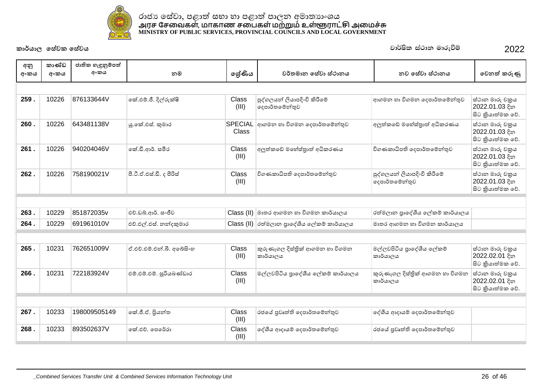

| අනු  | කාණ්ඩ | ජාතික හැඳුනුම්පත් |                           |                |                                               |                                               |                                                        |
|------|-------|-------------------|---------------------------|----------------|-----------------------------------------------|-----------------------------------------------|--------------------------------------------------------|
| අංකය | අංකය  | අංකය              | නම                        | ලශ්ණිය         | වර්තමාන සේවා ස්ථානය                           | නව සේවා ස්ථානය                                | වෙනත් කරුණු                                            |
|      |       |                   |                           |                |                                               |                                               |                                                        |
| 259. | 10226 | 876133644V        | කේ.එම්.ජී. දිල්රුක්ෂි     | Class<br>(III) | පුද්ගලයන් ලියාපදිංචි කිරීමේ<br>දෙපාර්තමේන්තුව | ආගමන හා විගමන දෙපාර්තමේන්තුව                  | ස්ථාන මාරු චකුය<br>2022.01.03 දින<br>සිට කියාත්මක වේ.  |
| 260. | 10226 | 643481138V        | යු.කේ.එස්. කුමාර          | Class          | SPECIAL අාගමන හා විගමන දෙපාර්තමේන්තුව         | අලුත්කඩේ මහේස්තුාත් අධිකරණය                   | ස්ථාන මාරු චකුය<br>2022.01.03 දින<br>සිට කියාත්මක වේ.  |
| 261. | 10226 | 940204046V        | කේ.ඩී.ආර්. සමීර           | Class<br>(III) | අලුත්කඩේ මහේස්තුාත් අධිකරණය                   | විගණකාධිපති දෙපාර්තමේන්තුව                    | ස්ථාන මාරු චකුය<br>2022.01.03 දින<br>සිට කියාත්මක වේ.  |
| 262. | 10226 | 758190021V        | පී.ටී.ඒ.එස්.ඩී. ද පීරිස්  | Class<br>(III) | විගණකාධිපති දෙපාර්තමේන්තුව                    | පුද්ගලයන් ලියාපදිංචි කිරීමේ<br>දෙපාර්තමේන්තුව | ස්ථාන මාරු චකුය<br>2022.01.03 දින<br>සිට කියාත්මක වේ.  |
|      |       |                   |                           |                |                                               |                                               |                                                        |
| 263. | 10229 | 851872035v        | එච්.ඩබ්.ආර්. සංජීව        |                | Class (II) මාතර ආගමන හා විගමන කාර්යාලය        | රත්මලාන පුාදේශීය ලේකම් කාර්යාලය               |                                                        |
| 264. | 10229 | 691961010V        | එච්.එල්.එස්. නන්දකුමාර    |                | Class (II) රත්මලාන පුාදේශීය ලේකම් කාර්යාලය    | මාතර ආගමන හා විගමන කාර්යාලය                   |                                                        |
|      |       |                   |                           |                |                                               |                                               |                                                        |
| 265. | 10231 | 762651009V        | ඒ.එච්.එම්.එන්.බී. අබේසිංහ | Class<br>(III) | කුරුණෑගල දිස්තික් ආගමන හා විගමන<br>කාර්යාලය   | මල්ලවපිටිය පුාදේශීය ලේකම්<br>කාර්යාලය         | ස්ථාන මාරු චකුය<br>2022.02.01 දින<br>සිට කුියාත්මක වේ. |
| 266. | 10231 | 722183924V        | එම්.එම්.එම්. සූරියබණ්ඩාර  | Class<br>(III) | මල්ලවපිටිය පාදේශීය ලේකම් කාර්යාලය             | කුරුණෑගල දිස්තික් ආගමන හා විගමන<br>කාර්යාලය   | ස්ථාන මාරු චකුය<br>2022.02.01 දින<br>සිට කියාත්මක වේ.  |
|      |       |                   |                           |                |                                               |                                               |                                                        |
| 267. | 10233 | 198009505149      | කේ.ජී.ඒ. පිුයන්ත          | Class<br>(III) | රජයේ පුවෘත්ති දෙපාර්තමේන්තුව                  | දේශීය ආදායම් දෙපාර්තමේන්තුව                   |                                                        |
| 268. | 10233 | 893502637V        | කේ.එච්. පෙරේරා            | Class<br>(III) | දේශීය ආදායම් දෙපාර්තමේන්තුව                   | රජයේ පුවෘත්ති දෙපාර්තමේන්තුව                  |                                                        |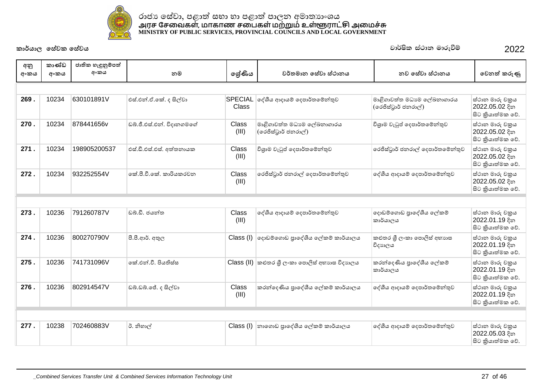

| අනු<br>අංකය | කාණ්ඩ<br>අංකය | ජාතික හැඳුනුම්පත්<br>අංකය | නම                        | ලශ්ණිය                  | වර්තමාන සේවා ස්ථානය                                | නව සේවා ස්ථානය                                     | වෙනත් කරුණු                                            |
|-------------|---------------|---------------------------|---------------------------|-------------------------|----------------------------------------------------|----------------------------------------------------|--------------------------------------------------------|
|             |               |                           |                           |                         |                                                    |                                                    |                                                        |
| 269.        | 10234         | 630101891V                | එස්.එන්.ඒ.කේ. ද සිල්වා    | <b>SPECIAL</b><br>Class | දේශීය ආදායම් දෙපාර්තමේන්තුව                        | මාළිගාවත්ත මධාාම ලේඛනාගාරය<br>(රෙජිස්ටුාර් ජනරාල්) | ස්ථාන මාරු චකුය<br>2022.05.02 දින<br>සිට කියාත්මක වේ.  |
| 270.        | 10234         | 878441656v                | ඩබ්.ජී.එස්.එන්. විදානගමගේ | Class<br>(III)          | මාළිගාවත්ත මධාාම ලේඛනාගාරය<br>(රෙජිස්ටුාර් ජනරාල්) | විශුාම වැටුප් දෙපාර්තමේන්තුව                       | ස්ථාන මාරු චකුය<br>2022.05.02 දින<br>සිට කියාත්මක වේ.  |
| 271.        | 10234         | 198905200537              | එස්.ඩී.එස්.එස්. අත්තනායක  | Class<br>(III)          | විශුාම වැටුප් දෙපාර්තමේන්තුව                       | රෙජිස්ටුාර් ජනරාල් දෙපාර්තමේන්තුව                  | ස්ථාන මාරු චකුය<br>2022.05.02 දින<br>සිට කියාත්මක වේ.  |
| 272.        | 10234         | 932252554V                | ඉක් පී වී කේ. කාරියකරවන   | <b>Class</b><br>(III)   | රෙජිස්ටුාර් ජනරාල් දෙපාර්තමේන්තුව                  | දේශීය ආදායම් දෙපාර්තමේන්තුව                        | ස්ථාන මාරු චකුය<br>2022.05.02 දින<br>සිට කියාත්මක වේ.  |
|             |               |                           |                           |                         |                                                    |                                                    |                                                        |
| 273.        | 10236         | 791260787V                | ඩබ්.ඩී. ජයන්ත             | <b>Class</b><br>(III)   | දේශීය ආදායම් දෙපාර්තමේන්තුව                        | දොඩම්ගොඩ පුාදේශීය ලේකම්<br>කාර්යාලය                | ස්ථාන මාරු චකුය<br>2022.01.19 දින<br>සිට කියාත්මක වේ.  |
| 274.        | 10236         | 800270790V                | පී.පී.ආර්. අතුල           | Class (I)               | ලදාඩම්ගොඩ පාලේශීය ලේකම් කාර්යාලය                   | කළුතර ශී ලංකා පොලිස් අභාහස<br>විදාහලය              | ස්ථාන මාරු චකුය<br>2022.01.19 දින<br>සිට කියාත්මක වේ.  |
| 275.        | 10236         | 741731096V                | ඉක් එන්.වී. පියතිස්ස      |                         | Class (II) කළුතර ශී ලංකා පොලිස් අභාගස විදාහලය      | කරන්දෙණිය පාදේශීය ලේකම්<br>කාර්යාලය                | ස්ථාන මාරු චකුය<br>2022.01.19 දින<br>සිට කුියාත්මක වේ. |
| 276.        | 10236         | 802914547V                | ඩබ්.ඩබ්.ජේ. ද සිල්වා      | <b>Class</b><br>(III)   | කරන්දෙණිය පුාදේශීය ලේකම් කාර්යාලය                  | දේශීය ආදායම් දෙපාර්තමේන්තුව                        | ස්ථාන මාරු චකුය<br>2022.01.19 දින<br>සිට කියාත්මක වේ.  |
|             |               |                           |                           |                         |                                                    |                                                    |                                                        |
| 277.        | 10238         | 702460883V                | රී. නිහාල්                | Class (I)               | නාගොඩ පාදේශීය ලේකම් කාර්යාලය                       | දේශීය ආදායම් දෙපාර්තමේන්තුව                        | ස්ථාන මාරු චකුය<br>2022.05.03 දින<br>සිට කියාත්මක වේ.  |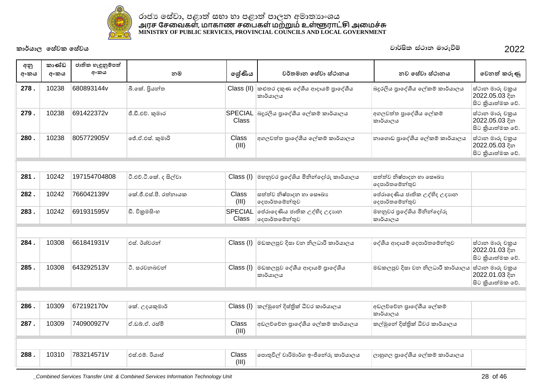

| අනු<br>අංකය | කාණ්ඩ<br>අංකය | ජාතික හැඳුනුම්පත්<br>අංකය | නම                     | ලශ්ණිය                         | වර්තමාන සේවා ස්ථානය                                     | නව සේවා ස්ථානය                                 | වෙනත් කරුණු                                           |
|-------------|---------------|---------------------------|------------------------|--------------------------------|---------------------------------------------------------|------------------------------------------------|-------------------------------------------------------|
| 278.        | 10238         | 680893144v                | බී.කේ. පියන්ත          |                                | Class (II) කළුතර දකුණ දේශීය ආදායම් පුාදේශීය<br>කාර්යාලය | බදුරලිය පුාදේශීය ලේකම් කාර්යාලය                | ස්ථාන මාරු චකුය<br>2022.05.03 දින<br>සිට කියාත්මක වේ. |
| 279.        | 10238         | 691422372v                | ජී.ඩී.එච්. කුමාර       | <b>SPECIAL</b><br><b>Class</b> | බදුරලිය පාදේශීය ලේකම් කාර්යාලය                          | අගලවත්ත පාදේශීය ලේකම්<br>කාර්යාලය              | ස්ථාන මාරු චකුය<br>2022.05.03 දින<br>සිට කියාත්මක වේ. |
| 280.        | 10238         | 805772905V                | ්ජී.ඒ.එස්. කුමාරි      | Class<br>(III)                 | අගලවත්ත පුාදේශීය ලේකම් කාර්යාලය                         | නාගොඩ පුාදේශීය ලේකම් කාර්යාලය                  | ස්ථාන මාරු චකුය<br>2022.05.03 දින<br>සිට කියාත්මක වේ. |
|             |               |                           |                        |                                |                                                         |                                                |                                                       |
| 281.        | 10242         | 197154704808              | ටී.එච්.ටී.කේ. ද සිල්වා | Class (I)                      | මහනුවර පුදේශිය මිනින්දෝරු කාර්යාලය                      | සත්ත්ව නිෂ්පාදන හා සෞඛාා<br>දෙපාර්තමේන්තුව     |                                                       |
| 282.        | 10242         | 766042139V                | කේ.ජී.එස්.පී. රත්නායක  | <b>Class</b><br>(III)          | සත්ත්ව නිෂ්පාදන හා සෞඛා<br>දෙපාර්තමේන්තුව               | පේරාදෙණිය ජාතික උද්භිද උදාහත<br>දෙපාර්තමේන්තුව |                                                       |
| 283.        | 10242         | 691931595V                | ඩී. විකුමසිංහ          | <b>SPECIAL</b><br><b>Class</b> | පේරාදෙණිය ජාතික උද්භිද උදාහන<br>දෙපාර්තමේන්තුව          | මහනුවර පුදේශිය මිනින්දෝරු<br>කාර්යාලය          |                                                       |
|             |               |                           |                        |                                |                                                         |                                                |                                                       |
| 284.        | 10308         | 661841931V                | එස්, ඊශ්වරත්           | Class (I)                      | මඩකලපුව දිසා වන නිලධාරී කාර්යාලය                        | දේශීය ආදායම් දෙපාර්තමේන්තුව                    | ස්ථාන මාරු චකුය<br>2022.01.03 දින<br>සිට කියාත්මක වේ. |
| 285.        | 10308         | 643292513V                | ටී. සරවනබවත්           | Class (I)                      | මඩකලපුව දේශීය ආදායම් පාදේශීය<br>කාර්යාලය                | මඩකලපුව දිසා වන නිලධාරී කාර්යාලය               | ස්ථාන මාරු චකුය<br>2022.01.03 දින<br>සිට කියාත්මක වේ. |
|             |               |                           |                        |                                |                                                         |                                                |                                                       |
| 286.        | 10309         | 672192170v                | කේ. උදයකුමාර්          | Class (I)                      | කල්මුනේ දිස්තික් ධීවර කාර්යාලය                          | අඩලච්චේන පුාදේශීය ලේකම්<br>කාර්යාලය            |                                                       |
| 287.        | 10309         | 740900927V                | ඒ.ඩබ්.ඒ. රස්මි         | <b>Class</b><br>(III)          | අඩලව්වේන පාදේශීය ලේකම් කාර්යාලය                         | කල්මුනේ දිස්තික් ධීවර කාර්යාලය                 |                                                       |
|             |               |                           |                        |                                |                                                         |                                                |                                                       |
| 288.        | 10310         | 783214571V                | එස් එම්, රියාස්        | Class<br>(III)                 | පොතුවිල් වාරිමාර්ග ඉංජිනේරු කාර්යාලය                    | ලාහුගල පුාදේශීය ලේකම් කාර්යාලය                 |                                                       |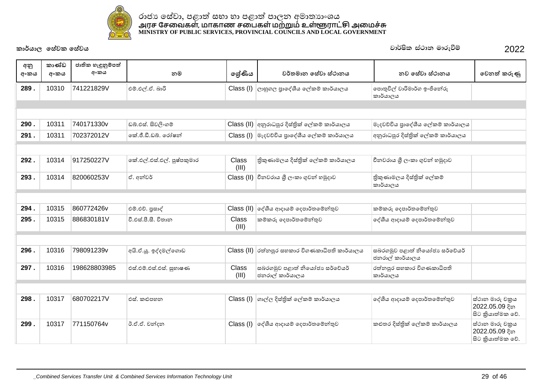

| අනු<br>අංකය | කාණ්ඩ<br>අංකය | ජාතික හැඳුනුම්පත්<br>අංකය | නම                         | ලේණිය                 | වර්තමාන සේවා ස්ථානය                                  | නව සේවා ස්ථානය                                   | වෙනත් කරුණු                                           |
|-------------|---------------|---------------------------|----------------------------|-----------------------|------------------------------------------------------|--------------------------------------------------|-------------------------------------------------------|
|             |               |                           |                            |                       |                                                      |                                                  |                                                       |
| 289.        | 10310         | 741221829V                | එම්.එල්.ඒ. බාරි            | Class (I)             | ලාහුගල පුාදේශීය ලේකම් කාර්යාලය                       | පොතුවිල් වාරිමාර්ග ඉංජිනේරු<br>කාර්යාලය          |                                                       |
|             |               |                           |                            |                       |                                                      |                                                  |                                                       |
|             |               |                           |                            |                       |                                                      |                                                  |                                                       |
| 290.        | 10311         | 740171330v                | ඩබ්.එස්. සිවලිංගම්         |                       | Class (II) අනුරාධපුර දිස්තික් ලේකම් කාර්යාලය         | මැදවච්චිය පුාදේශීය ලේකම් කාර්යාලය                |                                                       |
| 291.        | 10311         | 702372012V                | කේ.ජී.ඩී.ඩබ්. රෝෂන්        |                       | $\text{Class}$ (I) මැදවච්චිය පුාදේශීය ලේකම් කාර්යාලය | අනුරාධපුර දිස්තික් ලේකම් කාර්යාලය                |                                                       |
|             |               |                           |                            |                       |                                                      |                                                  |                                                       |
| 292.        | 10314         | 917250227V                | කේ.එල්.එස්.එල්. පුෂ්පකුමාර | <b>Class</b><br>(III) | තිකුණාමලය දිස්තික් ලේකම් කාර්යාලය                    | චීනවරාය ශී ලංකා ගුවන් හමුදාව                     |                                                       |
| 293.        | 10314         | 820060253V                | ඒ. අන්වර්                  |                       | Class (II) වීනවරාය ශූී ලංකා ගුවන් හමුදාව             | තිකුණාමලය දිස්තික් ලේකම්<br>කාර්යාලය             |                                                       |
|             |               |                           |                            |                       |                                                      |                                                  |                                                       |
| 294.        | 10315         | 860772426v                | එම්.එච්. පුසාද්            | Class (II)            | ලද්ශීය ආදායම් දෙපාර්තමේන්තුව                         | කම්කරු දෙපාර්තමේන්තුව                            |                                                       |
| 295.        | 10315         | 886830181V                | වී.එස්.පී.සී. විතාන        | <b>Class</b><br>(III) | කම්කරු දෙපාර්තමේන්තුව                                | දේශීය ආදායම් දෙපාර්තමේන්තුව                      |                                                       |
|             |               |                           |                            |                       |                                                      |                                                  |                                                       |
| 296.        | 10316         | 798091239v                | අයි.ඒ.යූ. ඉද්දමල්ගොඩ       |                       | $Class (II)$ රත්නපුර සහකාර විගණකාධිපති කාර්යාලය      | සබරගමුව පළාත් නියෝජා සර්වේයර්<br>ජනරාල් කාර්යාලය |                                                       |
| 297.        | 10316         | 198628803985              | එස්.එම්.එස්.එස්. සුහාෂණ    | Class<br>(III)        | සබරගමුව පළාත් නියෝජා සර්වේයර්<br>ජනරාල් කාර්යාලය     | රත්නපුර සහකාර විගණකාධිපති<br>කාර්යාලය            |                                                       |
|             |               |                           |                            |                       |                                                      |                                                  |                                                       |
| 298.        | 10317         | 680702217V                | එස්. කළුපහන                |                       | Class (I) ගාල්ල දිස්තික් ලේකම් කාර්යාලය              | දේශීය ආදායම් දෙපාර්තමේන්තුව                      | ස්ථාන මාරු චකුය<br>2022.05.09 දින<br>සිට කියාත්මක වේ. |
| 299.        | 10317         | 771150764v                | ඊ.ඒ.ඒ. චන්දන               |                       | Class (I) ලද්ශීය ආදායම් දෙපාර්තමේන්තුව               | කළුතර දිස්තික් ලේකම් කාර්යාලය                    | ස්ථාන මාරු චකුය<br>2022.05.09 දින<br>සිට කියාත්මක වේ. |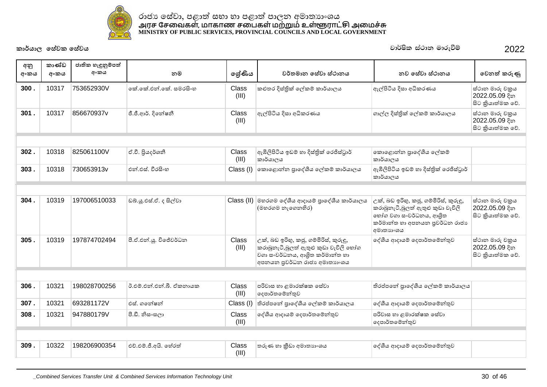

| අනු  | කාණ්ඩ | ජාතික හැඳුනුම්පත්<br>අංකය |                          |                       |                                                                                                                                                   |                                                                                                                                                      |                                                       |
|------|-------|---------------------------|--------------------------|-----------------------|---------------------------------------------------------------------------------------------------------------------------------------------------|------------------------------------------------------------------------------------------------------------------------------------------------------|-------------------------------------------------------|
| අංකය | අංකය  |                           | නම                       | ලේණිය                 | වර්තමාන සේවා ස්ථානය                                                                                                                               | නව සේවා ස්ථානය                                                                                                                                       | වෙනත් කරුණු                                           |
| 300. | 10317 | 753652930V                | ඉක් කේ.එන්.කේ. සමරසිංහ   | Class<br>(III)        | කළුතර දිස්තික් ලේකම් කාර්යාලය                                                                                                                     | ඇල්පිටිය දිසා අධිකරණය                                                                                                                                | ස්ථාන මාරු චකුය<br>2022.05.09 දින<br>සිට කියාත්මක වේ. |
| 301. | 10317 | 856670937y                | ජී.ජී.ආර්. දිනේෂනී       | Class<br>(III)        | ඇල්පිටිය දිසා අධිකරණය                                                                                                                             | ගාල්ල දිස්තික් ලේකම් කාර්යාලය                                                                                                                        | ස්ථාන මාරු චකුය<br>2022.05.09 දින<br>සිට කියාත්මක වේ. |
|      |       |                           |                          |                       |                                                                                                                                                   |                                                                                                                                                      |                                                       |
| 302. | 10318 | 825061100V                | ඒ.වී. පියදර්ශනී          | Class<br>(III)        | ඇඹිලිපිටිය ඉඩම් හා දිස්තික් රෙජිස්ටුාර්<br>කාර්යාලය                                                                                               | කොළොන්න පුාදේශීය ලේකම්<br>කාර්යාලය                                                                                                                   |                                                       |
| 303. | 10318 | 730653913v                | එන් එස්, වීරසිංහ         | Class (I)             | කොළොන්න පුාදේශීය ලේකම් කාර්යාලය                                                                                                                   | ඇඹිලිපිටිය ඉඩම් හා දිස්තික් රෙජිස්ටුාර්<br>කාර්යාලය                                                                                                  |                                                       |
|      |       |                           |                          |                       |                                                                                                                                                   |                                                                                                                                                      |                                                       |
| 304. | 10319 | 197006510033              | ඩබ්.ශූ.එස්.ඒ. ද සිල්වා   |                       | Class (II) මහරගම දේශීය ආදායම් පාලේශීය කාර්යාලය<br>(මහරගම නැගෙනහිර)                                                                                | උක්, බඩ ඉරිහු, කජූ, ගම්මිරිස්, කුරුඳු,<br>කරාබුනැටි,බූලත් ඇතුළු කුඩා වැවිලි<br>හෝග වගා සංවර්ධනය, ආශිත<br>කර්මාන්ත හා අපනයන පුවර්ධන රාජා<br>අමාතාගංශය | ස්ථාන මාරු චකුය<br>2022.05.09 දින<br>සිට කියාත්මක වේ. |
| 305. | 10319 | 197874702494              | පී.ඒ.එන්.යූ. විජේවර්ධන   | <b>Class</b><br>(III) | උක්, බඩ ඉරිහු, කජු, ගම්මිරිස්, කුරුඳු,<br>කරාබුනැටි,බූලත් ඇතුළු කුඩා වැවිලි හෝග<br>වගා සංවර්ධනය, ආශිත කර්මාන්ත හා<br>අපනයන පුවර්ධන රාජා අමාතාහංශය | ලද්ශීය ආදායම් දෙපාර්තමේන්තුව                                                                                                                         | ස්ථාන මාරු චකුය<br>2022.05.09 දින<br>සිට කියාත්මක වේ. |
|      |       |                           |                          |                       |                                                                                                                                                   |                                                                                                                                                      |                                                       |
| 306. | 10321 | 198028700256              | ඊ.එම්.එන්.එන්.බී. ඒකනායක | <b>Class</b><br>(III) | පරිවාස හා ළමාරක්ෂක සේවා<br>දෙපාර්තමේන්තුව                                                                                                         | තිරප්පතේ පාදේශීය ලේකම් කාර්යාලය                                                                                                                      |                                                       |
| 307. | 10321 | 693281172V                | එස්, ගතේෂන්              | Class (I)             | තිරප්පතේ පාදේශීය ලේකම් කාර්යාලය                                                                                                                   | දේශීය ආදායම් දෙපාර්තමේන්තුව                                                                                                                          |                                                       |
| 308. | 10321 | 947880179V                | පී.ඩී. නිසංසලා           | Class<br>(III)        | දේශීය ආදායම් දෙපාර්තමේන්තුව                                                                                                                       | පරිවාස හා ළමාරක්ෂක සේවා<br> ලදපාර්තමේන්තුව                                                                                                           |                                                       |
|      |       |                           |                          |                       |                                                                                                                                                   |                                                                                                                                                      |                                                       |
| 309. | 10322 | 198206900354              | එච්.එම්.ජී.අයි. හේරත්    | Class<br>(III)        | තරුණ හා කීඩා අමාතාගංශය                                                                                                                            | ලද්ශීය ආදායම් දෙපාර්තමේන්තුව                                                                                                                         |                                                       |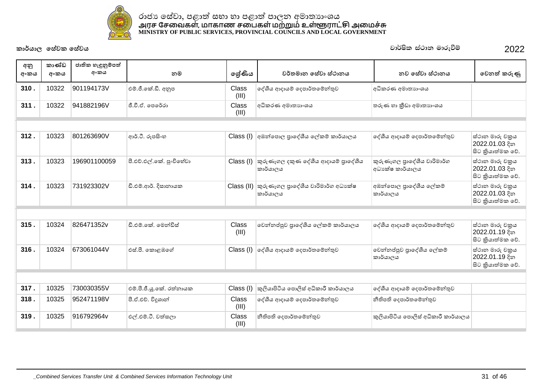

| අනු<br>අංකය | කාණ්ඩ<br>අංකය | ජාතික හැඳුනුම්පත්<br>අංකය | නම                       | ලේණිය          | වර්තමාන සේවා ස්ථානය                                       | නව සේවා ස්ථානය                                  | වෙනත් කරුණු                                           |
|-------------|---------------|---------------------------|--------------------------|----------------|-----------------------------------------------------------|-------------------------------------------------|-------------------------------------------------------|
| 310.        | 10322         | 901194173V                | එම්.ජී.කේ.ඩී. අනුප       | Class<br>(III) | දේශීය ආදායම් දෙපාර්තමේන්තුව                               | අධිකරණ අමාතාහංශය                                |                                                       |
| 311.        | 10322         | 941882196V                | ජී.වී.ඒ. පෙරේරා          | Class<br>(III) | අධිකරණ අමාතාහංශය                                          | තරුණ හා කීඩා අමාතාහංශය                          |                                                       |
|             |               |                           |                          |                |                                                           |                                                 |                                                       |
| 312.        | 10323         | 801263690V                | ආර්.ටී. රූපසිංහ          | Class (I)      | අඹන්පොල පුාදේශීය ලේකම් කාර්යාලය                           | දේශීය ආදායම් දෙපාර්තමේන්තුව                     | ස්ථාන මාරු චකුය<br>2022.01.03 දින<br>සිට කියාත්මක වේ. |
| 313.        | 10323         | 196901100059              | පී.එච්.එල්.කේ. පුංචිහේවා | Class (I)      | කුරුණෑගල දකුණ දේශීය ආදායම් පුාදේශීය<br>කාර්යාලය           | කුරුණෑගල පුාදේශීය වාරිමාර්ග<br>අධා ක්ෂ කාර්යාලය | ස්ථාන මාරු චකුය<br>2022.01.03 දින<br>සිට කියාත්මක වේ. |
| 314.        | 10323         | 731923302V                | ඩී.එම්.ආර්. දිසානායක     |                | Class (II) කුරුණෑගල පාදේශීය වාරිමාර්ග අධාහක්ෂ<br>කාර්යාලය | අඹන්පොල පාදේශීය ලේකම්<br>කාර්යාලය               | ස්ථාන මාරු චකුය<br>2022.01.03 දින<br>සිට කියාත්මක වේ. |
|             |               |                           |                          |                |                                                           |                                                 |                                                       |
| 315.        | 10324         | 826471352v                | ඩී.එම්.කේ. මෙන්ඩිස්      | Class<br>(III) | වෙන්නප්පුව පුාදේශීය ලේකම් කාර්යාලය                        | දේශීය ආදායම් දෙපාර්තමේන්තුව                     | ස්ථාන මාරු චකුය<br>2022.01.19 දින<br>සිට කියාත්මක වේ. |
| 316.        | 10324         | 673061044V                | එස්.පී. කොළඹගේ           | Class (I)      | ලද්ශීය ආදායම් දෙපාර්තමේන්තුව                              | වෙන්නප්පුව පාදේශීය ලේකම්<br>කාර්යාලය            | ස්ථාන මාරු චකුය<br>2022.01.19 දින<br>සිට කියාත්මක වේ. |
|             |               |                           |                          |                |                                                           |                                                 |                                                       |
| 317.        | 10325         | 730030355V                | එම්.පී.ජී.යූ.කේ. රත්නායක | Class (I)      | කුලියාපිටිය පොලිස් අධිකාරී කාර්යාලය                       | දේශීය ආදායම් දෙපාර්තමේන්තුව                     |                                                       |
| 318.        | 10325         | 952471198V                | පී.ඒ.එච්. විදුශාන්       | Class<br>(III) | දේශීය ආදායම් දෙපාර්තමේන්තුව                               | නීතිපති දෙපාර්තමේන්තුව                          |                                                       |
| 319.        | 10325         | 916792964v                | එල්.එම්.ටී. වත්සලා       | Class<br>(III) | නීතිපති දෙපාර්තමේන්තුව                                    | කුලියාපිටිය පොලිස් අධිකාරී කාර්යාලය             |                                                       |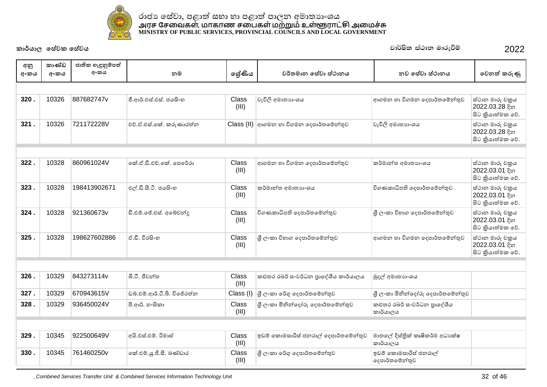

| අනු<br>අංකය | කාණ්ඩ<br>අංකය | ජාතික හැඳුනුම්පත්<br>අංකය | නම                          | ලේණිය          | වර්තමාන සේවා ස්ථානය                      | නව සේවා ස්ථානය                              | වෙනත් කරුණු                                            |
|-------------|---------------|---------------------------|-----------------------------|----------------|------------------------------------------|---------------------------------------------|--------------------------------------------------------|
|             |               |                           |                             |                |                                          |                                             |                                                        |
| 320.        | 10326         | 887682747v                | ජී.ආර්.එස්.එස්. ජයසිංහ      | Class<br>(III) | වැවිලි අමාතාගංශය                         | ආගමන හා විගමන දෙපාර්තමේන්තුව                | ස්ථාන මාරු චකුය<br>2022.03.28 දින<br>සිට කියාත්මක වේ.  |
| 321.        | 10326         | 721172228V                | එච්.ඒ.එස්.කේ. කරුණාරත්න     |                | Class (II) අාගමන හා විගමන දෙපාර්තමේන්තුව | වැවිලි අමාතාහංශය                            | ස්ථාන මාරු චකුය<br>2022.03.28 දින<br>සිට කුියාත්මක වේ. |
|             |               |                           |                             |                |                                          |                                             |                                                        |
| 322.        | 10328         | 860961024V                | කේ.ඒ.ඩී.එච්.කේ. පෙරේරා      | Class<br>(III) | ආගමන හා විගමන දෙපාර්තමේන්තුව             | කර්මාන්ත අමාතාහංශය                          | ස්ථාන මාරු චකුය<br>2022.03.01 දින<br>සිට කියාත්මක වේ.  |
| 323.        | 10328         | 198413902671              | එල්.ඩී.සී.ටී. ජයසිංහ        | Class<br>(III) | කර්මාන්ත අමාතාහංශය                       | විගණකාධිපති දෙපාර්තමේන්තුව                  | ස්ථාන මාරු චකුය<br>2022.03.01 දින<br>සිට කුියාත්මක වේ. |
| 324.        | 10328         | 921360673v                | ඩී.එම්.ජේ.එස්. අබේවන්ද      | Class<br>(III) | විගණකාධිපති දෙපාර්තමේන්තුව               | ශී ලංකා විහාග දෙපාර්තමේන්තුව                | ස්ථාන මාරු චකුය<br>2022.03.01 දින<br>සිට කුියාත්මක වේ. |
| 325.        | 10328         | 198627602886              | ඒ.ඩී. වීරසිංහ               | Class<br>(III) | ශී ලංකා විහාග දෙපාර්තමේන්තුව             | ආගමන හා විගමන දෙපාර්තමේන්තුව                | ස්ථාන මාරු චකුය<br>2022.03.01 දින<br>සිට කියාත්මක වේ.  |
|             |               |                           |                             |                |                                          |                                             |                                                        |
| 326.        | 10329         | 843273114v                | බී.ටී. ජීවන්ත               | Class<br>(III) | කළුතර රබර් සංවර්ධන පුාදේශීය කාර්යාලය     | මුදල් අමාතාගංශය                             |                                                        |
| 327.        | 10329         | 670943615V                | ඩබ්.එම්.ආර්.ටී.බී. විජේරත්න | Class (I)      | ු ලි∘කා රේගු දෙපාර්තමේන්තුව              | ශී ලංකා මිනින්දෝරු දෙපාර්තමේන්තුව           |                                                        |
| 328.        | 10329         | 936450024V                | පී.ආර්. හංසිකා              | Class<br>(III) | ශී ලංකා මිනින්දෝරු දෙපාර්තමේන්තුව        | කළුතර රබර් ස∘වර්ධන පුාදේශීය<br>කාර්යාලය     |                                                        |
|             |               |                           |                             |                |                                          |                                             |                                                        |
| 329.        | 10345         | 922500649V                | අයි.එස්.එම්. රිමාස්         | Class<br>(III) | ඉඩම් කොමසාරිස් ජනරාල් දෙපාර්තමේන්තුව     | මාතලේ දිස්තික් කෘෂිකර්ම අධාපක්ෂ<br>කාර්යාලය |                                                        |
| 330.        | 10345         | 761460250v                | ්කේ.එම්.යූ.ජී.සී. බණ්ඩාර    | Class<br>(III) | ශී ලංකා රේගු දෙපාර්තමේන්තුව              | ඉඩම් කොමසාරිස් ජනරාල්<br>දෙපාර්තමේන්තුව     |                                                        |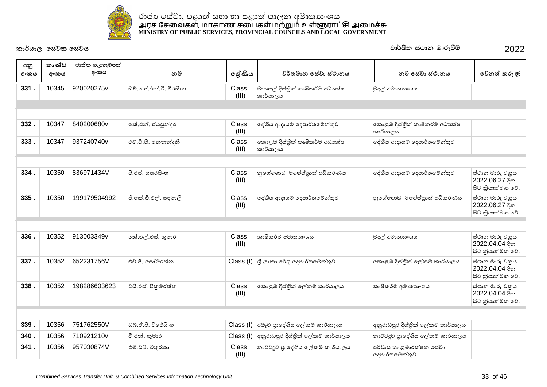

| අනු<br>අංකය | කාණ්ඩ<br>අංකය | ජාතික හැඳුනුම්පත්<br>අංකය | නම                     | ලේණිය                 | වර්තමාන සේවා ස්ථානය                                                                             | නව සේවා ස්ථානය                             | වෙනත් කරුණු                                           |
|-------------|---------------|---------------------------|------------------------|-----------------------|-------------------------------------------------------------------------------------------------|--------------------------------------------|-------------------------------------------------------|
| 331.        | 10345         | 920020275v                | ඩබ්.කේ.එන්.ටී. වීරසිංහ | Class<br>(III)        | මාතලේ දිස්තික් කෘෂිකර්ම අධාාක්ෂ<br>කාර්යාලය                                                     | මුදල් අමාතාහංශය                            |                                                       |
|             |               |                           |                        |                       |                                                                                                 |                                            |                                                       |
|             |               |                           |                        |                       |                                                                                                 |                                            |                                                       |
| 332.        | 10347         | 840200680v                | කේ.එන්. ජයසුන්දර       | Class<br>(III)        | දේශීය ආදායම් දෙපාර්තමේන්තුව                                                                     | කොළඹ දිස්තික් කෘෂිකර්ම අධා ක්ෂ<br>කාර්යාලය |                                                       |
| 333.        | 10347         | 937240740v                | එම්.ඩී.සී. මනනන්දනී    | Class<br>(III)        | කොළඹ දිස්තික් කෘෂිකර්ම අධාාක්ෂ<br>කාර්යාලය                                                      | දේශීය ආදායම් දෙපාර්තමේන්තුව                |                                                       |
|             |               |                           |                        |                       |                                                                                                 |                                            |                                                       |
| 334.        | 10350         | 836971434V                | පී.එස්. සතුරසිංහ       | Class<br>(III)        | නුගේගොඩ මහේස්තුාත් අධිකරණය                                                                      | දේශීය ආදායම් දෙපාර්තමේන්තුව                | ස්ථාන මාරු චකුය<br>2022.06.27 දින<br>සිට කියාත්මක වේ. |
| 335         | 10350         | 199179504992              | ජී.කේ.ඩී.එල්. සඳමාලි   | Class<br>(III)        | දේශීය ආදායම් දෙපාර්තමේන්තුව                                                                     | නුගේගොඩ මහේස්තුාත් අධිකරණය                 | ස්ථාන මාරු චකුය<br>2022.06.27 දින<br>සිට කියාත්මක වේ. |
|             |               |                           |                        |                       |                                                                                                 |                                            |                                                       |
| 336.        | 10352         | 913003349v                | කේ.එල්.එස්. කුමාර      | Class<br>(III)        | කෘෂිකර්ම අමාතාහංශය                                                                              | මුදල් අමාතාගංශය                            | ස්ථාන මාරු චකුය<br>2022.04.04 දින<br>සිට කියාත්මක වේ. |
| 337.        | 10352         | 652231756V                | එච්.ජී. සෝමරත්න        |                       | $\textsf{Class} \left( \mathsf{I} \right) \left  \mathfrak{F} \right.$ ලංකා රේගු දෙපාර්තමේන්තුව | කොළඹ දිස්තික් ලේකම් කාර්යාලය               | ස්ථාන මාරු චකුය<br>2022.04.04 දින<br>සිට කියාත්මක වේ. |
| 338.        | 10352         | 198286603623              | වයි.එස්. විකුමරත්න     | <b>Class</b><br>(III) | කොළඹ දිස්තික් ලේකම් කාර්යාලය                                                                    | කෘෂිකර්ම අමාතාහංශය                         | ස්ථාන මාරු චකුය<br>2022.04.04 දින<br>සිට කියාත්මක වේ. |
|             |               |                           |                        |                       |                                                                                                 |                                            |                                                       |
| 339.        | 10356         | 751762550V                | ඩබ්.ඒ.පී. විජේසිංහ     | Class (I)             | රඹෑව පාදේශීය ලේකම් කාර්යාලය                                                                     | අනුරාධපුර දිස්තික් ලේකම් කාර්යාලය          |                                                       |
| 340.        | 10356         | 710921210v                | ටී.එන්. කුමාර          | Class (I)             | අනුරාධපුර දිස්තික් ලේකම් කාර්යාලය                                                               | නාව්වදුව පාදේශීය ලේකම් කාර්යාලය            |                                                       |
| 341.        | 10356         | 957030874V                | එම්.ඩබ්. චතුරිකා       | Class<br>(III)        | නාව්වදුව පාදේශීය ලේකම් කාර්යාලය                                                                 | පරිවාස හා ළමාරක්ෂක සේවා<br>දෙපාර්තමේන්තුව  |                                                       |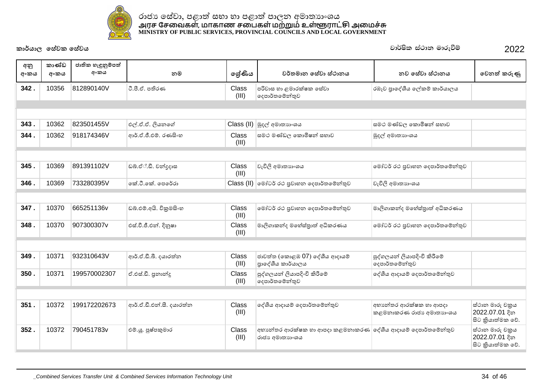

| අනු<br>අංකය | කාණ්ඩ<br>අංකය | ජාතික හැඳුනුම්පත්<br>අංකය | නම                       | ලශ්ණිය                | වර්තමාන සේවා ස්ථානය                                                            | නව සේවා ස්ථානය                                    | වෙනත් කරුණු                                           |
|-------------|---------------|---------------------------|--------------------------|-----------------------|--------------------------------------------------------------------------------|---------------------------------------------------|-------------------------------------------------------|
| 342.        | 10356         | 812890140V                | ටී.පී.ඒ. පතිරණ           | <b>Class</b><br>(III) | පරිවාස හා ළමාරක්ෂක සේවා<br>දෙපාර්තමේන්තුව                                      | රඹෑව පාදේශීය ලේකම් කාර්යාලය                       |                                                       |
|             |               |                           |                          |                       |                                                                                |                                                   |                                                       |
|             |               |                           |                          |                       |                                                                                |                                                   |                                                       |
| 343.        | 10362         | 823501455V                | එල්.ඒ.ඒ. ලියනගේ          |                       | Class (II) මුදල් අමාතනංශය                                                      | සමථ මණ්ඩල කොමිෂන් සභාව                            |                                                       |
| 344.        | 10362         | 918174346V                | ආර්.ඒ.ජී.එම්. රණසිංහ     | Class<br>(III)        | සමථ මණ්ඩල කොමිෂන් සභාව                                                         | මුදල් අමාතාගංශය                                   |                                                       |
|             |               |                           |                          |                       |                                                                                |                                                   |                                                       |
| 345.        | 10369         | 891391102V                | ඩබ්.ඒ්.ඩී. චන්දදාස       | Class<br>(III)        | වැවිලි අමාතාගංශය                                                               | මෝටර් රථ පුවාහන දෙපාර්තමේන්තුව                    |                                                       |
| 346.        | 10369         | 733280395V                | කේ.ටී.කේ. පෙරේරා         |                       | Class (II) මෝටර් රථ පුවාහන දෙපාර්තමේන්තුව                                      | වැවිලි අමාතාගංශය                                  |                                                       |
|             |               |                           |                          |                       |                                                                                |                                                   |                                                       |
| 347.        | 10370         | 665251136v                | ඩබ්.එම්.අයි. විකුමසිංහ   | Class<br>(III)        | මෝටර් රථ පුවාහන දෙපාර්තමේන්තුව                                                 | මාලිගාකන්ද මහේස්තුාත් අධිකරණය                     |                                                       |
| 348.        | 10370         | 907300307v                | එස්.වී.ජී.එන්. දිනුෂා    | Class<br>(III)        | මාලිගාකන්ද මහේස්තුාත් අධිකරණය                                                  | මෝටර් රථ පුවාහන දෙපාර්තමේන්තුව                    |                                                       |
|             |               |                           |                          |                       |                                                                                |                                                   |                                                       |
| 349.        | 10371         | 932310643V                | ආර්.ඒ.ඩී.බී. දයාරත්න     | Class<br>(III)        | ජාවත්ත (කොළඹ 07) දේශීය ආදායම්<br>පාදේශීය කාර්යාලය                              | පුද්ගලයන් ලියාපදිංචි කිරීමේ<br>දෙපාර්තමේන්තුව     |                                                       |
| 350.        | 10371         | 199570002307              | ඒ.එස්.ඩී. පුනාන්දූ       | Class<br>(III)        | පුද්ගලයන් ලියාපදිංචි කිරීමේ<br>දෙපාර්තමේන්තුව                                  | දේශීය ආදායම් දෙපාර්තමේන්තුව                       |                                                       |
|             |               |                           |                          |                       |                                                                                |                                                   |                                                       |
| 351.        | 10372         | 199172202673              | ආර්.ඒ.ඩී.එන්.සී. දයාරත්න | Class<br>(III)        | දේශීය ආදායම් දෙපාර්තමේන්තුව                                                    | අභාන්තර ආරක්ෂක හා ආපදා<br>කළමනාකරණ රාජා අමාතාහංශය | ස්ථාන මාරු චකුය<br>2022.07.01 දින<br>සිට කියාත්මක වේ. |
| 352.        | 10372         | 790451783v                | එම්.ශූ. පුෂ්පකුමාර       | Class<br>(III)        | අභානේතර ආරක්ෂක හා ආපදා කළමනාකරණ  දේශීය ආදායම් දෙපාර්තමේන්තුව<br>රාජා අමාතාහංශය |                                                   | ස්ථාන මාරු චකුය<br>2022.07.01 දින<br>සිට කියාත්මක වේ. |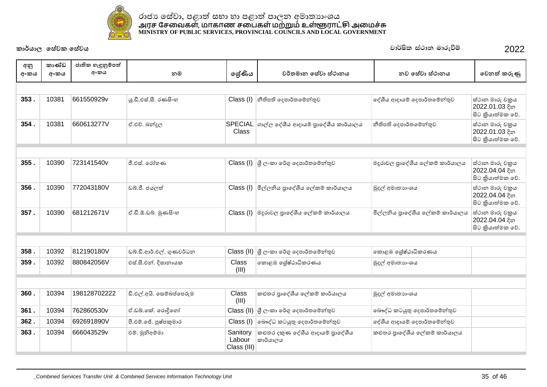

| අනු<br>අංකය | කාණ්ඩ<br>අංකය | ජාතික හැඳුනුම්පත්<br>අංකය | නම                       | ලේණිය                             | වර්තමාන සේවා ස්ථානය                                                                                 | නව සේවා ස්ථානය                   | වෙනත් කරුණු                                           |
|-------------|---------------|---------------------------|--------------------------|-----------------------------------|-----------------------------------------------------------------------------------------------------|----------------------------------|-------------------------------------------------------|
|             |               |                           |                          |                                   |                                                                                                     |                                  |                                                       |
| 353.        | 10381         | 661550929v                | ශු.ඩී.එස්.සී. රණසිංහ     | Class (I)                         | නීතිපති දෙපාර්තමේන්තුව                                                                              | දේශීය ආදායම් දෙපාර්තමේන්තුව      | ස්ථාන මාරු චකුය<br>2022.01.03 දින<br>සිට කියාත්මක වේ. |
| 354.        | 10381         | 660613277V                | ඒ.එච්. බන්දුල            | Class                             | SPECIAL ගාල්ල දේශීය ආදායම් පුාදේශීය කාර්යාලය                                                        | නීතිපති දෙපාර්තමේන්තුව           | ස්ථාන මාරු චකුය<br>2022.01.03 දින<br>සිට කියාත්මක වේ. |
|             |               |                           |                          |                                   |                                                                                                     |                                  |                                                       |
| 355.        | 10390         | 723141540v                | ජී.එස්. රෝහණ             |                                   | $\textsf{Class} \left( \mathsf{I} \right) \left  \mathsf{G} \right\rangle$ ලංකා රේගු දෙපාර්තමේන්තුව | මදුරාවල පුාදේශීය ලේකම් කාර්යාලය  | ස්ථාන මාරු චකුය<br>2022.04.04 දින<br>සිට කියාත්මක වේ. |
| 356.        | 10390         | 772043180V                | ඩබ්.ජී. ජයලත්            |                                   | Class (I) මිල්ලනිය පුාදේශීය ලේකම් කාර්යාලය                                                          | මුදල් අමාතාගංශය                  | ස්ථාන මාරු චකුය<br>2022.04.04 දින<br>සිට කියාත්මක වේ. |
| 357.        | 10390         | 681212671V                | ඒ.ඩී.ඕ.ඩබ්. මුණසිංහ      |                                   | $\textsf{Class} \left( \textsf{I} \right)$ මදූරාවල පුාදේශීය ලේකම් කාර්යාලය                          | මිල්ලනිය පුාදේශීය ලේකම් කාර්යාලය | ස්ථාන මාරු චකුය<br>2022.04.04 දින<br>සිට කියාත්මක වේ. |
|             |               |                           |                          |                                   |                                                                                                     |                                  |                                                       |
| 358.        | 10392         | 812190180V                | ඩබ්.ඩී.ආර්.එල්. ගුණවර්ධන | Class (II)                        | ශී ලංකා රේගු දෙපාර්තමේන්තුව                                                                         | කොළඹ ශේෂ්ඨාධිකරණය                |                                                       |
| 359.        | 10392         | 880842056V                | එස්.සී.එන්. දිසානායක     | <b>Class</b><br>(III)             | කොළඹ ශේෂ්ඨාධිකරණය                                                                                   | මුදල් අමාතාහංශය                  |                                                       |
|             |               |                           |                          |                                   |                                                                                                     |                                  |                                                       |
| 360.        | 10394         | 198128702222              | ඩී.එල්.අයි. සෙම්බප්පෙරුම | Class<br>(III)                    | කළුතර පාදේශීය ලේකම් කාර්යාලය                                                                        | මුදල් අමාතාහංශය                  |                                                       |
| 361.        | 10394         | 762860530v                | ඒ.ඩබ්.කේ. රොදිගෝ         | Class (II)                        | ු ලි∘කා රේගු දෙපාර්තමේන්තුව                                                                         | බෞද්ධ කටයුතු දෙපාර්තමේන්තුව      |                                                       |
| 362.        | 10394         | 692691890V                | පී.එම්.ජේ. පුෂ්පකුමාර    | Class (I)                         | බෞද්ධ කටයුතු දෙපාර්තමේන්තුව                                                                         | දේශීය ආදායම් දෙපාර්තමේන්තුව      |                                                       |
| 363.        | 10394         | 666043529v                | එම්. මුනිඅම්මා           | Sanitory<br>Labour<br>Class (III) | කළුතර දකුණ දේශීය ආදායම් පුාදේශීය<br>කාර්යාලය                                                        | කළුතර පුාදේශීය ලේකම් කාර්යාලය    |                                                       |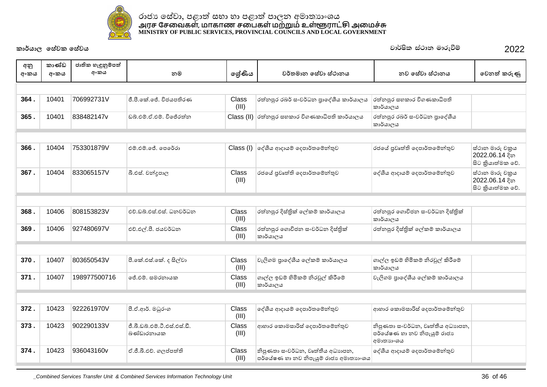

| අනු  | කාණ්ඩ | ජාතික හැඳුනුම්පත් |                                            |                |                                                                           |                                                                              |                                                       |
|------|-------|-------------------|--------------------------------------------|----------------|---------------------------------------------------------------------------|------------------------------------------------------------------------------|-------------------------------------------------------|
| අංකය | අංකය  | අංකය              | නම                                         | ලශ්ණිය         | වර්තමාන සේවා ස්ථානය                                                       | නව සේවා ස්ථානය                                                               | වෙනත් කරුණු                                           |
|      |       |                   |                                            |                |                                                                           |                                                                              |                                                       |
| 364. | 10401 | 706992731V        | ජී.පී.කේ.ජේ. විජයපතිරණ                     | Class          | රත්නපුර රබර් සංවර්ධන පාදේශීය කාර්යාලය                                     | රත්නපුර සහකාර විගණකාධිපති                                                    |                                                       |
|      |       |                   |                                            | (III)          |                                                                           | කාර්යාලය                                                                     |                                                       |
| 365. | 10401 | 838482147v        | ඩුබු එම්. ඒ. එම්. විජේරත්න                 |                | $Class$ (II) රත්නපුර සහකාර විගණකාධිපති කාර්යාලය                           | රත්නපුර රබර් සංවර්ධන පාදේශීය<br>කාර්යාලය                                     |                                                       |
|      |       |                   |                                            |                |                                                                           |                                                                              |                                                       |
| 366. | 10404 | 753301879V        | එම්.එම්.ජේ. පෙරේරා                         |                | Class (I) ලද්ශීය ආදායම් දෙපාර්තමේන්තුව                                    | රජයේ පුවෘත්ති දෙපාර්තමේන්තුව                                                 | ස්ථාන මාරු චකුය<br>2022.06.14 දින<br>සිට කියාත්මක වේ. |
| 367. | 10404 | 833065157V        | බී.එස්. චන්දපාල                            | Class<br>(III) | රජයේ පුවෘත්ති දෙපාර්තමේන්තුව                                              | දේශීය ආදායම් දෙපාර්තමේන්තුව                                                  | ස්ථාන මාරු චකුය<br>2022.06.14 දින<br>සිට කියාත්මක වේ. |
|      |       |                   |                                            |                |                                                                           |                                                                              |                                                       |
| 368. | 10406 | 808153823V        | එච්.ඩබ්.එස්.එස්. ධනවර්ධන                   | Class<br>(III) | රත්නපුර දිස්තික් ලේකම් කාර්යාලය                                           | රත්තපුර ගොවිජන සංවර්ධන දිස්තික්<br>කාර්යාලය                                  |                                                       |
| 369. | 10406 | 927480697V        | එච්.එල්.පී. ජයවර්ධන                        | Class<br>(III) | රත්තපුර ගොවිජන සංවර්ධන දිස්තික්<br>කාර්යාලය                               | රත්නපුර දිස්තික් ලේකම් කාර්යාලය                                              |                                                       |
|      |       |                   |                                            |                |                                                                           |                                                                              |                                                       |
| 370. | 10407 | 803650543V        | පී.කේ.එස්.කේ. ද සිල්වා                     | Class<br>(III) | වැලිගම පුාදේශීය ලේකම් කාර්යාලය                                            | ගාල්ල ඉඩම් හිමිකම් නිරවුල් කිරීමේ<br>කාර්යාලය                                |                                                       |
| 371. | 10407 | 198977500716      | ජේ එම් සමරතායක                             | Class<br>(III) | ගාල්ල ඉඩම් හිමිකම් නිරවූල් කිරීමේ<br>කාර්යාලය                             | වැලිගම පාදේශීය ලේකම් කාර්යාලය                                                |                                                       |
|      |       |                   |                                            |                |                                                                           |                                                                              |                                                       |
| 372. | 10423 | 922261970V        | පී.ඒ.ආර්. මධුරංග                           | Class<br>(III) | ලද්ශීය ආදායම් දෙපාර්තමේන්තුව                                              | ආහාර කොමසාරිස් දෙපාර්තමේන්තුව                                                |                                                       |
| 373. | 10423 | 902290133V        | ජී.බී.ඩබ්.එම්.ටී.එස්.එස්.ඩී.<br>බණ්ඩාරනායක | Class<br>(III) | ආහාර කොමසාරිස් දෙපාර්තමේන්තුව                                             | නිපුණතා සංවර්ධන, වෘත්තීය අධාහපන,<br>පර්යේෂණ හා නව නිපැයුම් රාජා<br>අමාතාහංශය |                                                       |
| 374. | 10423 | 936043160v        | ඒ.ජී.බී.එච්. ගලප්පත්ති                     | Class<br>(III) | නිපුණතා සංවර්ධන, වෘත්තීය අධාහපන,<br>පර්යේෂණ හා නව නිපැයුම් රාජා අමාතාහංශය | දේශීය ආදායම් දෙපාර්තමේන්තුව                                                  |                                                       |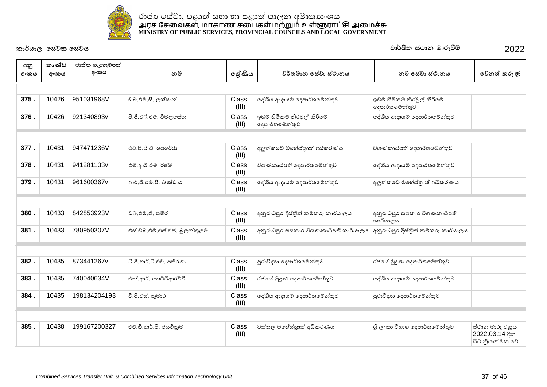

| අනු<br>අංකය | කාණ්ඩ<br>අංකය | ජාතික හැඳුනුම්පත්<br>අංකය | නම                             | ලශ්ණිය         | වර්තමාන සේවා ස්ථානය                           | නව සේවා ස්ථානය                                | වෙනත් කරුණු                                           |
|-------------|---------------|---------------------------|--------------------------------|----------------|-----------------------------------------------|-----------------------------------------------|-------------------------------------------------------|
|             |               |                           |                                |                |                                               |                                               |                                                       |
| 375.        | 10426         | 951031968V                | ඩබ්.එම්.සී. ලක්ෂාන්            | Class<br>(III) | දේශීය ආදායම් දෙපාර්තමේන්තුව                   | ඉඩම් හිමිකම් නිරවූල් කිරීමේ<br>දෙපාර්තමේන්තුව |                                                       |
| 376.        | 10426         | 921340893v                | පී.ජී.එ්.එම්. විමලසේත          | Class<br>(III) | ඉඩම් හිමිකම් නිරවුල් කිරීමේ<br>දෙපාර්තමේන්තුව | දේශීය ආදායම් දෙපාර්තමේන්තුව                   |                                                       |
|             |               |                           |                                |                |                                               |                                               |                                                       |
| 377.        | 10431         | 947471236V                | එච්.පී.පී.ඩී. පෙරේරා           | Class<br>(III) | අලුත්කඩේ මහේස්තුාත් අධිකරණය                   | විගණකාධිපති දෙපාර්තමේන්තුව                    |                                                       |
| 378.        | 10431         | 941281133v                | එම්.ආර්.එම්. රිෂ්මි            | Class<br>(III) | විගණකාධිපති දෙපාර්තමේන්තුව                    | දේශීය ආදායම් දෙපාර්තමේන්තුව                   |                                                       |
| 379.        | 10431         | 961600367v                | ආර්.ජී.එම්.පී. බණ්ඩාර          | Class<br>(III) | දේශීය ආදායම් දෙපාර්තමේන්තුව                   | අලුත්කඩේ මහේස්තුාත් අධිකරණය                   |                                                       |
|             |               |                           |                                |                |                                               |                                               |                                                       |
| 380.        | 10433         | 842853923V                | ඩබ්.එම්.ඒ. සමීර                | Class<br>(III) | අනුරාධපුර දිස්තික් කම්කරු කාර්යාලය            | අනුරාධපුර සහකාර විගණකාධිපති<br>කාර්යාලය       |                                                       |
| 381.        | 10433         | 780950307V                | එස්.ඩබ්.එම්.එස්.එස්. බුලන්කුලම | Class<br>(III) | අනුරාධපුර සහකාර විගණකාධිපති කාර්යාලය          | අනුරාධපුර දිස්තික් කම්කරු කාර්යාලය            |                                                       |
|             |               |                           |                                |                |                                               |                                               |                                                       |
| 382.        | 10435         | 873441267v                | ටී.පී.ආර්.ටී.එච්. පතිරණ        | Class<br>(III) | පුරාවිදාහ දෙපාර්තමේන්තුව                      | රජයේ මුදුණ දෙපාර්තමේන්තුව                     |                                                       |
| 383.        | 10435         | 740040634V                | එන්.ආර්. හෙට්ටිආරච්චි          | Class<br>(III) | රජයේ මුදුණ දෙපාර්තමේන්තුව                     | දේශීය ආදායම් දෙපාර්තමේන්තුව                   |                                                       |
| 384.        | 10435         | 198134204193              | වී.පී.එස්. කුමාර               | Class<br>(III) | දේශීය ආදායම් දෙපාර්තමේන්තුව                   | පුරාවිදාහ දෙපාර්තමේන්තුව                      |                                                       |
|             |               |                           |                                |                |                                               |                                               |                                                       |
| 385.        | 10438         | 199167200327              | එච්.ඩී.ආර්.පී. ජයවිකුම         | Class<br>(III) | වත්තල මහේස්තුාත් අධිකරණය                      | ශී ලංකා විහාග දෙපාර්තමේන්තුව                  | ස්ථාන මාරු චකුය<br>2022.03.14 දින<br>සිට කියාත්මක වේ. |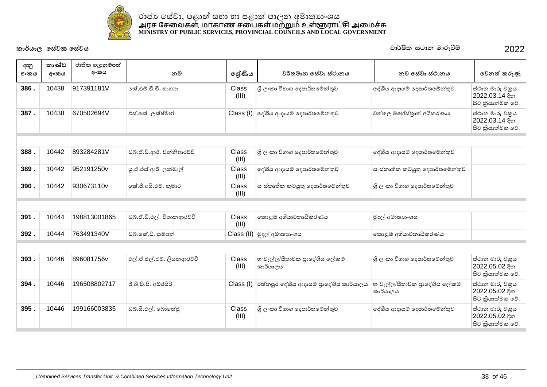

| අනු<br>අංකය | කාණ්ඩ<br>අංකය | ජාතික හැඳුනුම්පත්<br>අංකය | නම                        | ලශ්ණිය         | වර්තමාන සේවා ස්ථානය                       | නව සේවා ස්ථානය                            | වෙනත් කරුණු                                           |
|-------------|---------------|---------------------------|---------------------------|----------------|-------------------------------------------|-------------------------------------------|-------------------------------------------------------|
| 386.        | 10438         | 917391181V                | කේ.එම්.ඩී.ඩී. හාගාහ       | Class<br>(III) | ශී ලංකා විහාග දෙපාර්තමේන්තුව              | දේශීය ආදායම් දෙපාර්තමේන්තුව               | ස්ථාන මාරු චකුය<br>2022.03.14 දින<br>සිට කියාත්මක වේ. |
| 387.        | 10438         | 670502694V                | එස්.කේ. ලක්ෂ්මන්          | Class (I)      | ලද්ශීය ආදායම් දෙපාර්තමේන්තුව              | වත්තල මහේස්තුාත් අධිකරණය                  | ස්ථාන මාරු චකුය<br>2022.03.14 දින<br>සිට කියාත්මක වේ. |
|             |               |                           |                           |                |                                           |                                           |                                                       |
| 388.        | 10442         | 893284281V                | ඩබ්.ඒ.ඩී.ආර්. වන්නිආරච්චි | Class<br>(III) | ශී ලංකා විහාග දෙපාර්තමේන්තුව              | දේශීය ආදායම් දෙපාර්තමේන්තුව               |                                                       |
| 389.        | 10442         | 952191250v                | යු.ඒ.එස්.ආර්. ලක්මාල්     | Class<br>(III) | දේශීය ආදායම් දෙපාර්තමේන්තුව               | ස∘ස්කෘතික කටයුතු දෙපාර්තමේන්තුව           |                                                       |
| 390.        | 10442         | 930673110v                | කේ.ජී.අයි.එම්. කුමාර      | Class<br>(III) | ස∘ස්කෘතික කටයුතු ලදපාර්තමේන්තුව           | ශී ලංකා විහාග දෙපාර්තමේන්තුව              |                                                       |
|             |               |                           |                           |                |                                           |                                           |                                                       |
| 391.        | 10444         | 198813001865              | ඩබ්.ඒ.ඩී.එල්. විතානආරච්චි | Class<br>(III) | කොළඹ අභියාචනාධිකරණය                       | මුදල් අමාතාහංශය                           |                                                       |
| 392.        | 10444         | 763491340V                | ඩබ්.කේ.ඩී. සම්පත්         | Class (II)     | මුදල් අමාතනංශය                            | කොළඹ අභියාචනාධිකරණය                       |                                                       |
|             |               |                           |                           |                |                                           |                                           |                                                       |
| 393.        | 10446         | 896081756v                | එල්.ඒ.එල්.එම්. ලියනආරච්චි | Class<br>(III) | හංවැල්ල/සීතාවක පුාදේශීය ලේකම්<br>කාර්යාලය | ශී ලංකා විහාග දෙපාර්තමේන්තුව              | ස්ථාන මාරු චකුය<br>2022.05.02 දින<br>සිට කියාත්මක වේ. |
| 394.        | 10446         | 196508802717              | ජී.බී.ඩී.පී. අමරසිරි      | Class (I)      | රත්නපුර දේශීය ආදායම් පාදේශීය කාර්යාලය     | හංවැල්ල/සීතාවක පුාදේශීය ලේකම්<br>කාර්යාලය | ස්ථාන මාරු චකුය<br>2022.05.02 දින<br>සිට කියාත්මක වේ. |
| 395.        | 10446         | 199166003835              | ඩබ්.සී.එල්. බොතේජු        | Class<br>(III) | ශී ලංකා විහාග දෙපාර්තමේන්තුව              | දේශීය ආදායම් දෙපාර්තමේන්තුව               | ස්ථාන මාරු චකුය<br>2022.05.02 දින<br>සිට කියාත්මක වේ. |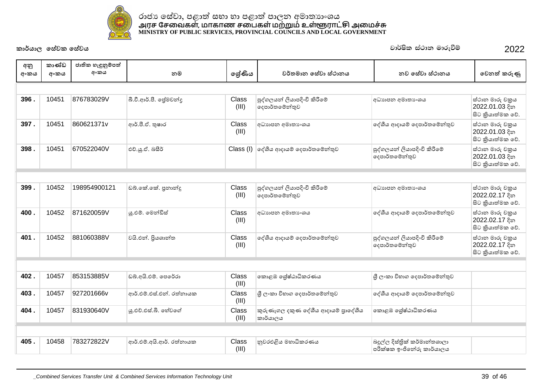

# ˡ˫ˉɕ˳˦ʢˣ˫˚˨˫Ʈ˦˝˫˧˫˚˨˫Ʈ˚˫ˢ˘ʯ˞˫˔ɕ˫ʭˤˠ <u>அ</u>ரச சேவைகள், மாகாண சபைகள் மற்றும் உள்ளூராட்சு அமைச்சு **MINISTRY OF PUBLIC SERVICES, PROVINCIAL COUNCILS AND LOCAL GOVERNMENT**

**ˁ˫əˠ˫ˢ˳˦ʢˣˁ˳˦ʢˣˠ** jd¾Isl ia:dk udreùï 2022

**396 .** 10451 876783029V බී.වී.ආර්.පී. පේමචන්ද (III) පුද්ගලයන් ලියාපදිංචි කිරීමේ ේදෙපාර්තමේන්තුව ʯ˗ɕ˫˚˘ʯ˞˫˔ɕʭˤˠ ˦˪˕˫˘˞˫ɞˇĀˠ  $2022.01.03$  දින සිට කියාත්මක වේ. **397 .** 10451 860621371v ʰəș'Ʊ˥˫ˡ Class (III) ʯ˗ɕ˫˚˘ʯ˞˫˔ɕʭˤˠ ˳NJɵˠʰ˖˫ˠȼ˳˖˚˫ə˔˳ȼǦƱˣ ˦˪˕˫˘˞˫ɞˇĀˠ  $2022.01.03$  දින ේසිට කියාත්මක වේ. **398 . | 10451 |670522040V |** එව.ශ.ඒ. බසීර් Class (I) | දේශීය ආදායම් දෙපාර්තමේන්තුව | පුද්ගලයන් ලියාපදිංචි කිරීමේ ේගදපාර්තමේන්තුව ් ස්ථාන මාරු චකුය  $2022.01.03$  දින සිට කියාත්මක වේ. අනු අංකය කාණ්ඩ අංකය ජාතික හැඳුනුම්පත් **ʯʭˁˠ ˘˞ ˳ɹʢƝˠ ˣə˔˞˫˘˳˦ʢˣ˫˦˪˕˫˘ˠ ˘ˣ˳˦ʢˣ˫˦˪˕˫˘ˠ ˳ˣ˘ƮˁɞƟ**

| 399. | 10452 | 198954900121 | ඩබ්.කේ.කේ. පුනාන්දු | Class<br>(III) | පුද්ගලයන් ලියාපදිංචි කිරීමේ<br> දෙපාර්තමේන්තුව | අධාහපන අමාතාගයෙ                                | ස්ථාන මාරු චකුය<br> 2022.02.17 දින<br>සිට කියාත්මක වේ. |
|------|-------|--------------|---------------------|----------------|------------------------------------------------|------------------------------------------------|--------------------------------------------------------|
| 400. | 10452 | 871620059V   | ශු.එම්. මෙන්ඩිස්    | Class<br>(III) | අධාහපන අමාතා ශය                                | ලද්ශීය ආදායම් දෙපාර්තමේන්තුව                   | ස්ථාන මාරු චකුය<br>2022.02.17 දින<br>සිට කියාත්මක වේ.  |
| 401. | 10452 | 881060388V   | වයි.එන්. පියශාන්ත   | Class<br>(III) | ලද්ශීය ආදායම් දෙපාර්තමේන්තුව                   | පුද්ගලයන් ලියාපදිංචි කිරීමේ<br> දෙපාර්තමේන්තුව | ස්ථාන මාරු චකුය<br>2022.02.17 දින<br>සිට කියාත්මක වේ.  |

| 402. | 10457 | 853153885V | ඩබ්.අයි.එම්. පෙරේරා      | Class<br>(III) | නොළඹ ශේෂ්ඨාධිකරණය                              | ුශී ලංකා විහාග දෙපාර්තමේන්තුව                             |
|------|-------|------------|--------------------------|----------------|------------------------------------------------|-----------------------------------------------------------|
| 403  | 10457 | 927201666v | ආර්.එම්.එස්.එන්. රත්නායක | Class<br>(III) | ු ිල∘කා විහාග දෙපාර්තමේන්තුව                   | දේශීය ආදායම් දෙපාර්තමේන්තුව                               |
| 404  | 10457 | 831930640V | ශු.එච්.එස්.බී. හේවගේ     | Class<br>(III) | කුරුණෑගල දකුණ දේශීය ආදායම් පාදේශීය<br>කාර්යාලය | නොළඹ ශේෂ්ඨාධිකරණය                                         |
|      |       |            |                          |                |                                                |                                                           |
| 405  | 10458 | 783272822V | ආර්.එම්.අයි.ආර්. රත්නායක | Class<br>(III) | නුවරඑළිය මහාධිකරණය                             | බදුල්ල දිස්තික් කර්මාන්තශාලා<br>පරීක්ෂක ඉංජිනේරු කාර්යාලය |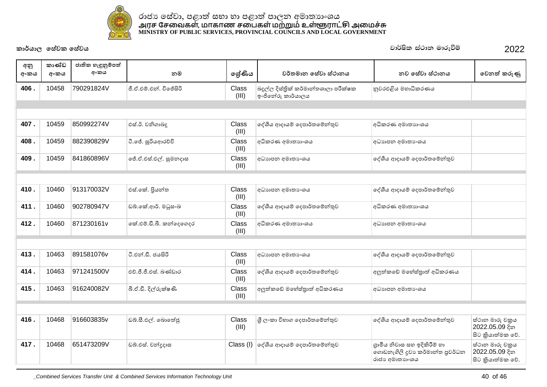

| අනු<br>අංකය | කාණ්ඩ<br>අංකය | ජාතික හැඳුනුම්පත්<br>අංකය | නම                      | ලේණිය                 | වර්තමාන සේවා ස්ථානය                                        | නව සේවා ස්ථානය                                                                    | වෙනත් කරුණු                                           |
|-------------|---------------|---------------------------|-------------------------|-----------------------|------------------------------------------------------------|-----------------------------------------------------------------------------------|-------------------------------------------------------|
| 406.        | 10458         | 790291824V                | ජී.ඒ.එම්.එන්. විජේසිරි  | Class<br>(III)        | බදුල්ල දිස්තිුක් කර්මාන්තශාලා පරීක්ෂක<br>ඉංජිනේරු කාර්යාලය | නුවරඑළිය මහාධිකරණය                                                                |                                                       |
|             |               |                           |                         |                       |                                                            |                                                                                   |                                                       |
|             |               |                           |                         |                       |                                                            |                                                                                   |                                                       |
| 407.        | 10459         | 850992274V                | එස්.ඊ. වනිගාබදු         | Class<br>(III)        | දේශීය ආදායම් දෙපාර්තමේන්තුව                                | අධිකරණ අමාතාහංශය                                                                  |                                                       |
| 408.        | 10459         | 882390829V                | ටී.ජේ. සූරියආරච්චි      | <b>Class</b><br>(III) | අධිකරණ අමාතාහංශය                                           | අධාහපන අමාතා ංශය                                                                  |                                                       |
| 409.        | 10459         | 841860896V                | ජේ.ඒ.එස්.එල්. සුමනදාස   | <b>Class</b><br>(III) | අධාහපන අමාතා ංශය                                           | දේශීය ආදායම් දෙපාර්තමේන්තුව                                                       |                                                       |
|             |               |                           |                         |                       |                                                            |                                                                                   |                                                       |
| 410.        | 10460         | 913170032V                | එස්.කේ. පියන්ත          | Class<br>(III)        | අධාහපන අමාතා ෙශය                                           | දේශීය ආදායම් දෙපාර්තමේන්තුව                                                       |                                                       |
| 411.        | 10460         | 902780947V                | ඩබ්.කේ.ආර්. මධුසංඛ      | <b>Class</b><br>(III) | දේශීය ආදායම් දෙපාර්තමේන්තුව                                | අධිකරණ අමාතාහංශය                                                                  |                                                       |
| 412.        | 10460         | 871230161v                | කේ.එම්.ඩී.බී. කන්දෙගෙදර | <b>Class</b><br>(III) | අධිකරණ අමාතාහංශය                                           | අධාහපන අමාතා ංශය                                                                  |                                                       |
|             |               |                           |                         |                       |                                                            |                                                                                   |                                                       |
| 413.        | 10463         | 891581076v                | ටී.එන්.ඩී. ජයසිරි       | Class<br>(III)        | අධාහපන අමාතා ෙශය                                           | දේශීය ආදායම් දෙපාර්තමේන්තුව                                                       |                                                       |
| 414.        | 10463         | 971241500V                | එච්.ජී.ජී.එස්. බණ්ඩාර   | Class<br>(III)        | දේශීය ආදායම් දෙපාර්තමේන්තුව                                | අලුත්කඩේ මහේස්තුාත් අධිකරණය                                                       |                                                       |
| 415.        | 10463         | 916240082V                | බී.ඒ.ඩී. දිල්රුක්ෂණි    | Class<br>(III)        | අලුත්කඩේ මහේස්තුාත් අධිකරණය                                | අධාහපන අමාතා ංශය                                                                  |                                                       |
|             |               |                           |                         |                       |                                                            |                                                                                   |                                                       |
| 416.        | 10468         | 916603835v                | ඩබ්.සී.එල්. බොතේජු      | <b>Class</b><br>(III) | ශී ලංකා විහාග දෙපාර්තමේන්තුව                               | දේශීය ආදායම් දෙපාර්තමේන්තුව                                                       | ස්ථාන මාරු චකුය<br>2022.05.09 දින<br>සිට කියාත්මක වේ. |
| 417.        | 10468         | 651473209V                | ඩබ්.එස්. චන්දුදාස       | Class (I)             | දේශීය ආදායම් දෙපාර්තමේන්තුව                                | ගුාමීය නිවාස සහ ඉදිකිරීම් හා<br>ගොඩනැගිලි දුවා කර්මාන්ත පුවර්ධන<br>රාජා අමාතාගංශය | ස්ථාන මාරු චකුය<br>2022.05.09 දින<br>සිට කියාත්මක වේ. |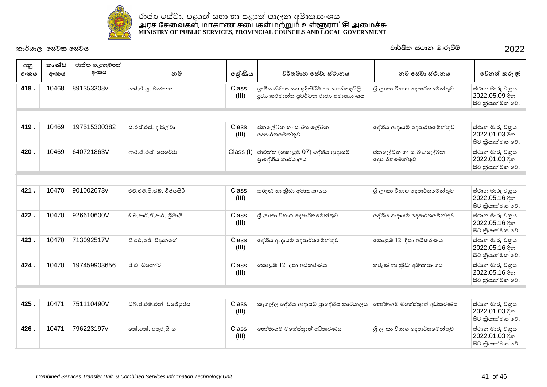

| අනු<br>අංකය | කාණ්ඩ<br>අංකය | ජාතික හැඳුනුම්පත්<br>අංකය | නම                        | ලශ්ණිය         | වර්තමාන සේවා ස්ථානය                                                            | නව සේවා ස්ථානය                        | වෙනත් කරුණු                                           |
|-------------|---------------|---------------------------|---------------------------|----------------|--------------------------------------------------------------------------------|---------------------------------------|-------------------------------------------------------|
| 418.        | 10468         | 891353308v                | කේ.ඒ.ශූ. චන්නක            | Class<br>(III) | ගුාමීය නිවාස සහ ඉදිකිරීම් හා ගොඩනැගිලි<br>දුවා කර්මාන්ත පුවර්ධන රාජා අමාතාහංශය | ශී ලංකා විහාග දෙපාර්තමේන්තුව          | ස්ථාන මාරු චකුය<br>2022.05.09 දින<br>සිට කියාත්මක වේ. |
|             |               |                           |                           |                |                                                                                |                                       |                                                       |
| 419.        | 10469         | 197515300382              | සී.එස්.එස්. ද සිල්වා      | Class<br>(III) | ජනලේඛන හා සංඛාහලේඛන<br>දෙපාර්තමේන්තුව                                          | දේශීය ආදායම් දෙපාර්තමේන්තුව           | ස්ථාන මාරු චකුය<br>2022.01.03 දින<br>සිට කියාත්මක වේ. |
| 420.        | 10469         | 640721863V                | ආර්.ඒ.එස්. පෙරේරා         | Class (I)      | ජාවත්ත (කොළඹ 07) දේශීය ආදායම්<br>පාදේශීය කාර්යාලය                              | ජනලේඛන හා සංඛාහලේඛන<br>දෙපාර්තමේන්තුව | ස්ථාන මාරු චකුය<br>2022.01.03 දින<br>සිට කියාත්මක වේ. |
|             |               |                           |                           |                |                                                                                |                                       |                                                       |
| 421.        | 10470         | 901002673v                | එච්.එම්.පී.ඩබ්. විජයසිරි  | Class<br>(III) | තරුණ හා කීඩා අමාතාහංශය                                                         | ශී ලංකා විහාග දෙපාර්තමේන්තුව          | ස්ථාන මාරු චකුය<br>2022.05.16 දින<br>සිට කියාත්මක වේ. |
| 422.        | 10470         | 926610600V                | ඩබ්.ආර්.ඒ.ආර්. ශීමාලි     | Class<br>(III) | ශී ලංකා විහාග දෙපාර්තමේන්තුව                                                   | දේශීය ආදායම් දෙපාර්තමේන්තුව           | ස්ථාන මාරු චකුය<br>2022.05.16 දින<br>සිට කියාත්මක වේ. |
| 423.        | 10470         | 713092517V                | වී.එච්.ජේ. විදානගේ        | Class<br>(III) | දේශීය ආදායම් දෙපාර්තමේන්තුව                                                    | කොළඹ 12 දිසා අධිකරණය                  | ස්ථාන මාරු චකුය<br>2022.05.16 දින<br>සිට කියාත්මක වේ. |
| 424.        | 10470         | 197459903656              | පී.ඩී. මනෝරි              | Class<br>(III) | කොළඹ 12 දිසා අධිකරණය                                                           | තරුණ හා කීඩා අමාතාහංශය                | ස්ථාන මාරු චකුය<br>2022.05.16 දින<br>සිට කියාත්මක වේ. |
|             |               |                           |                           |                |                                                                                |                                       |                                                       |
| 425.        | 10471         | 751110490V                | ඩබ්.පී.එම්.එන්. විජේසූරිය | Class<br>(III) | කෑගල්ල දේශීය ආදායම් පාදේශීය කාර්යාලය                                           | හෝමාගම මහේස්තුාත් අධිකරණය             | ස්ථාන මාරු චකුය<br>2022.01.03 දින<br>සිට කියාත්මක වේ. |
| 426.        | 10471         | 796223197v                | කේ.කේ. අතුරුසිංහ          | Class<br>(III) | හෝමාගම මහේස්තාත් අධිකරණය                                                       | ශී ලංකා විහාග දෙපාර්තමේන්තුව          | ස්ථාන මාරු චකුය<br>2022.01.03 දින<br>සිට කියාත්මක වේ. |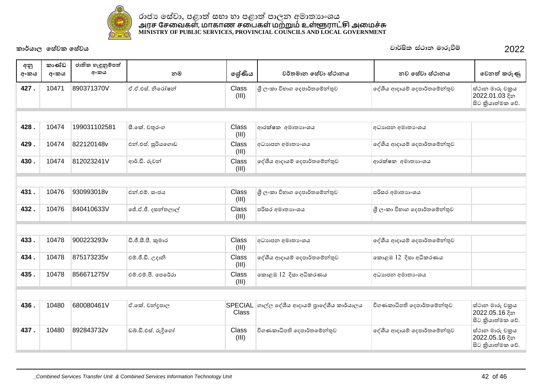

| අනු<br>අංකය | කාණ්ඩ<br>අංකය | ජාතික හැඳුනුම්පත්<br>අංකය | නම                 | ලශ්ණිය                  | වර්තමාන සේවා ස්ථානය                  | නව සේවා ස්ථානය               | වෙනත් කරුණු                                           |
|-------------|---------------|---------------------------|--------------------|-------------------------|--------------------------------------|------------------------------|-------------------------------------------------------|
| 427.        | 10471         | 890371370V                | ඒ.ඒ.එස්. නිරෝෂන්   | Class<br>(III)          | ශී ලංකා විහාග දෙපාර්තමේන්තුව         | දේශීය ආදායම් දෙපාර්තමේන්තුව  | ස්ථාන මාරු චකුය<br>2022.01.03 දින<br>සිට කියාත්මක වේ. |
|             |               |                           |                    |                         |                                      |                              |                                                       |
| 428.        | 10474         | 199031102581              | සී.කේ. චතුරංග      | Class<br>(III)          | ආරක්ෂක අමාතාහංශය                     | අධාහපන අමාතා ශය              |                                                       |
| 429.        | 10474         | 822120148v                | එන්.එස්. සුරියගොඩ  | Class<br>(III)          | අධාහපන අමාතා ශය                      | දේශීය ආදායම් දෙපාර්තමේන්තුව  |                                                       |
| 430.        | 10474         | 812023241V                | ආර්.ඩී. රුවන්      | Class<br>(III)          | දේශීය ආදායම් දෙපාර්තමේන්තුව          | ආරක්ෂක අමාතාහංශය             |                                                       |
|             |               |                           |                    |                         |                                      |                              |                                                       |
| 431.        | 10476         | 930993018v                | එන්.එම්. සංජය      | Class<br>(III)          | ශී ලංකා විහාග දෙපාර්තමේන්තුව         | පරිසර අමාතාහංශය              |                                                       |
| 432.        | 10476         | 840410633V                | ජේ.ඒ.ජී. දසන්තලාල් | Class<br>(III)          | පරිසර අමාතාහංශය                      | ශී ලංකා විහාග දෙපාර්තමේන්තුව |                                                       |
|             |               |                           |                    |                         |                                      |                              |                                                       |
| 433.        | 10478         | 900223293v                | ඩී.ජී.සී.පී. කුමාර | Class<br>(III)          | අධාහපන අමාතා ශය                      | දේශීය ආදායම් දෙපාර්තමේන්තුව  |                                                       |
| 434.        | 10478         | 875173235v                | එම්.ජී.ඩී. උදානි   | Class<br>(III)          | දේශීය ආදායම් දෙපාර්තමේන්තුව          | කොළඹ 12 දිසා අධිකරණය         |                                                       |
| 435.        | 10478         | 856671275V                | එම්.එම්.පී. පෙරේරා | Class<br>(III)          | කොළඹ 12 දිසා අධිකරණය                 | අධාහපන අමාතා ශය              |                                                       |
|             |               |                           |                    |                         |                                      |                              |                                                       |
| 436.        | 10480         | 680080461V                | ඒ.කේ. චන්දපාල      | <b>SPECIAL</b><br>Class | ගාල්ල දේශීය ආදායම් පුාදේශීය කාර්යාලය | විගණකාධිපති දෙපාර්තමේන්තුව   | ස්ථාන මාරු චකුය<br>2022.05.16 දින<br>සිට කියාත්මක වේ. |
| 437.        | 10480         | 892843732v                | ඩබ්.ඩී.එස්. රුදිගෝ | Class<br>(III)          | විගණකාධිපති දෙපාර්තමේන්තුව           | දේශීය ආදායම් දෙපාර්තමේන්තුව  | ස්ථාන මාරු චකුය<br>2022.05.16 දින<br>සිට කියාත්මක වේ. |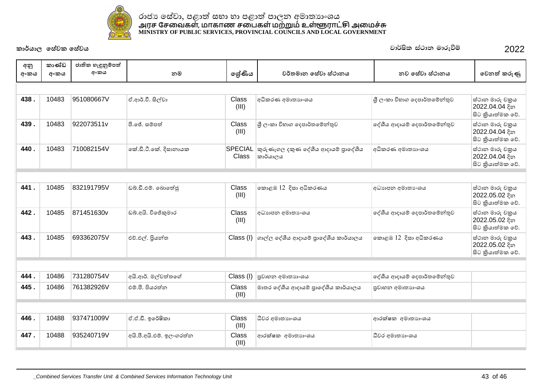

| අනු  | කාණ්ඩ | ජාතික හැඳුනුම්පත් |                          |                                |                                                 |                              |                                                       |
|------|-------|-------------------|--------------------------|--------------------------------|-------------------------------------------------|------------------------------|-------------------------------------------------------|
| අංකය | අංකය  | අංකය              | නම                       | ලශ්ණිය                         | වර්තමාන සේවා ස්ථානය                             | නව සේවා ස්ථානය               | වෙනත් කරුණු                                           |
|      |       |                   |                          |                                |                                                 |                              |                                                       |
| 438. | 10483 | 951080667V        | ඒ.ආර්.වී. සිල්වා         | Class<br>(III)                 | අධිකරණ අමාතාහංශය                                | ශී ලංකා විහාග දෙපාර්තමේන්තුව | ස්ථාන මාරු චකුය<br>2022.04.04 දින<br>සිට කියාත්මක වේ. |
| 439. | 10483 | 922073511v        | පී.ජේ. සම්පත්            | Class<br>(III)                 | ශී ලංකා විහාග දෙපාර්තමේන්තුව                    | දේශීය ආදායම් දෙපාර්තමේන්තුව  | ස්ථාන මාරු චකුය<br>2022.04.04 දින<br>සිට කියාත්මක වේ. |
| 440. | 10483 | 710082154V        | කේ.ඩී.ටී.කේ. දිසානායක    | <b>SPECIAL</b><br><b>Class</b> | කුරුණෑගල දකුණ දේශීය ආදායම් පුාදේශීය<br>කාර්යාලය | අධිකරණ අමාතාහංශය             | ස්ථාන මාරු චකුය<br>2022.04.04 දින<br>සිට කියාත්මක වේ. |
|      |       |                   |                          |                                |                                                 |                              |                                                       |
| 441. | 10485 | 832191795V        | ඩබ්.ඩී.එම්. බොතේජු       | Class<br>(III)                 | කොළඹ 12 දිසා අධිකරණය                            | අධාහපන අමාතා ංශය             | ස්ථාන මාරු චකුය<br>2022.05.02 දින<br>සිට කියාත්මක වේ. |
| 442. | 10485 | 871451630v        | ඩබ්.අයි. විජේකුමාර       | Class<br>(III)                 | අධාහපන අමාතා ෙශය                                | දේශීය ආදායම් දෙපාර්තමේන්තුව  | ස්ථාන මාරු චකුය<br>2022.05.02 දින<br>සිට කියාත්මක වේ. |
| 443. | 10485 | 693362075V        | එච්.එල්. පියන්ත          | Class (I)                      | ගාල්ල දේශීය ආදායම් පාදේශීය කාර්යාලය             | කොළඹ 12 දිසා අධිකරණය         | ස්ථාන මාරු චකුය<br>2022.05.02 දින<br>සිට කියාත්මක වේ. |
|      |       |                   |                          |                                |                                                 |                              |                                                       |
| 444. | 10486 | 731280754V        | අයි.ආර්. මල්වත්තගේ       | Class (I)                      | පුවාහන අමාතාහංශය                                | දේශීය ආදායම් දෙපාර්තමේන්තුව  |                                                       |
| 445. | 10486 | 761382926V        | එම්.පී. පියරත්න          | Class<br>(III)                 | මාතර දේශීය ආදායම් පුාදේශීය කාර්යාලය             | පුවාහන අමාතාහංශය             |                                                       |
|      |       |                   |                          |                                |                                                 |                              |                                                       |
| 446. | 10488 | 937471009V        | ඒ.ඒ.ඩී. ඉරේෂිකා          | Class<br>(III)                 | ධීවර අමාතාහංශය                                  | ආරක්ෂක අමාතාහංශය             |                                                       |
| 447. | 10488 | 935240719V        | අයි.පී.අයි.එම්. ඉලංගරත්න | Class<br>(III)                 | ආරක්ෂක අමාතාහංශය                                | ධීවර අමාතාගංශය               |                                                       |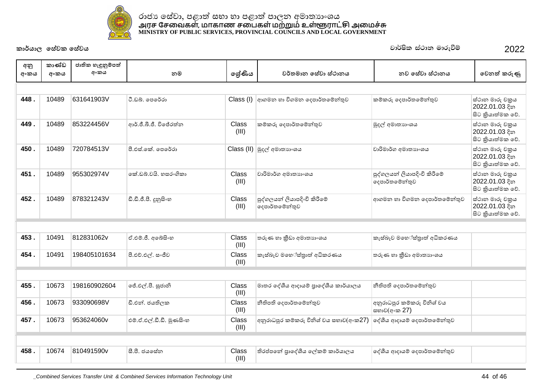

| අනු  | කාණ්ඩ | ජාතික හැඳුනුම්පත් |                          |                |                                               |                                               |                                                       |
|------|-------|-------------------|--------------------------|----------------|-----------------------------------------------|-----------------------------------------------|-------------------------------------------------------|
| අංකය | අංකය  | අංකය              | නම                       | ලශ්ණිය         | වර්තමාන සේවා ස්ථානය                           | නව සේවා ස්ථානය                                | වෙනත් කරුණු                                           |
|      |       |                   |                          |                |                                               |                                               |                                                       |
| 448. | 10489 | 631641903V        | ටී.ඩබ්. පෙරේරා           | Class (I)      | ආගමන හා විගමන දෙපාර්තමේන්තුව                  | කම්කරු දෙපාර්තමේන්තුව                         | ස්ථාන මාරු චකුය<br>2022.01.03 දින<br>සිට කියාත්මක වේ. |
| 449. | 10489 | 853224456V        | ආර්.ජී.බී.ජී. විජේරත්ත   | Class<br>(III) | කම්කරු දෙපාර්තමේන්තුව                         | මුදල් අමාතාගංශය                               | ස්ථාන මාරු චකුය<br>2022.01.03 දින<br>සිට කියාත්මක වේ. |
| 450. | 10489 | 720784513V        | පී.එස්.කේ. පෙරේරා        |                | Class (II) මුදල් අමාතාගයෙ                     | වාරිමාර්ග අමාතාහංශය                           | ස්ථාන මාරු චකුය<br>2022.01.03 දින<br>සිට කියාත්මක වේ. |
| 451. | 10489 | 955302974V        | කේ.ඩබ්.වයි. හසරංගිකා     | Class<br>(III) | වාරිමාර්ග අමාතාහංශය                           | පුද්ගලයන් ලියාපදිංචි කිරීමේ<br>දෙපාර්තමේන්තුව | ස්ථාන මාරු චකුය<br>2022.01.03 දින<br>සිට කියාත්මක වේ. |
| 452. | 10489 | 878321243V        | ඩී.ඩී.ජී.පී. දූනුසිංහ    | Class<br>(III) | පුද්ගලයන් ලියාපදිංචි කිරීමේ<br>දෙපාර්තමේන්තුව | ආගමන හා විගමන දෙපාර්තමේන්තුව                  | ස්ථාන මාරු චකුය<br>2022.01.03 දින<br>සිට කියාත්මක වේ. |
|      |       |                   |                          |                |                                               |                                               |                                                       |
| 453. | 10491 | 812831062v        | ඒ.එම්.ජී. අබේසිංහ        | Class<br>(III) | තරුණ හා කීඩා අමාතාගංශය                        | කැස්බෑව මහේස්තුාත් අධිකරණය                    |                                                       |
| 454. | 10491 | 198405101634      | පී.එච්.එල්. සංජීව        | Class<br>(III) | කැස්බෑව මහේස්තාත් අධිකරණය                     | තරුණ හා කීඩා අමාතාහංශය                        |                                                       |
|      |       |                   |                          |                |                                               |                                               |                                                       |
| 455. | 10673 | 198160902604      | ජේ.එල්.පී. සුජානි        | Class<br>(III) | මාතර දේශීය ආදායම් පුාදේශීය කාර්යාලය           | නීතිපති දෙපාර්තමේන්තුව                        |                                                       |
| 456. | 10673 | 933090698V        | ඩී.එන්. ජයතිලක           | Class<br>(III) | නීතිපති දෙපාර්තමේන්තුව                        | අනුරාධපුර කම්කරු විනිශ් වය<br>සභාව(අංක 27)    |                                                       |
| 457. | 10673 | 953624060v        | එම්.ඒ.එල්.ඩී.ඩී. මූණසිංහ | Class<br>(III) | අනුරාධපුර කම්කරු විනිශ් වය සභාව(අංක27)        | දේශීය ආදායම් දෙපාර්තමේන්තුව                   |                                                       |
|      |       |                   |                          |                |                                               |                                               |                                                       |
| 458. | 10674 | 810491590v        | සී.පී. ජයසේත             | Class<br>(III) | තිරප්පතේ පාදේශීය ලේකම් කාර්යාලය               | දේශීය ආදායම් දෙපාර්තමේන්තුව                   |                                                       |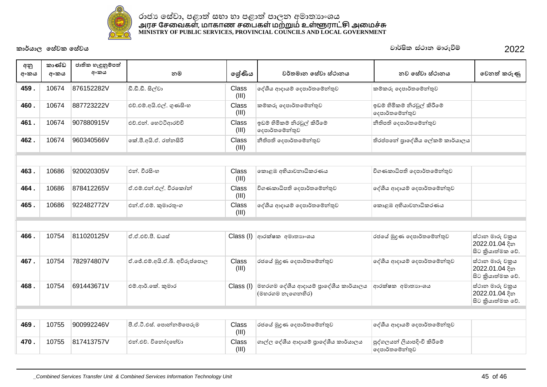

| අනු<br>අංකය | කාණ්ඩ<br>අංකය | ජාතික හැඳුනුම්පත්<br>අංකය | නම                            | ලශ්ණිය         | වර්තමාන සේවා ස්ථානය                                      | නව සේවා ස්ථානය                                | වෙනත් කරුණු                                           |
|-------------|---------------|---------------------------|-------------------------------|----------------|----------------------------------------------------------|-----------------------------------------------|-------------------------------------------------------|
| 459.        | 10674         | 876152282V                | ඩී.ඩී.ඩී. සිල්වා              | Class<br>(III) | දේශීය ආදායම් දෙපාර්තමේන්තුව                              | කම්කරු දෙපාර්තමේන්තුව                         |                                                       |
| 460.        | 10674         | 887723222V                | එච්.එම්.අයි.එල්. ගුණසිංහ      | Class<br>(III) | කම්කරු දෙපාර්තමේන්තුව                                    | ඉඩම් හිමිකම් නිරවූල් කිරීමේ<br>දෙපාර්තමේන්තුව |                                                       |
| 461.        | 10674         | 907880915V                | එච්.එන්. හෙට්ටිආරච්චි         | Class<br>(III) | ඉඩම් හිමිකම් නිරවූල් කිරීමේ<br>දෙපාර්තමේන්තුව            | නීතිපති දෙපාර්තමේන්තුව                        |                                                       |
| 462.        | 10674         | 960340566V                | කේ.පී.අයි.ඒ. රත්නසිරි         | Class<br>(III) | නීතිපති දෙපාර්තමේන්තුව                                   | තිරප්පතේ පාදේශීය ලේකම් කාර්යාලය               |                                                       |
|             |               |                           |                               |                |                                                          |                                               |                                                       |
| 463.        | 10686         | 920020305V                | එන්, වීරසිංහ                  | Class<br>(III) | කොළඹ අභියාචනාධිකරණය                                      | විගණකාධිපති දෙපාර්තමේන්තුව                    |                                                       |
| 464.        | 10686         | 878412265V                | ඒ.එම්.එන්.එල්. වීරකෝන්        | Class<br>(III) | විගණකාධිපති දෙපාර්තමේන්තුව                               | දේශීය ආදායම් දෙපාර්තමේන්තුව                   |                                                       |
| 465.        | 10686         | 922482772V                | එන්.ඒ.එම්. කුමාරතුංග          | Class<br>(III) | දේශීය ආදායම් දෙපාර්තමේන්තුව                              | කොළඹ අභියාචනාධිකරණය                           |                                                       |
|             |               |                           |                               |                |                                                          |                                               |                                                       |
| 466.        | 10754         | 811020125V                | ඒ.ඒ.එච්.පී. ඩයස්              | Class (I)      | ආරක්ෂක අමාතාහංශය                                         | රජයේ මුදුණ දෙපාර්තමේන්තුව                     | ස්ථාන මාරු චකුය<br>2022.01.04 දින<br>සිට කියාත්මක වේ. |
| 467.        | 10754         | 782974807V                | ඒ.ජේ.එම්.අයි.ඒ.බී. අවිරුප්පොල | Class<br>(III) | රජයේ මුදණ දෙපාර්තමේන්තුව                                 | දේශීය ආදායම් දෙපාර්තමේන්තුව                   | ස්ථාන මාරු චකුය<br>2022.01.04 දින<br>සිට කියාත්මක වේ. |
| 468.        | 10754         | 691443671V                | එම්.ආර්.කේ. කුමාර             | Class (I)      | මහරගම දේශීය ආදායම් පුාදේශීය කාර්යාලය<br>(මහරගම නැගෙනහිර) | ආරක්ෂක අමාතාහංශය                              | ස්ථාන මාරු චකුය<br>2022.01.04 දින<br>සිට කියාත්මක වේ. |
|             |               |                           |                               |                |                                                          |                                               |                                                       |
| 469.        | 10755         | 900992246V                | පී.ඒ.ටී.එස්. පොන්නම්පෙරුම     | Class<br>(III) | රජයේ මුදුණ දෙපාර්තමේන්තුව                                | දේශීය ආදායම් දෙපාර්තමේන්තුව                   |                                                       |
| 470.        | 10755         | 817413757V                | එන්.එච්. විනෝදහේවා            | Class<br>(III) | ගාල්ල දේශීය ආදායම් පාදේශීය කාර්යාලය                      | පුද්ගලයන් ලියාපදිංචි කිරීමේ<br>දෙපාර්තමේන්තුව |                                                       |